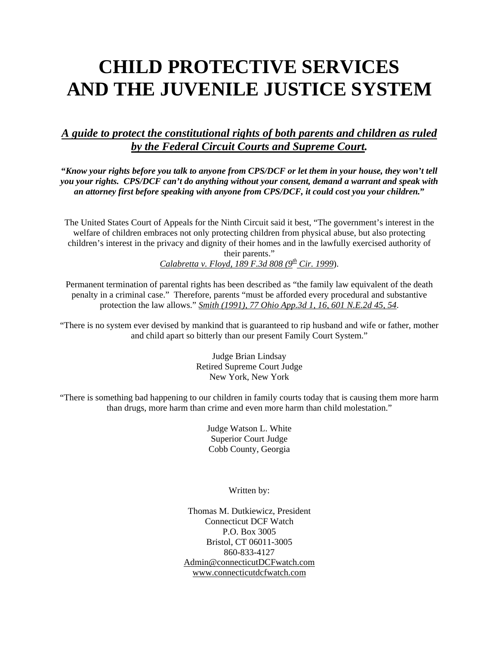# **CHILD PROTECTIVE SERVICES AND THE JUVENILE JUSTICE SYSTEM**

### *A guide to protect the constitutional rights of both parents and children as ruled by the Federal Circuit Courts and Supreme Court.*

**"***Know your rights before you talk to anyone from CPS/DCF or let them in your house, they won't tell you your rights. CPS/DCF can't do anything without your consent, demand a warrant and speak with an attorney first before speaking with anyone from CPS/DCF, it could cost you your children.***"** 

The United States Court of Appeals for the Ninth Circuit said it best, "The government's interest in the welfare of children embraces not only protecting children from physical abuse, but also protecting children's interest in the privacy and dignity of their homes and in the lawfully exercised authority of their parents."

*Calabretta v. Floyd, 189 F.3d 808 (9<sup>th</sup> Cir. 1999).* 

Permanent termination of parental rights has been described as "the family law equivalent of the death penalty in a criminal case." Therefore, parents "must be afforded every procedural and substantive protection the law allows." *Smith (1991), 77 Ohio App.3d 1, 16, 601 N.E.2d 45, 54*.

"There is no system ever devised by mankind that is guaranteed to rip husband and wife or father, mother and child apart so bitterly than our present Family Court System."

> Judge Brian Lindsay Retired Supreme Court Judge New York, New York

"There is something bad happening to our children in family courts today that is causing them more harm than drugs, more harm than crime and even more harm than child molestation."

> Judge Watson L. White Superior Court Judge Cobb County, Georgia

> > Written by:

Thomas M. Dutkiewicz, President Connecticut DCF Watch P.O. Box 3005 Bristol, CT 06011-3005 860-833-4127 [Admin@connecticutDCFwatch.com](mailto:Admin@connecticutDCFwatch.com) [www.connecticutdcfwatch.com](http://www.connecticutdcfwatch.com/)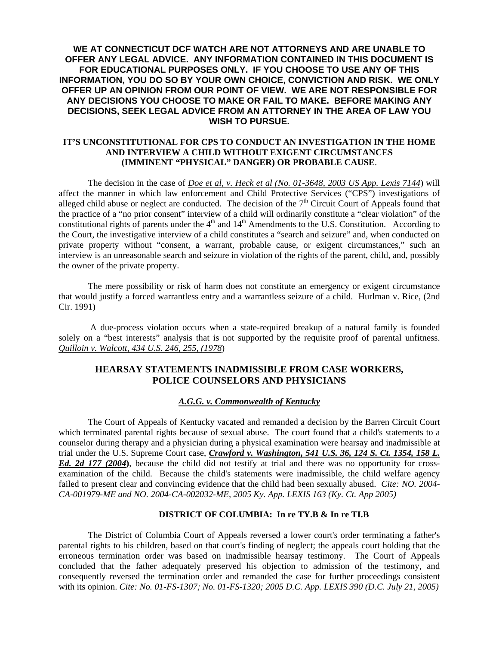#### **WE AT CONNECTICUT DCF WATCH ARE NOT ATTORNEYS AND ARE UNABLE TO OFFER ANY LEGAL ADVICE. ANY INFORMATION CONTAINED IN THIS DOCUMENT IS FOR EDUCATIONAL PURPOSES ONLY. IF YOU CHOOSE TO USE ANY OF THIS INFORMATION, YOU DO SO BY YOUR OWN CHOICE, CONVICTION AND RISK. WE ONLY OFFER UP AN OPINION FROM OUR POINT OF VIEW. WE ARE NOT RESPONSIBLE FOR ANY DECISIONS YOU CHOOSE TO MAKE OR FAIL TO MAKE. BEFORE MAKING ANY DECISIONS, SEEK LEGAL ADVICE FROM AN ATTORNEY IN THE AREA OF LAW YOU WISH TO PURSUE.**

#### **IT'S UNCONSTITUTIONAL FOR CPS TO CONDUCT AN INVESTIGATION IN THE HOME AND INTERVIEW A CHILD WITHOUT EXIGENT CIRCUMSTANCES (IMMINENT "PHYSICAL" DANGER) OR PROBABLE CAUSE**.

The decision in the case of *Doe et al, v. Heck et al (No. 01-3648, 2003 US App. Lexis 7144*) will affect the manner in which law enforcement and Child Protective Services ("CPS") investigations of alleged child abuse or neglect are conducted. The decision of the  $7<sup>th</sup>$  Circuit Court of Appeals found that the practice of a "no prior consent" interview of a child will ordinarily constitute a "clear violation" of the constitutional rights of parents under the  $4<sup>th</sup>$  and  $14<sup>th</sup>$  Amendments to the U.S. Constitution. According to the Court, the investigative interview of a child constitutes a "search and seizure" and, when conducted on private property without "consent, a warrant, probable cause, or exigent circumstances," such an interview is an unreasonable search and seizure in violation of the rights of the parent, child, and, possibly the owner of the private property.

The mere possibility or risk of harm does not constitute an emergency or exigent circumstance that would justify a forced warrantless entry and a warrantless seizure of a child. Hurlman v. Rice, (2nd Cir. 1991)

 A due-process violation occurs when a state-required breakup of a natural family is founded solely on a "best interests" analysis that is not supported by the requisite proof of parental unfitness. *Quilloin v. Walcott, 434 U.S. 246, 255, (1978*)

#### **HEARSAY STATEMENTS INADMISSIBLE FROM CASE WORKERS, POLICE COUNSELORS AND PHYSICIANS**

#### *A.G.G. v. Commonwealth of Kentucky*

The Court of Appeals of Kentucky vacated and remanded a decision by the Barren Circuit Court which terminated parental rights because of sexual abuse. The court found that a child's statements to a counselor during therapy and a physician during a physical examination were hearsay and inadmissible at trial under the U.S. Supreme Court case, *Crawford v. Washington, 541 U.S. 36, 124 S. Ct. 1354, 158 L. Ed. 2d 177 (2004***)**, because the child did not testify at trial and there was no opportunity for crossexamination of the child. Because the child's statements were inadmissible, the child welfare agency failed to present clear and convincing evidence that the child had been sexually abused. *Cite: NO. 2004- CA-001979-ME and NO. 2004-CA-002032-ME, 2005 Ky. App. LEXIS 163 (Ky. Ct. App 2005)*

#### **DISTRICT OF COLUMBIA: In re TY.B & In re TI.B**

The District of Columbia Court of Appeals reversed a lower court's order terminating a father's parental rights to his children, based on that court's finding of neglect; the appeals court holding that the erroneous termination order was based on inadmissible hearsay testimony. The Court of Appeals concluded that the father adequately preserved his objection to admission of the testimony, and consequently reversed the termination order and remanded the case for further proceedings consistent with its opinion. *Cite: No. 01-FS-1307; No. 01-FS-1320; 2005 D.C. App. LEXIS 390 (D.C. July 21, 2005)*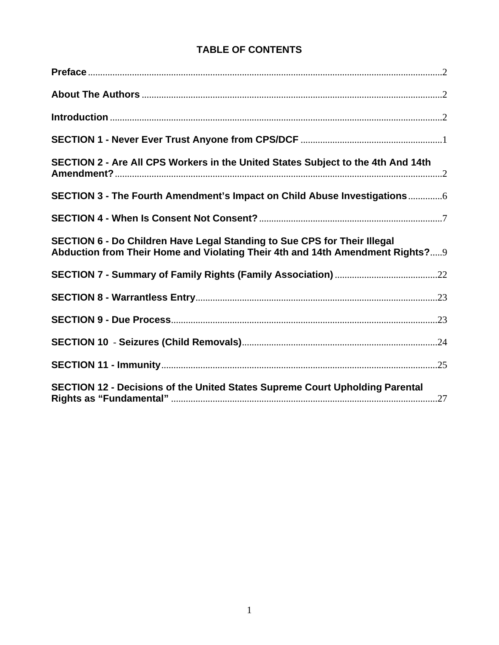## **TABLE OF CONTENTS**

| SECTION 2 - Are All CPS Workers in the United States Subject to the 4th And 14th                                                                          |
|-----------------------------------------------------------------------------------------------------------------------------------------------------------|
|                                                                                                                                                           |
|                                                                                                                                                           |
| SECTION 6 - Do Children Have Legal Standing to Sue CPS for Their Illegal<br>Abduction from Their Home and Violating Their 4th and 14th Amendment Rights?9 |
|                                                                                                                                                           |
|                                                                                                                                                           |
|                                                                                                                                                           |
|                                                                                                                                                           |
|                                                                                                                                                           |
| <b>SECTION 12 - Decisions of the United States Supreme Court Upholding Parental</b>                                                                       |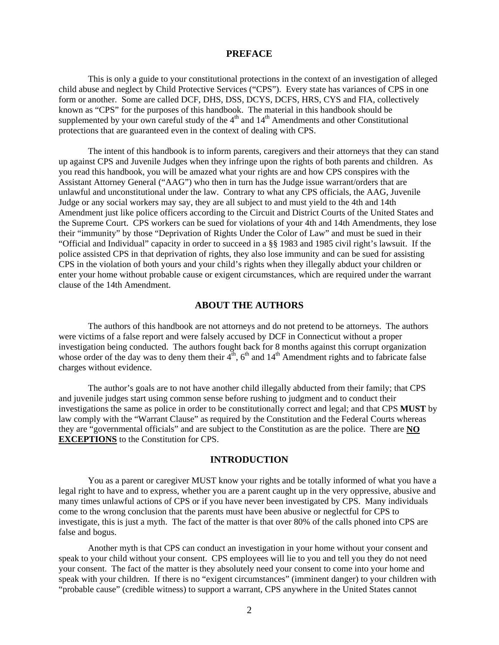#### **PREFACE**

<span id="page-3-0"></span>This is only a guide to your constitutional protections in the context of an investigation of alleged child abuse and neglect by Child Protective Services ("CPS"). Every state has variances of CPS in one form or another. Some are called DCF, DHS, DSS, DCYS, DCFS, HRS, CYS and FIA, collectively known as "CPS" for the purposes of this handbook. The material in this handbook should be supplemented by your own careful study of the  $4<sup>th</sup>$  and  $14<sup>th</sup>$  Amendments and other Constitutional protections that are guaranteed even in the context of dealing with CPS.

The intent of this handbook is to inform parents, caregivers and their attorneys that they can stand up against CPS and Juvenile Judges when they infringe upon the rights of both parents and children. As you read this handbook, you will be amazed what your rights are and how CPS conspires with the Assistant Attorney General ("AAG") who then in turn has the Judge issue warrant/orders that are unlawful and unconstitutional under the law. Contrary to what any CPS officials, the AAG, Juvenile Judge or any social workers may say, they are all subject to and must yield to the 4th and 14th Amendment just like police officers according to the Circuit and District Courts of the United States and the Supreme Court. CPS workers can be sued for violations of your 4th and 14th Amendments, they lose their "immunity" by those "Deprivation of Rights Under the Color of Law" and must be sued in their "Official and Individual" capacity in order to succeed in a §§ 1983 and 1985 civil right's lawsuit. If the police assisted CPS in that deprivation of rights, they also lose immunity and can be sued for assisting CPS in the violation of both yours and your child's rights when they illegally abduct your children or enter your home without probable cause or exigent circumstances, which are required under the warrant clause of the 14th Amendment.

#### **ABOUT THE AUTHORS**

The authors of this handbook are not attorneys and do not pretend to be attorneys. The authors were victims of a false report and were falsely accused by DCF in Connecticut without a proper investigation being conducted. The authors fought back for 8 months against this corrupt organization whose order of the day was to deny them their  $4<sup>th</sup>$ ,  $6<sup>th</sup>$  and  $14<sup>th</sup>$  Amendment rights and to fabricate false charges without evidence.

The author's goals are to not have another child illegally abducted from their family; that CPS and juvenile judges start using common sense before rushing to judgment and to conduct their investigations the same as police in order to be constitutionally correct and legal; and that CPS **MUST** by law comply with the "Warrant Clause" as required by the Constitution and the Federal Courts whereas they are "governmental officials" and are subject to the Constitution as are the police. There are **NO EXCEPTIONS** to the Constitution for CPS.

#### **INTRODUCTION**

You as a parent or caregiver MUST know your rights and be totally informed of what you have a legal right to have and to express, whether you are a parent caught up in the very oppressive, abusive and many times unlawful actions of CPS or if you have never been investigated by CPS. Many individuals come to the wrong conclusion that the parents must have been abusive or neglectful for CPS to investigate, this is just a myth. The fact of the matter is that over 80% of the calls phoned into CPS are false and bogus.

Another myth is that CPS can conduct an investigation in your home without your consent and speak to your child without your consent. CPS employees will lie to you and tell you they do not need your consent. The fact of the matter is they absolutely need your consent to come into your home and speak with your children. If there is no "exigent circumstances" (imminent danger) to your children with "probable cause" (credible witness) to support a warrant, CPS anywhere in the United States cannot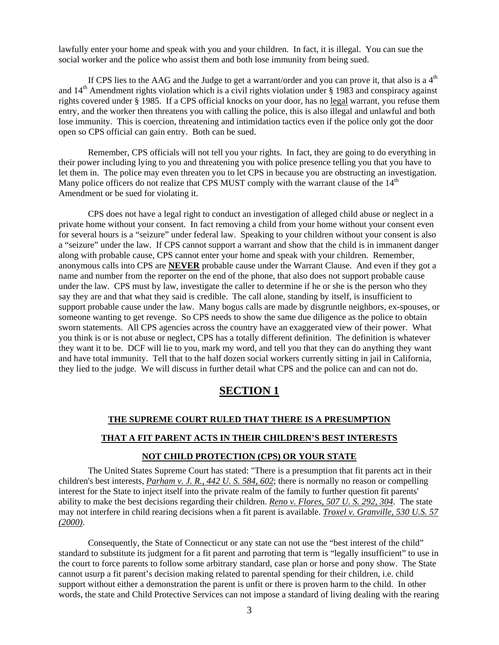lawfully enter your home and speak with you and your children. In fact, it is illegal. You can sue the social worker and the police who assist them and both lose immunity from being sued.

If CPS lies to the AAG and the Judge to get a warrant/order and you can prove it, that also is a  $4<sup>th</sup>$ and 14th Amendment rights violation which is a civil rights violation under § 1983 and conspiracy against rights covered under § 1985. If a CPS official knocks on your door, has no legal warrant, you refuse them entry, and the worker then threatens you with calling the police, this is also illegal and unlawful and both lose immunity. This is coercion, threatening and intimidation tactics even if the police only got the door open so CPS official can gain entry. Both can be sued.

Remember, CPS officials will not tell you your rights. In fact, they are going to do everything in their power including lying to you and threatening you with police presence telling you that you have to let them in. The police may even threaten you to let CPS in because you are obstructing an investigation. Many police officers do not realize that CPS MUST comply with the warrant clause of the  $14<sup>th</sup>$ Amendment or be sued for violating it.

CPS does not have a legal right to conduct an investigation of alleged child abuse or neglect in a private home without your consent. In fact removing a child from your home without your consent even for several hours is a "seizure" under federal law. Speaking to your children without your consent is also a "seizure" under the law. If CPS cannot support a warrant and show that the child is in immanent danger along with probable cause, CPS cannot enter your home and speak with your children. Remember, anonymous calls into CPS are **NEVER** probable cause under the Warrant Clause. And even if they got a name and number from the reporter on the end of the phone, that also does not support probable cause under the law. CPS must by law, investigate the caller to determine if he or she is the person who they say they are and that what they said is credible. The call alone, standing by itself, is insufficient to support probable cause under the law. Many bogus calls are made by disgruntle neighbors, ex-spouses, or someone wanting to get revenge. So CPS needs to show the same due diligence as the police to obtain sworn statements. All CPS agencies across the country have an exaggerated view of their power. What you think is or is not abuse or neglect, CPS has a totally different definition. The definition is whatever they want it to be. DCF will lie to you, mark my word, and tell you that they can do anything they want and have total immunity. Tell that to the half dozen social workers currently sitting in jail in California, they lied to the judge. We will discuss in further detail what CPS and the police can and can not do.

### **SECTION 1**

#### **THE SUPREME COURT RULED THAT THERE IS A PRESUMPTION**

#### **THAT A FIT PARENT ACTS IN THEIR CHILDREN'S BEST INTERESTS**

#### **NOT CHILD PROTECTION (CPS) OR YOUR STATE**

The United States Supreme Court has stated: "There is a presumption that fit parents act in their children's best interests, *Parham v. J. R., 442 U. S. 584, 602*; there is normally no reason or compelling interest for the State to inject itself into the private realm of the family to further question fit parents' ability to make the best decisions regarding their children. *Reno v. Flores, 507 U. S. 292, 304*. The state may not interfere in child rearing decisions when a fit parent is available. *Troxel v. Granville, 530 U.S. 57 (2000)*.

Consequently, the State of Connecticut or any state can not use the "best interest of the child" standard to substitute its judgment for a fit parent and parroting that term is "legally insufficient" to use in the court to force parents to follow some arbitrary standard, case plan or horse and pony show. The State cannot usurp a fit parent's decision making related to parental spending for their children, i.e. child support without either a demonstration the parent is unfit or there is proven harm to the child. In other words, the state and Child Protective Services can not impose a standard of living dealing with the rearing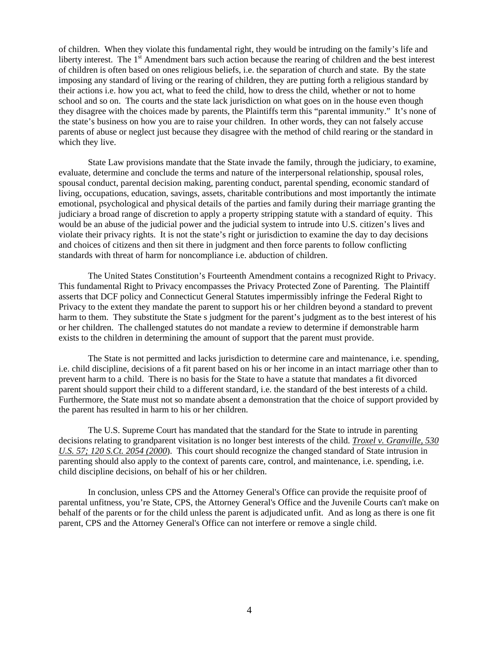of children. When they violate this fundamental right, they would be intruding on the family's life and liberty interest. The  $1<sup>st</sup>$  Amendment bars such action because the rearing of children and the best interest of children is often based on ones religious beliefs, i.e. the separation of church and state. By the state imposing any standard of living or the rearing of children, they are putting forth a religious standard by their actions i.e. how you act, what to feed the child, how to dress the child, whether or not to home school and so on. The courts and the state lack jurisdiction on what goes on in the house even though they disagree with the choices made by parents, the Plaintiffs term this "parental immunity." It's none of the state's business on how you are to raise your children. In other words, they can not falsely accuse parents of abuse or neglect just because they disagree with the method of child rearing or the standard in which they live.

State Law provisions mandate that the State invade the family, through the judiciary, to examine, evaluate, determine and conclude the terms and nature of the interpersonal relationship, spousal roles, spousal conduct, parental decision making, parenting conduct, parental spending, economic standard of living, occupations, education, savings, assets, charitable contributions and most importantly the intimate emotional, psychological and physical details of the parties and family during their marriage granting the judiciary a broad range of discretion to apply a property stripping statute with a standard of equity. This would be an abuse of the judicial power and the judicial system to intrude into U.S. citizen's lives and violate their privacy rights. It is not the state's right or jurisdiction to examine the day to day decisions and choices of citizens and then sit there in judgment and then force parents to follow conflicting standards with threat of harm for noncompliance i.e. abduction of children.

The United States Constitution's Fourteenth Amendment contains a recognized Right to Privacy. This fundamental Right to Privacy encompasses the Privacy Protected Zone of Parenting. The Plaintiff asserts that DCF policy and Connecticut General Statutes impermissibly infringe the Federal Right to Privacy to the extent they mandate the parent to support his or her children beyond a standard to prevent harm to them. They substitute the State s judgment for the parent's judgment as to the best interest of his or her children. The challenged statutes do not mandate a review to determine if demonstrable harm exists to the children in determining the amount of support that the parent must provide.

The State is not permitted and lacks jurisdiction to determine care and maintenance, i.e. spending, i.e. child discipline, decisions of a fit parent based on his or her income in an intact marriage other than to prevent harm to a child. There is no basis for the State to have a statute that mandates a fit divorced parent should support their child to a different standard, i.e. the standard of the best interests of a child. Furthermore, the State must not so mandate absent a demonstration that the choice of support provided by the parent has resulted in harm to his or her children.

The U.S. Supreme Court has mandated that the standard for the State to intrude in parenting decisions relating to grandparent visitation is no longer best interests of the child. *Troxel v. Granville, 530 U.S. 57; 120 S.Ct. 2054 (2000*). This court should recognize the changed standard of State intrusion in parenting should also apply to the context of parents care, control, and maintenance, i.e. spending, i.e. child discipline decisions, on behalf of his or her children.

In conclusion, unless CPS and the Attorney General's Office can provide the requisite proof of parental unfitness, you're State, CPS, the Attorney General's Office and the Juvenile Courts can't make on behalf of the parents or for the child unless the parent is adjudicated unfit. And as long as there is one fit parent, CPS and the Attorney General's Office can not interfere or remove a single child.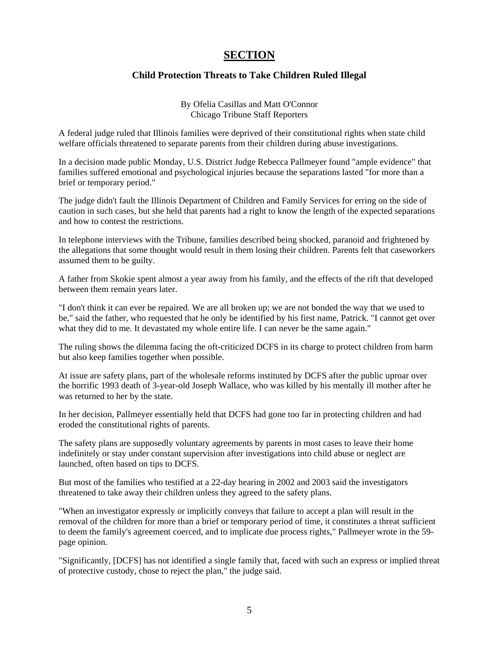### **SECTION**

### **Child Protection Threats to Take Children Ruled Illegal**

By Ofelia Casillas and Matt O'Connor Chicago Tribune Staff Reporters

A federal judge ruled that Illinois families were deprived of their constitutional rights when state child welfare officials threatened to separate parents from their children during abuse investigations.

In a decision made public Monday, U.S. District Judge Rebecca Pallmeyer found "ample evidence" that families suffered emotional and psychological injuries because the separations lasted "for more than a brief or temporary period."

The judge didn't fault the Illinois Department of Children and Family Services for erring on the side of caution in such cases, but she held that parents had a right to know the length of the expected separations and how to contest the restrictions.

In telephone interviews with the Tribune, families described being shocked, paranoid and frightened by the allegations that some thought would result in them losing their children. Parents felt that caseworkers assumed them to be guilty.

A father from Skokie spent almost a year away from his family, and the effects of the rift that developed between them remain years later.

"I don't think it can ever be repaired. We are all broken up; we are not bonded the way that we used to be," said the father, who requested that he only be identified by his first name, Patrick. "I cannot get over what they did to me. It devastated my whole entire life. I can never be the same again."

The ruling shows the dilemma facing the oft-criticized DCFS in its charge to protect children from harm but also keep families together when possible.

At issue are safety plans, part of the wholesale reforms instituted by DCFS after the public uproar over the horrific 1993 death of 3-year-old Joseph Wallace, who was killed by his mentally ill mother after he was returned to her by the state.

In her decision, Pallmeyer essentially held that DCFS had gone too far in protecting children and had eroded the constitutional rights of parents.

The safety plans are supposedly voluntary agreements by parents in most cases to leave their home indefinitely or stay under constant supervision after investigations into child abuse or neglect are launched, often based on tips to DCFS.

But most of the families who testified at a 22-day hearing in 2002 and 2003 said the investigators threatened to take away their children unless they agreed to the safety plans.

"When an investigator expressly or implicitly conveys that failure to accept a plan will result in the removal of the children for more than a brief or temporary period of time, it constitutes a threat sufficient to deem the family's agreement coerced, and to implicate due process rights," Pallmeyer wrote in the 59 page opinion.

"Significantly, [DCFS] has not identified a single family that, faced with such an express or implied threat of protective custody, chose to reject the plan," the judge said.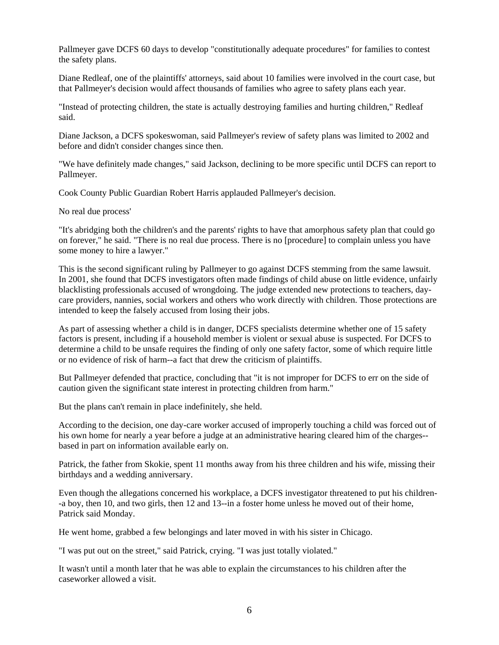Pallmeyer gave DCFS 60 days to develop "constitutionally adequate procedures" for families to contest the safety plans.

Diane Redleaf, one of the plaintiffs' attorneys, said about 10 families were involved in the court case, but that Pallmeyer's decision would affect thousands of families who agree to safety plans each year.

"Instead of protecting children, the state is actually destroying families and hurting children," Redleaf said.

Diane Jackson, a DCFS spokeswoman, said Pallmeyer's review of safety plans was limited to 2002 and before and didn't consider changes since then.

"We have definitely made changes," said Jackson, declining to be more specific until DCFS can report to Pallmeyer.

Cook County Public Guardian Robert Harris applauded Pallmeyer's decision.

No real due process'

"It's abridging both the children's and the parents' rights to have that amorphous safety plan that could go on forever," he said. "There is no real due process. There is no [procedure] to complain unless you have some money to hire a lawyer."

This is the second significant ruling by Pallmeyer to go against DCFS stemming from the same lawsuit. In 2001, she found that DCFS investigators often made findings of child abuse on little evidence, unfairly blacklisting professionals accused of wrongdoing. The judge extended new protections to teachers, daycare providers, nannies, social workers and others who work directly with children. Those protections are intended to keep the falsely accused from losing their jobs.

As part of assessing whether a child is in danger, DCFS specialists determine whether one of 15 safety factors is present, including if a household member is violent or sexual abuse is suspected. For DCFS to determine a child to be unsafe requires the finding of only one safety factor, some of which require little or no evidence of risk of harm--a fact that drew the criticism of plaintiffs.

But Pallmeyer defended that practice, concluding that "it is not improper for DCFS to err on the side of caution given the significant state interest in protecting children from harm."

But the plans can't remain in place indefinitely, she held.

According to the decision, one day-care worker accused of improperly touching a child was forced out of his own home for nearly a year before a judge at an administrative hearing cleared him of the charges- based in part on information available early on.

Patrick, the father from Skokie, spent 11 months away from his three children and his wife, missing their birthdays and a wedding anniversary.

Even though the allegations concerned his workplace, a DCFS investigator threatened to put his children- -a boy, then 10, and two girls, then 12 and 13--in a foster home unless he moved out of their home, Patrick said Monday.

He went home, grabbed a few belongings and later moved in with his sister in Chicago.

"I was put out on the street," said Patrick, crying. "I was just totally violated."

It wasn't until a month later that he was able to explain the circumstances to his children after the caseworker allowed a visit.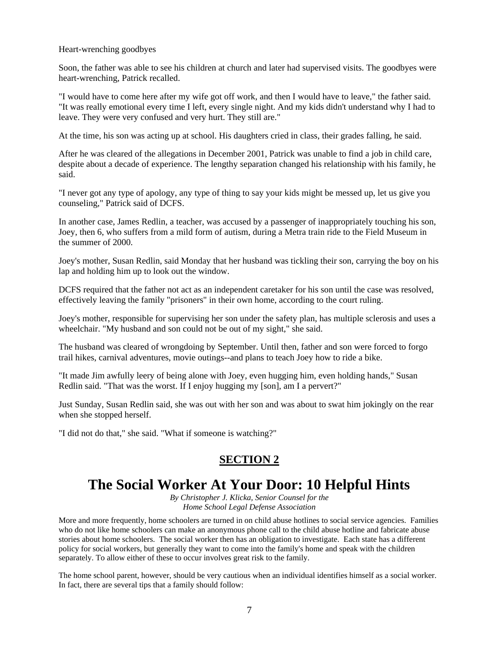Heart-wrenching goodbyes

Soon, the father was able to see his children at church and later had supervised visits. The goodbyes were heart-wrenching, Patrick recalled.

"I would have to come here after my wife got off work, and then I would have to leave," the father said. "It was really emotional every time I left, every single night. And my kids didn't understand why I had to leave. They were very confused and very hurt. They still are."

At the time, his son was acting up at school. His daughters cried in class, their grades falling, he said.

After he was cleared of the allegations in December 2001, Patrick was unable to find a job in child care, despite about a decade of experience. The lengthy separation changed his relationship with his family, he said.

"I never got any type of apology, any type of thing to say your kids might be messed up, let us give you counseling," Patrick said of DCFS.

In another case, James Redlin, a teacher, was accused by a passenger of inappropriately touching his son, Joey, then 6, who suffers from a mild form of autism, during a Metra train ride to the Field Museum in the summer of 2000.

Joey's mother, Susan Redlin, said Monday that her husband was tickling their son, carrying the boy on his lap and holding him up to look out the window.

DCFS required that the father not act as an independent caretaker for his son until the case was resolved, effectively leaving the family "prisoners" in their own home, according to the court ruling.

Joey's mother, responsible for supervising her son under the safety plan, has multiple sclerosis and uses a wheelchair. "My husband and son could not be out of my sight," she said.

The husband was cleared of wrongdoing by September. Until then, father and son were forced to forgo trail hikes, carnival adventures, movie outings--and plans to teach Joey how to ride a bike.

"It made Jim awfully leery of being alone with Joey, even hugging him, even holding hands," Susan Redlin said. "That was the worst. If I enjoy hugging my [son], am I a pervert?"

Just Sunday, Susan Redlin said, she was out with her son and was about to swat him jokingly on the rear when she stopped herself.

"I did not do that," she said. "What if someone is watching?"

# **SECTION 2**

# **The Social Worker At Your Door: 10 Helpful Hints**

*By Christopher J. Klicka, Senior Counsel for the Home School Legal Defense Association*

More and more frequently, home schoolers are turned in on child abuse hotlines to social service agencies. Families who do not like home schoolers can make an anonymous phone call to the child abuse hotline and fabricate abuse stories about home schoolers. The social worker then has an obligation to investigate. Each state has a different policy for social workers, but generally they want to come into the family's home and speak with the children separately. To allow either of these to occur involves great risk to the family.

The home school parent, however, should be very cautious when an individual identifies himself as a social worker. In fact, there are several tips that a family should follow: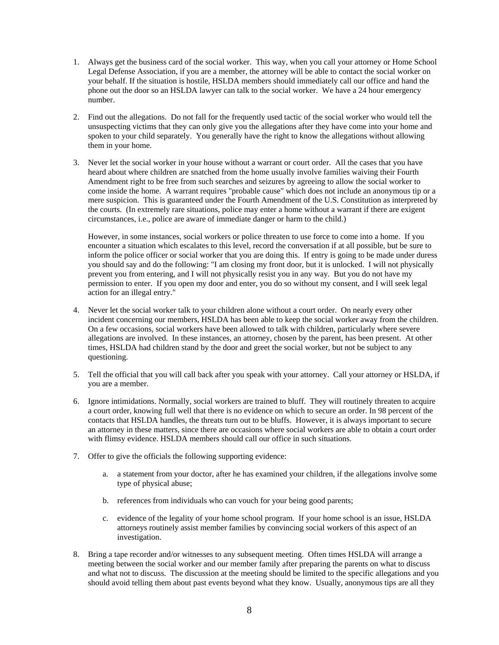- 1. Always get the business card of the social worker. This way, when you call your attorney or Home School Legal Defense Association, if you are a member, the attorney will be able to contact the social worker on your behalf. If the situation is hostile, HSLDA members should immediately call our office and hand the phone out the door so an HSLDA lawyer can talk to the social worker. We have a 24 hour emergency number.
- 2. Find out the allegations. Do not fall for the frequently used tactic of the social worker who would tell the unsuspecting victims that they can only give you the allegations after they have come into your home and spoken to your child separately. You generally have the right to know the allegations without allowing them in your home.
- 3. Never let the social worker in your house without a warrant or court order. All the cases that you have heard about where children are snatched from the home usually involve families waiving their Fourth Amendment right to be free from such searches and seizures by agreeing to allow the social worker to come inside the home. A warrant requires "probable cause" which does not include an anonymous tip or a mere suspicion. This is guaranteed under the Fourth Amendment of the U.S. Constitution as interpreted by the courts. (In extremely rare situations, police may enter a home without a warrant if there are exigent circumstances, i.e., police are aware of immediate danger or harm to the child.)

However, in some instances, social workers or police threaten to use force to come into a home. If you encounter a situation which escalates to this level, record the conversation if at all possible, but be sure to inform the police officer or social worker that you are doing this. If entry is going to be made under duress you should say and do the following: "I am closing my front door, but it is unlocked. I will not physically prevent you from entering, and I will not physically resist you in any way. But you do not have my permission to enter. If you open my door and enter, you do so without my consent, and I will seek legal action for an illegal entry."

- 4. Never let the social worker talk to your children alone without a court order. On nearly every other incident concerning our members, HSLDA has been able to keep the social worker away from the children. On a few occasions, social workers have been allowed to talk with children, particularly where severe allegations are involved. In these instances, an attorney, chosen by the parent, has been present. At other times, HSLDA had children stand by the door and greet the social worker, but not be subject to any questioning.
- 5. Tell the official that you will call back after you speak with your attorney. Call your attorney or HSLDA, if you are a member.
- 6. Ignore intimidations. Normally, social workers are trained to bluff. They will routinely threaten to acquire a court order, knowing full well that there is no evidence on which to secure an order. In 98 percent of the contacts that HSLDA handles, the threats turn out to be bluffs. However, it is always important to secure an attorney in these matters, since there are occasions where social workers are able to obtain a court order with flimsy evidence. HSLDA members should call our office in such situations.
- 7. Offer to give the officials the following supporting evidence:
	- a. a statement from your doctor, after he has examined your children, if the allegations involve some type of physical abuse;
	- b. references from individuals who can vouch for your being good parents;
	- c. evidence of the legality of your home school program. If your home school is an issue, HSLDA attorneys routinely assist member families by convincing social workers of this aspect of an investigation.
- 8. Bring a tape recorder and/or witnesses to any subsequent meeting. Often times HSLDA will arrange a meeting between the social worker and our member family after preparing the parents on what to discuss and what not to discuss. The discussion at the meeting should be limited to the specific allegations and you should avoid telling them about past events beyond what they know. Usually, anonymous tips are all they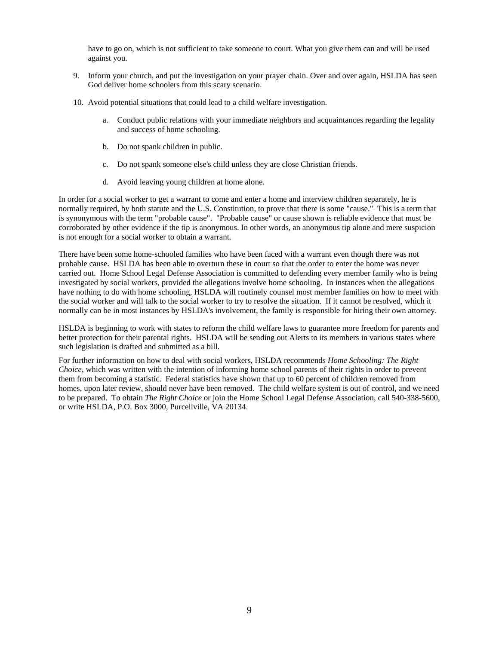have to go on, which is not sufficient to take someone to court. What you give them can and will be used against you.

- 9. Inform your church, and put the investigation on your prayer chain. Over and over again, HSLDA has seen God deliver home schoolers from this scary scenario.
- 10. Avoid potential situations that could lead to a child welfare investigation.
	- a. Conduct public relations with your immediate neighbors and acquaintances regarding the legality and success of home schooling.
	- b. Do not spank children in public.
	- c. Do not spank someone else's child unless they are close Christian friends.
	- d. Avoid leaving young children at home alone.

In order for a social worker to get a warrant to come and enter a home and interview children separately, he is normally required, by both statute and the U.S. Constitution, to prove that there is some "cause." This is a term that is synonymous with the term "probable cause". "Probable cause" or cause shown is reliable evidence that must be corroborated by other evidence if the tip is anonymous. In other words, an anonymous tip alone and mere suspicion is not enough for a social worker to obtain a warrant.

There have been some home-schooled families who have been faced with a warrant even though there was not probable cause. HSLDA has been able to overturn these in court so that the order to enter the home was never carried out. Home School Legal Defense Association is committed to defending every member family who is being investigated by social workers, provided the allegations involve home schooling. In instances when the allegations have nothing to do with home schooling, HSLDA will routinely counsel most member families on how to meet with the social worker and will talk to the social worker to try to resolve the situation. If it cannot be resolved, which it normally can be in most instances by HSLDA's involvement, the family is responsible for hiring their own attorney.

HSLDA is beginning to work with states to reform the child welfare laws to guarantee more freedom for parents and better protection for their parental rights. HSLDA will be sending out Alerts to its members in various states where such legislation is drafted and submitted as a bill.

For further information on how to deal with social workers, HSLDA recommends *Home Schooling: The Right Choice*, which was written with the intention of informing home school parents of their rights in order to prevent them from becoming a statistic. Federal statistics have shown that up to 60 percent of children removed from homes, upon later review, should never have been removed. The child welfare system is out of control, and we need to be prepared. To obtain *The Right Choice* or join the Home School Legal Defense Association, call 540-338-5600, or write HSLDA, P.O. Box 3000, Purcellville, VA 20134.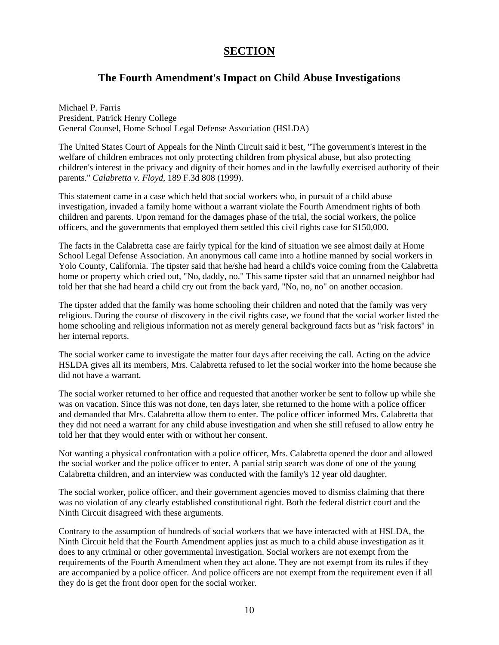### **SECTION**

### **The Fourth Amendment's Impact on Child Abuse Investigations**

Michael P. Farris President, Patrick Henry College General Counsel, Home School Legal Defense Association (HSLDA)

The United States Court of Appeals for the Ninth Circuit said it best, "The government's interest in the welfare of children embraces not only protecting children from physical abuse, but also protecting children's interest in the privacy and dignity of their homes and in the lawfully exercised authority of their parents." *Calabretta v. Floyd*, 189 F.3d 808 (1999).

This statement came in a case which held that social workers who, in pursuit of a child abuse investigation, invaded a family home without a warrant violate the Fourth Amendment rights of both children and parents. Upon remand for the damages phase of the trial, the social workers, the police officers, and the governments that employed them settled this civil rights case for \$150,000.

The facts in the Calabretta case are fairly typical for the kind of situation we see almost daily at Home School Legal Defense Association. An anonymous call came into a hotline manned by social workers in Yolo County, California. The tipster said that he/she had heard a child's voice coming from the Calabretta home or property which cried out, "No, daddy, no." This same tipster said that an unnamed neighbor had told her that she had heard a child cry out from the back yard, "No, no, no" on another occasion.

The tipster added that the family was home schooling their children and noted that the family was very religious. During the course of discovery in the civil rights case, we found that the social worker listed the home schooling and religious information not as merely general background facts but as "risk factors" in her internal reports.

The social worker came to investigate the matter four days after receiving the call. Acting on the advice HSLDA gives all its members, Mrs. Calabretta refused to let the social worker into the home because she did not have a warrant.

The social worker returned to her office and requested that another worker be sent to follow up while she was on vacation. Since this was not done, ten days later, she returned to the home with a police officer and demanded that Mrs. Calabretta allow them to enter. The police officer informed Mrs. Calabretta that they did not need a warrant for any child abuse investigation and when she still refused to allow entry he told her that they would enter with or without her consent.

Not wanting a physical confrontation with a police officer, Mrs. Calabretta opened the door and allowed the social worker and the police officer to enter. A partial strip search was done of one of the young Calabretta children, and an interview was conducted with the family's 12 year old daughter.

The social worker, police officer, and their government agencies moved to dismiss claiming that there was no violation of any clearly established constitutional right. Both the federal district court and the Ninth Circuit disagreed with these arguments.

Contrary to the assumption of hundreds of social workers that we have interacted with at HSLDA, the Ninth Circuit held that the Fourth Amendment applies just as much to a child abuse investigation as it does to any criminal or other governmental investigation. Social workers are not exempt from the requirements of the Fourth Amendment when they act alone. They are not exempt from its rules if they are accompanied by a police officer. And police officers are not exempt from the requirement even if all they do is get the front door open for the social worker.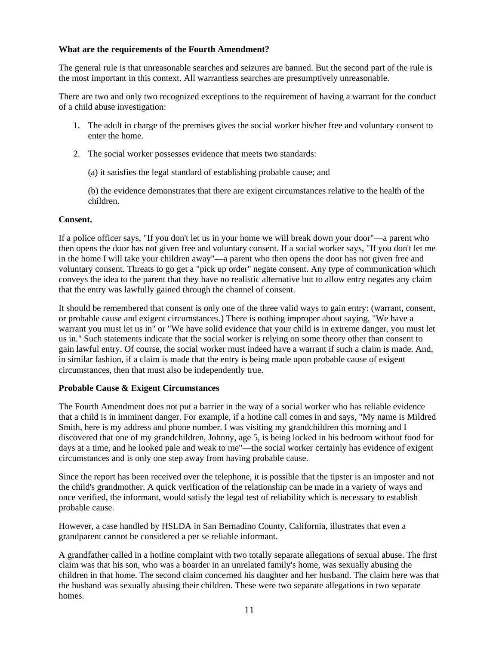### **What are the requirements of the Fourth Amendment?**

The general rule is that unreasonable searches and seizures are banned. But the second part of the rule is the most important in this context. All warrantless searches are presumptively unreasonable.

There are two and only two recognized exceptions to the requirement of having a warrant for the conduct of a child abuse investigation:

- 1. The adult in charge of the premises gives the social worker his/her free and voluntary consent to enter the home.
- 2. The social worker possesses evidence that meets two standards:

(a) it satisfies the legal standard of establishing probable cause; and

(b) the evidence demonstrates that there are exigent circumstances relative to the health of the children.

#### **Consent.**

If a police officer says, "If you don't let us in your home we will break down your door"—a parent who then opens the door has not given free and voluntary consent. If a social worker says, "If you don't let me in the home I will take your children away"—a parent who then opens the door has not given free and voluntary consent. Threats to go get a "pick up order" negate consent. Any type of communication which conveys the idea to the parent that they have no realistic alternative but to allow entry negates any claim that the entry was lawfully gained through the channel of consent.

It should be remembered that consent is only one of the three valid ways to gain entry: (warrant, consent, or probable cause and exigent circumstances.) There is nothing improper about saying, "We have a warrant you must let us in" or "We have solid evidence that your child is in extreme danger, you must let us in." Such statements indicate that the social worker is relying on some theory other than consent to gain lawful entry. Of course, the social worker must indeed have a warrant if such a claim is made. And, in similar fashion, if a claim is made that the entry is being made upon probable cause of exigent circumstances, then that must also be independently true.

#### **Probable Cause & Exigent Circumstances**

The Fourth Amendment does not put a barrier in the way of a social worker who has reliable evidence that a child is in imminent danger. For example, if a hotline call comes in and says, "My name is Mildred Smith, here is my address and phone number. I was visiting my grandchildren this morning and I discovered that one of my grandchildren, Johnny, age 5, is being locked in his bedroom without food for days at a time, and he looked pale and weak to me"—the social worker certainly has evidence of exigent circumstances and is only one step away from having probable cause.

Since the report has been received over the telephone, it is possible that the tipster is an imposter and not the child's grandmother. A quick verification of the relationship can be made in a variety of ways and once verified, the informant, would satisfy the legal test of reliability which is necessary to establish probable cause.

However, a case handled by HSLDA in San Bernadino County, California, illustrates that even a grandparent cannot be considered a per se reliable informant.

A grandfather called in a hotline complaint with two totally separate allegations of sexual abuse. The first claim was that his son, who was a boarder in an unrelated family's home, was sexually abusing the children in that home. The second claim concerned his daughter and her husband. The claim here was that the husband was sexually abusing their children. These were two separate allegations in two separate homes.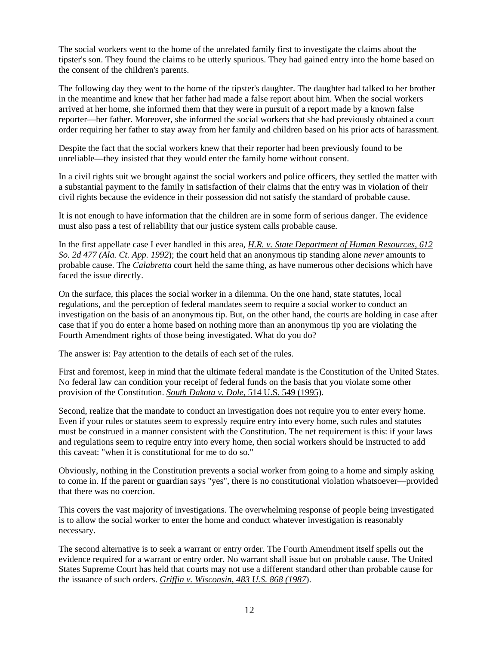The social workers went to the home of the unrelated family first to investigate the claims about the tipster's son. They found the claims to be utterly spurious. They had gained entry into the home based on the consent of the children's parents.

The following day they went to the home of the tipster's daughter. The daughter had talked to her brother in the meantime and knew that her father had made a false report about him. When the social workers arrived at her home, she informed them that they were in pursuit of a report made by a known false reporter—her father. Moreover, she informed the social workers that she had previously obtained a court order requiring her father to stay away from her family and children based on his prior acts of harassment.

Despite the fact that the social workers knew that their reporter had been previously found to be unreliable—they insisted that they would enter the family home without consent.

In a civil rights suit we brought against the social workers and police officers, they settled the matter with a substantial payment to the family in satisfaction of their claims that the entry was in violation of their civil rights because the evidence in their possession did not satisfy the standard of probable cause.

It is not enough to have information that the children are in some form of serious danger. The evidence must also pass a test of reliability that our justice system calls probable cause.

In the first appellate case I ever handled in this area, *H.R. v. State Department of Human Resources, 612 So. 2d 477 (Ala. Ct. App. 1992*); the court held that an anonymous tip standing alone *never* amounts to probable cause. The *Calabretta* court held the same thing, as have numerous other decisions which have faced the issue directly.

On the surface, this places the social worker in a dilemma. On the one hand, state statutes, local regulations, and the perception of federal mandates seem to require a social worker to conduct an investigation on the basis of an anonymous tip. But, on the other hand, the courts are holding in case after case that if you do enter a home based on nothing more than an anonymous tip you are violating the Fourth Amendment rights of those being investigated. What do you do?

The answer is: Pay attention to the details of each set of the rules.

First and foremost, keep in mind that the ultimate federal mandate is the Constitution of the United States. No federal law can condition your receipt of federal funds on the basis that you violate some other provision of the Constitution. *South Dakota v. Dole,* 514 U.S. 549 (1995).

Second, realize that the mandate to conduct an investigation does not require you to enter every home. Even if your rules or statutes seem to expressly require entry into every home, such rules and statutes must be construed in a manner consistent with the Constitution. The net requirement is this: if your laws and regulations seem to require entry into every home, then social workers should be instructed to add this caveat: "when it is constitutional for me to do so."

Obviously, nothing in the Constitution prevents a social worker from going to a home and simply asking to come in. If the parent or guardian says "yes", there is no constitutional violation whatsoever—provided that there was no coercion.

This covers the vast majority of investigations. The overwhelming response of people being investigated is to allow the social worker to enter the home and conduct whatever investigation is reasonably necessary.

The second alternative is to seek a warrant or entry order. The Fourth Amendment itself spells out the evidence required for a warrant or entry order. No warrant shall issue but on probable cause. The United States Supreme Court has held that courts may not use a different standard other than probable cause for the issuance of such orders. *Griffin v. Wisconsin, 483 U.S. 868 (1987*).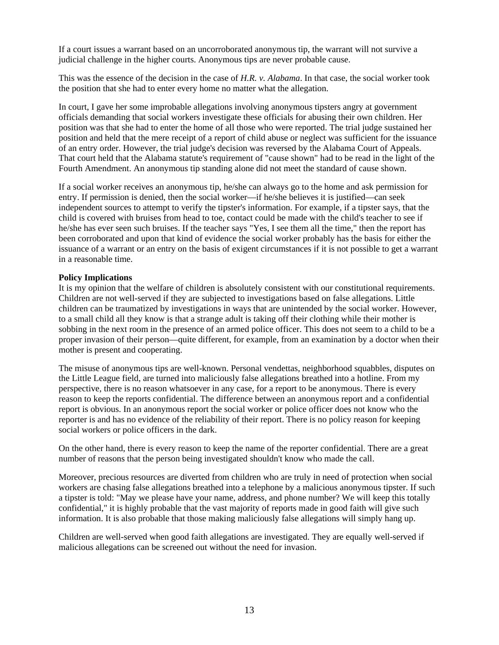If a court issues a warrant based on an uncorroborated anonymous tip, the warrant will not survive a judicial challenge in the higher courts. Anonymous tips are never probable cause.

This was the essence of the decision in the case of *H.R. v. Alabama*. In that case, the social worker took the position that she had to enter every home no matter what the allegation.

In court, I gave her some improbable allegations involving anonymous tipsters angry at government officials demanding that social workers investigate these officials for abusing their own children. Her position was that she had to enter the home of all those who were reported. The trial judge sustained her position and held that the mere receipt of a report of child abuse or neglect was sufficient for the issuance of an entry order. However, the trial judge's decision was reversed by the Alabama Court of Appeals. That court held that the Alabama statute's requirement of "cause shown" had to be read in the light of the Fourth Amendment. An anonymous tip standing alone did not meet the standard of cause shown.

If a social worker receives an anonymous tip, he/she can always go to the home and ask permission for entry. If permission is denied, then the social worker—if he/she believes it is justified—can seek independent sources to attempt to verify the tipster's information. For example, if a tipster says, that the child is covered with bruises from head to toe, contact could be made with the child's teacher to see if he/she has ever seen such bruises. If the teacher says "Yes, I see them all the time," then the report has been corroborated and upon that kind of evidence the social worker probably has the basis for either the issuance of a warrant or an entry on the basis of exigent circumstances if it is not possible to get a warrant in a reasonable time.

#### **Policy Implications**

It is my opinion that the welfare of children is absolutely consistent with our constitutional requirements. Children are not well-served if they are subjected to investigations based on false allegations. Little children can be traumatized by investigations in ways that are unintended by the social worker. However, to a small child all they know is that a strange adult is taking off their clothing while their mother is sobbing in the next room in the presence of an armed police officer. This does not seem to a child to be a proper invasion of their person—quite different, for example, from an examination by a doctor when their mother is present and cooperating.

The misuse of anonymous tips are well-known. Personal vendettas, neighborhood squabbles, disputes on the Little League field, are turned into maliciously false allegations breathed into a hotline. From my perspective, there is no reason whatsoever in any case, for a report to be anonymous. There is every reason to keep the reports confidential. The difference between an anonymous report and a confidential report is obvious. In an anonymous report the social worker or police officer does not know who the reporter is and has no evidence of the reliability of their report. There is no policy reason for keeping social workers or police officers in the dark.

On the other hand, there is every reason to keep the name of the reporter confidential. There are a great number of reasons that the person being investigated shouldn't know who made the call.

Moreover, precious resources are diverted from children who are truly in need of protection when social workers are chasing false allegations breathed into a telephone by a malicious anonymous tipster. If such a tipster is told: "May we please have your name, address, and phone number? We will keep this totally confidential," it is highly probable that the vast majority of reports made in good faith will give such information. It is also probable that those making maliciously false allegations will simply hang up.

Children are well-served when good faith allegations are investigated. They are equally well-served if malicious allegations can be screened out without the need for invasion.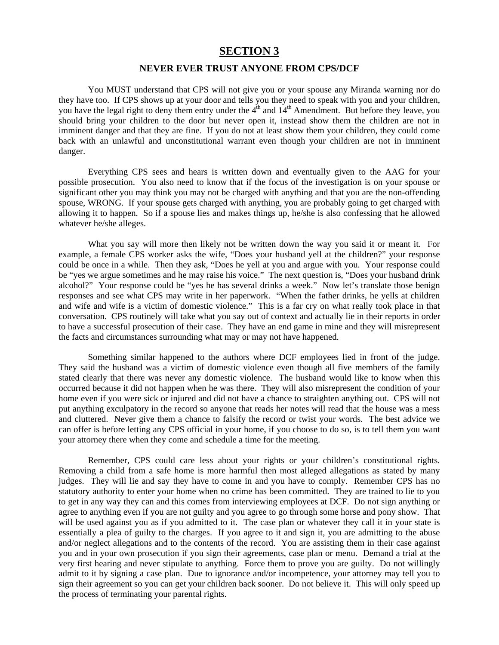### **SECTION 3**

#### **NEVER EVER TRUST ANYONE FROM CPS/DCF**

<span id="page-15-0"></span>You MUST understand that CPS will not give you or your spouse any Miranda warning nor do they have too. If CPS shows up at your door and tells you they need to speak with you and your children, you have the legal right to deny them entry under the  $4<sup>th</sup>$  and  $14<sup>th</sup>$  Amendment. But before they leave, you should bring your children to the door but never open it, instead show them the children are not in imminent danger and that they are fine. If you do not at least show them your children, they could come back with an unlawful and unconstitutional warrant even though your children are not in imminent danger.

Everything CPS sees and hears is written down and eventually given to the AAG for your possible prosecution. You also need to know that if the focus of the investigation is on your spouse or significant other you may think you may not be charged with anything and that you are the non-offending spouse, WRONG. If your spouse gets charged with anything, you are probably going to get charged with allowing it to happen. So if a spouse lies and makes things up, he/she is also confessing that he allowed whatever he/she alleges.

What you say will more then likely not be written down the way you said it or meant it. For example, a female CPS worker asks the wife, "Does your husband yell at the children?" your response could be once in a while. Then they ask, "Does he yell at you and argue with you. Your response could be "yes we argue sometimes and he may raise his voice." The next question is, "Does your husband drink alcohol?" Your response could be "yes he has several drinks a week." Now let's translate those benign responses and see what CPS may write in her paperwork. "When the father drinks, he yells at children and wife and wife is a victim of domestic violence." This is a far cry on what really took place in that conversation. CPS routinely will take what you say out of context and actually lie in their reports in order to have a successful prosecution of their case. They have an end game in mine and they will misrepresent the facts and circumstances surrounding what may or may not have happened.

Something similar happened to the authors where DCF employees lied in front of the judge. They said the husband was a victim of domestic violence even though all five members of the family stated clearly that there was never any domestic violence. The husband would like to know when this occurred because it did not happen when he was there. They will also misrepresent the condition of your home even if you were sick or injured and did not have a chance to straighten anything out. CPS will not put anything exculpatory in the record so anyone that reads her notes will read that the house was a mess and cluttered. Never give them a chance to falsify the record or twist your words. The best advice we can offer is before letting any CPS official in your home, if you choose to do so, is to tell them you want your attorney there when they come and schedule a time for the meeting.

Remember, CPS could care less about your rights or your children's constitutional rights. Removing a child from a safe home is more harmful then most alleged allegations as stated by many judges. They will lie and say they have to come in and you have to comply. Remember CPS has no statutory authority to enter your home when no crime has been committed. They are trained to lie to you to get in any way they can and this comes from interviewing employees at DCF. Do not sign anything or agree to anything even if you are not guilty and you agree to go through some horse and pony show. That will be used against you as if you admitted to it. The case plan or whatever they call it in your state is essentially a plea of guilty to the charges. If you agree to it and sign it, you are admitting to the abuse and/or neglect allegations and to the contents of the record. You are assisting them in their case against you and in your own prosecution if you sign their agreements, case plan or menu. Demand a trial at the very first hearing and never stipulate to anything. Force them to prove you are guilty. Do not willingly admit to it by signing a case plan. Due to ignorance and/or incompetence, your attorney may tell you to sign their agreement so you can get your children back sooner. Do not believe it. This will only speed up the process of terminating your parental rights.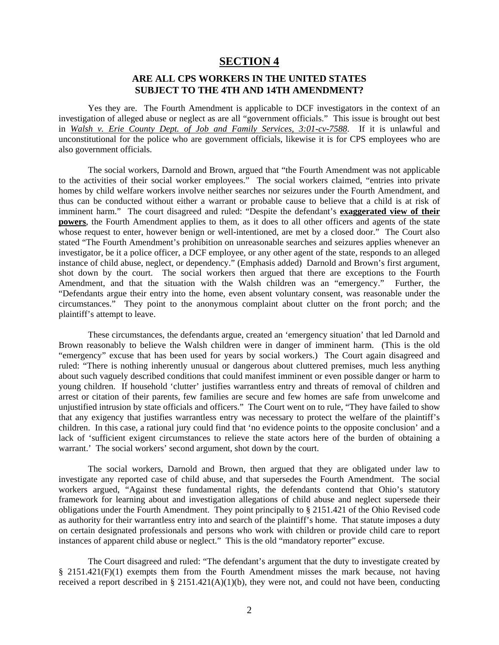### **SECTION 4**

### **ARE ALL CPS WORKERS IN THE UNITED STATES SUBJECT TO THE 4TH AND 14TH AMENDMENT?**

<span id="page-16-0"></span>Yes they are. The Fourth Amendment is applicable to DCF investigators in the context of an investigation of alleged abuse or neglect as are all "government officials." This issue is brought out best in *Walsh v. Erie County Dept. of Job and Family Services, 3:01-cv-7588*. If it is unlawful and unconstitutional for the police who are government officials, likewise it is for CPS employees who are also government officials.

The social workers, Darnold and Brown, argued that "the Fourth Amendment was not applicable to the activities of their social worker employees." The social workers claimed, "entries into private homes by child welfare workers involve neither searches nor seizures under the Fourth Amendment, and thus can be conducted without either a warrant or probable cause to believe that a child is at risk of imminent harm." The court disagreed and ruled: "Despite the defendant's **exaggerated view of their powers**, the Fourth Amendment applies to them, as it does to all other officers and agents of the state whose request to enter, however benign or well-intentioned, are met by a closed door." The Court also stated "The Fourth Amendment's prohibition on unreasonable searches and seizures applies whenever an investigator, be it a police officer, a DCF employee, or any other agent of the state, responds to an alleged instance of child abuse, neglect, or dependency." (Emphasis added) Darnold and Brown's first argument, shot down by the court. The social workers then argued that there are exceptions to the Fourth Amendment, and that the situation with the Walsh children was an "emergency." Further, the "Defendants argue their entry into the home, even absent voluntary consent, was reasonable under the circumstances." They point to the anonymous complaint about clutter on the front porch; and the plaintiff's attempt to leave.

These circumstances, the defendants argue, created an 'emergency situation' that led Darnold and Brown reasonably to believe the Walsh children were in danger of imminent harm. (This is the old "emergency" excuse that has been used for years by social workers.) The Court again disagreed and ruled: "There is nothing inherently unusual or dangerous about cluttered premises, much less anything about such vaguely described conditions that could manifest imminent or even possible danger or harm to young children. If household 'clutter' justifies warrantless entry and threats of removal of children and arrest or citation of their parents, few families are secure and few homes are safe from unwelcome and unjustified intrusion by state officials and officers." The Court went on to rule, "They have failed to show that any exigency that justifies warrantless entry was necessary to protect the welfare of the plaintiff's children. In this case, a rational jury could find that 'no evidence points to the opposite conclusion' and a lack of 'sufficient exigent circumstances to relieve the state actors here of the burden of obtaining a warrant.' The social workers' second argument, shot down by the court.

 The social workers, Darnold and Brown, then argued that they are obligated under law to investigate any reported case of child abuse, and that supersedes the Fourth Amendment. The social workers argued, "Against these fundamental rights, the defendants contend that Ohio's statutory framework for learning about and investigation allegations of child abuse and neglect supersede their obligations under the Fourth Amendment. They point principally to § 2151.421 of the Ohio Revised code as authority for their warrantless entry into and search of the plaintiff's home. That statute imposes a duty on certain designated professionals and persons who work with children or provide child care to report instances of apparent child abuse or neglect." This is the old "mandatory reporter" excuse.

The Court disagreed and ruled: "The defendant's argument that the duty to investigate created by § 2151.421(F)(1) exempts them from the Fourth Amendment misses the mark because, not having received a report described in § 2151.421(A)(1)(b), they were not, and could not have been, conducting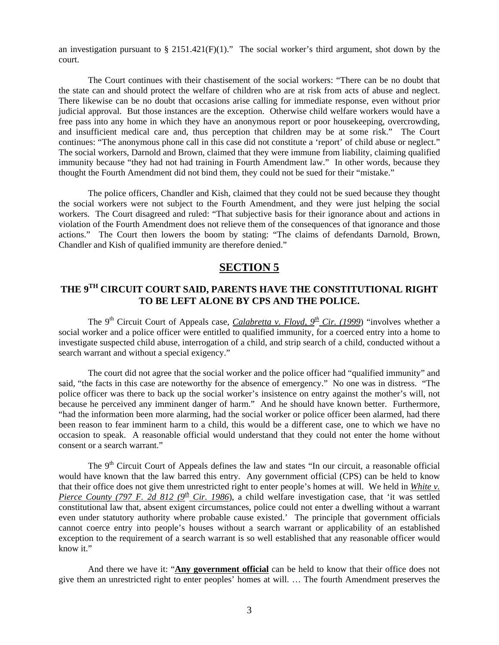an investigation pursuant to  $\S$  2151.421(F)(1)." The social worker's third argument, shot down by the court.

 The Court continues with their chastisement of the social workers: "There can be no doubt that the state can and should protect the welfare of children who are at risk from acts of abuse and neglect. There likewise can be no doubt that occasions arise calling for immediate response, even without prior judicial approval. But those instances are the exception. Otherwise child welfare workers would have a free pass into any home in which they have an anonymous report or poor housekeeping, overcrowding, and insufficient medical care and, thus perception that children may be at some risk." The Court continues: "The anonymous phone call in this case did not constitute a 'report' of child abuse or neglect." The social workers, Darnold and Brown, claimed that they were immune from liability, claiming qualified immunity because "they had not had training in Fourth Amendment law." In other words, because they thought the Fourth Amendment did not bind them, they could not be sued for their "mistake."

 The police officers, Chandler and Kish, claimed that they could not be sued because they thought the social workers were not subject to the Fourth Amendment, and they were just helping the social workers. The Court disagreed and ruled: "That subjective basis for their ignorance about and actions in violation of the Fourth Amendment does not relieve them of the consequences of that ignorance and those actions." The Court then lowers the boom by stating: "The claims of defendants Darnold, Brown, Chandler and Kish of qualified immunity are therefore denied."

### **SECTION 5**

### **THE 9TH CIRCUIT COURT SAID, PARENTS HAVE THE CONSTITUTIONAL RIGHT TO BE LEFT ALONE BY CPS AND THE POLICE.**

The 9<sup>th</sup> Circuit Court of Appeals case, *Calabretta v. Floyd*,  $9<sup>th</sup>$  Cir. (1999) "involves whether a social worker and a police officer were entitled to qualified immunity, for a coerced entry into a home to investigate suspected child abuse, interrogation of a child, and strip search of a child, conducted without a search warrant and without a special exigency."

 The court did not agree that the social worker and the police officer had "qualified immunity" and said, "the facts in this case are noteworthy for the absence of emergency." No one was in distress. "The police officer was there to back up the social worker's insistence on entry against the mother's will, not because he perceived any imminent danger of harm." And he should have known better. Furthermore, "had the information been more alarming, had the social worker or police officer been alarmed, had there been reason to fear imminent harm to a child, this would be a different case, one to which we have no occasion to speak. A reasonable official would understand that they could not enter the home without consent or a search warrant."

The  $9<sup>th</sup>$  Circuit Court of Appeals defines the law and states "In our circuit, a reasonable official would have known that the law barred this entry. Any government official (CPS) can be held to know that their office does not give them unrestricted right to enter people's homes at will. We held in *White v. Pierce County (797 F. 2d 812 (9th Cir. 1986*), a child welfare investigation case, that 'it was settled constitutional law that, absent exigent circumstances, police could not enter a dwelling without a warrant even under statutory authority where probable cause existed.' The principle that government officials cannot coerce entry into people's houses without a search warrant or applicability of an established exception to the requirement of a search warrant is so well established that any reasonable officer would know it."

And there we have it: "**Any government official** can be held to know that their office does not give them an unrestricted right to enter peoples' homes at will. … The fourth Amendment preserves the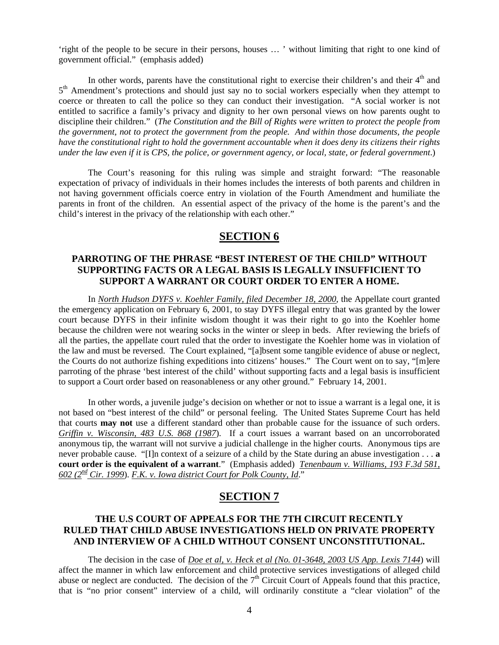'right of the people to be secure in their persons, houses … ' without limiting that right to one kind of government official." (emphasis added)

In other words, parents have the constitutional right to exercise their children's and their 4<sup>th</sup> and 5<sup>th</sup> Amendment's protections and should just say no to social workers especially when they attempt to coerce or threaten to call the police so they can conduct their investigation. "A social worker is not entitled to sacrifice a family's privacy and dignity to her own personal views on how parents ought to discipline their children." (*The Constitution and the Bill of Rights were written to protect the people from the government, not to protect the government from the people. And within those documents, the people have the constitutional right to hold the government accountable when it does deny its citizens their rights under the law even if it is CPS, the police, or government agency, or local, state, or federal government*.)

The Court's reasoning for this ruling was simple and straight forward: "The reasonable expectation of privacy of individuals in their homes includes the interests of both parents and children in not having government officials coerce entry in violation of the Fourth Amendment and humiliate the parents in front of the children. An essential aspect of the privacy of the home is the parent's and the child's interest in the privacy of the relationship with each other."

### **SECTION 6**

### **PARROTING OF THE PHRASE "BEST INTEREST OF THE CHILD" WITHOUT SUPPORTING FACTS OR A LEGAL BASIS IS LEGALLY INSUFFICIENT TO SUPPORT A WARRANT OR COURT ORDER TO ENTER A HOME.**

In *North Hudson DYFS v. Koehler Family, filed December 18, 2000*, the Appellate court granted the emergency application on February 6, 2001, to stay DYFS illegal entry that was granted by the lower court because DYFS in their infinite wisdom thought it was their right to go into the Koehler home because the children were not wearing socks in the winter or sleep in beds. After reviewing the briefs of all the parties, the appellate court ruled that the order to investigate the Koehler home was in violation of the law and must be reversed. The Court explained, "[a]bsent some tangible evidence of abuse or neglect, the Courts do not authorize fishing expeditions into citizens' houses." The Court went on to say, "[m]ere parroting of the phrase 'best interest of the child' without supporting facts and a legal basis is insufficient to support a Court order based on reasonableness or any other ground." February 14, 2001.

In other words, a juvenile judge's decision on whether or not to issue a warrant is a legal one, it is not based on "best interest of the child" or personal feeling. The United States Supreme Court has held that courts **may not** use a different standard other than probable cause for the issuance of such orders. *Griffin v. Wisconsin, 483 U.S. 868 (1987*). If a court issues a warrant based on an uncorroborated anonymous tip, the warrant will not survive a judicial challenge in the higher courts. Anonymous tips are never probable cause. "[I]n context of a seizure of a child by the State during an abuse investigation . . . **a court order is the equivalent of a warrant**." (Emphasis added) *Tenenbaum v. Williams, 193 F.3d 581, 602 (2nd Cir. 1999*). *F.K. v. Iowa district Court for Polk County, Id*."

### **SECTION 7**

### **THE U.S COURT OF APPEALS FOR THE 7TH CIRCUIT RECENTLY RULED THAT CHILD ABUSE INVESTIGATIONS HELD ON PRIVATE PROPERTY AND INTERVIEW OF A CHILD WITHOUT CONSENT UNCONSTITUTIONAL.**

The decision in the case of *Doe et al, v. Heck et al (No. 01-3648, 2003 US App. Lexis 7144*) will affect the manner in which law enforcement and child protective services investigations of alleged child abuse or neglect are conducted. The decision of the  $7<sup>th</sup>$  Circuit Court of Appeals found that this practice, that is "no prior consent" interview of a child, will ordinarily constitute a "clear violation" of the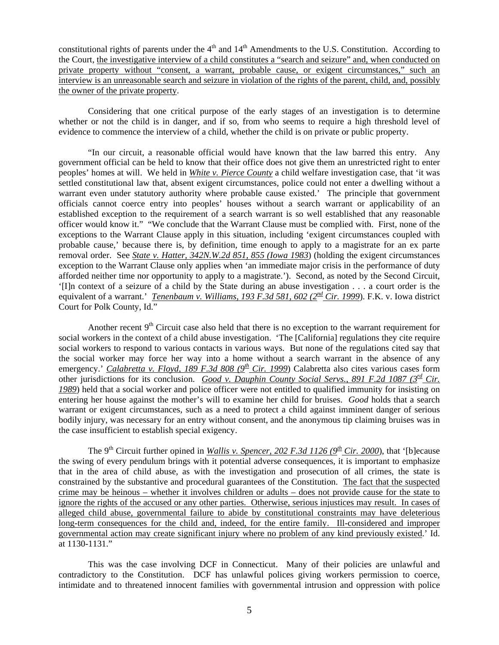constitutional rights of parents under the 4<sup>th</sup> and 14<sup>th</sup> Amendments to the U.S. Constitution. According to the Court, the investigative interview of a child constitutes a "search and seizure" and, when conducted on private property without "consent, a warrant, probable cause, or exigent circumstances," such an interview is an unreasonable search and seizure in violation of the rights of the parent, child, and, possibly the owner of the private property.

Considering that one critical purpose of the early stages of an investigation is to determine whether or not the child is in danger, and if so, from who seems to require a high threshold level of evidence to commence the interview of a child, whether the child is on private or public property.

"In our circuit, a reasonable official would have known that the law barred this entry. Any government official can be held to know that their office does not give them an unrestricted right to enter peoples' homes at will. We held in *White v. Pierce County* a child welfare investigation case, that 'it was settled constitutional law that, absent exigent circumstances, police could not enter a dwelling without a warrant even under statutory authority where probable cause existed.' The principle that government officials cannot coerce entry into peoples' houses without a search warrant or applicability of an established exception to the requirement of a search warrant is so well established that any reasonable officer would know it." "We conclude that the Warrant Clause must be complied with. First, none of the exceptions to the Warrant Clause apply in this situation, including 'exigent circumstances coupled with probable cause,' because there is, by definition, time enough to apply to a magistrate for an ex parte removal order. See *State v. Hatter, 342N.W.2d 851, 855 (Iowa 1983*) (holding the exigent circumstances exception to the Warrant Clause only applies when 'an immediate major crisis in the performance of duty afforded neither time nor opportunity to apply to a magistrate.'). Second, as noted by the Second Circuit, '[I]n context of a seizure of a child by the State during an abuse investigation . . . a court order is the equivalent of a warrant.' *Tenenbaum v. Williams, 193 F.3d 581, 602 (2<sup>nd</sup> Cir. 1999)*. F.K. v. Iowa district Court for Polk County, Id."

Another recent  $9<sup>th</sup>$  Circuit case also held that there is no exception to the warrant requirement for social workers in the context of a child abuse investigation. 'The [California] regulations they cite require social workers to respond to various contacts in various ways. But none of the regulations cited say that the social worker may force her way into a home without a search warrant in the absence of any emergency.' *Calabretta v. Floyd, 189 F.3d 808 (9<sup>th</sup> Cir. 1999)* Calabretta also cites various cases form other jurisdictions for its conclusion. *Good v. Dauphin County Social Servs.*, 891 F.2d 1087 (3<sup>rd</sup> Cir. *1989*) held that a social worker and police officer were not entitled to qualified immunity for insisting on entering her house against the mother's will to examine her child for bruises. *Good* holds that a search warrant or exigent circumstances, such as a need to protect a child against imminent danger of serious bodily injury, was necessary for an entry without consent, and the anonymous tip claiming bruises was in the case insufficient to establish special exigency.

The 9<sup>th</sup> Circuit further opined in *Wallis v. Spencer, 202 F.3d 1126 (9<sup>th</sup> Cir. 2000)*, that '[b]ecause the swing of every pendulum brings with it potential adverse consequences, it is important to emphasize that in the area of child abuse, as with the investigation and prosecution of all crimes, the state is constrained by the substantive and procedural guarantees of the Constitution. The fact that the suspected crime may be heinous – whether it involves children or adults – does not provide cause for the state to ignore the rights of the accused or any other parties. Otherwise, serious injustices may result. In cases of alleged child abuse, governmental failure to abide by constitutional constraints may have deleterious long-term consequences for the child and, indeed, for the entire family. Ill-considered and improper governmental action may create significant injury where no problem of any kind previously existed.' Id. at 1130-1131."

This was the case involving DCF in Connecticut. Many of their policies are unlawful and contradictory to the Constitution. DCF has unlawful polices giving workers permission to coerce, intimidate and to threatened innocent families with governmental intrusion and oppression with police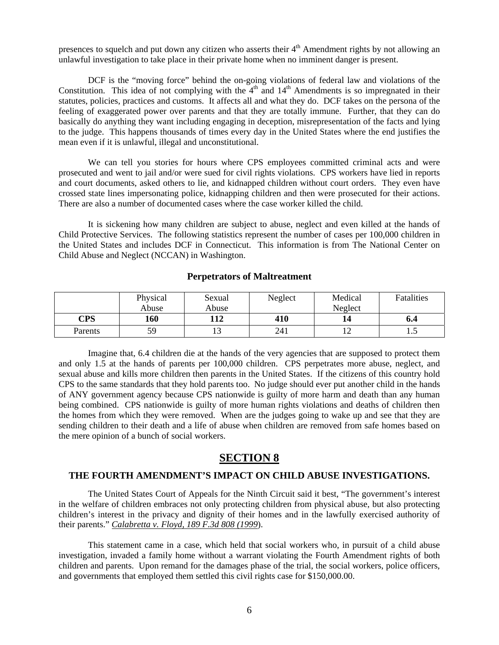<span id="page-20-0"></span>presences to squelch and put down any citizen who asserts their 4<sup>th</sup> Amendment rights by not allowing an unlawful investigation to take place in their private home when no imminent danger is present.

DCF is the "moving force" behind the on-going violations of federal law and violations of the Constitution. This idea of not complying with the 4<sup>th</sup> and 14<sup>th</sup> Amendments is so impregnated in their statutes, policies, practices and customs. It affects all and what they do. DCF takes on the persona of the feeling of exaggerated power over parents and that they are totally immune. Further, that they can do basically do anything they want including engaging in deception, misrepresentation of the facts and lying to the judge. This happens thousands of times every day in the United States where the end justifies the mean even if it is unlawful, illegal and unconstitutional.

We can tell you stories for hours where CPS employees committed criminal acts and were prosecuted and went to jail and/or were sued for civil rights violations. CPS workers have lied in reports and court documents, asked others to lie, and kidnapped children without court orders. They even have crossed state lines impersonating police, kidnapping children and then were prosecuted for their actions. There are also a number of documented cases where the case worker killed the child.

It is sickening how many children are subject to abuse, neglect and even killed at the hands of Child Protective Services. The following statistics represent the number of cases per 100,000 children in the United States and includes DCF in Connecticut. This information is from The National Center on Child Abuse and Neglect (NCCAN) in Washington.

#### **Perpetrators of Maltreatment**

|         | Physical | Sexual | Neglect | Medical | Fatalities |
|---------|----------|--------|---------|---------|------------|
|         | Abuse    | Abuse  |         | Neglect |            |
| CPS     | 160      | 112    | 410     | 14      | 6.4        |
| Parents | 59       | ⊥⊃     | 241     | ∸       | ر. ر       |

Imagine that, 6.4 children die at the hands of the very agencies that are supposed to protect them and only 1.5 at the hands of parents per 100,000 children. CPS perpetrates more abuse, neglect, and sexual abuse and kills more children then parents in the United States. If the citizens of this country hold CPS to the same standards that they hold parents too. No judge should ever put another child in the hands of ANY government agency because CPS nationwide is guilty of more harm and death than any human being combined. CPS nationwide is guilty of more human rights violations and deaths of children then the homes from which they were removed. When are the judges going to wake up and see that they are sending children to their death and a life of abuse when children are removed from safe homes based on the mere opinion of a bunch of social workers.

### **SECTION 8**

#### **THE FOURTH AMENDMENT'S IMPACT ON CHILD ABUSE INVESTIGATIONS.**

The United States Court of Appeals for the Ninth Circuit said it best, "The government's interest in the welfare of children embraces not only protecting children from physical abuse, but also protecting children's interest in the privacy and dignity of their homes and in the lawfully exercised authority of their parents." *Calabretta v. Floyd, 189 F.3d 808 (1999*).

This statement came in a case, which held that social workers who, in pursuit of a child abuse investigation, invaded a family home without a warrant violating the Fourth Amendment rights of both children and parents. Upon remand for the damages phase of the trial, the social workers, police officers, and governments that employed them settled this civil rights case for \$150,000.00.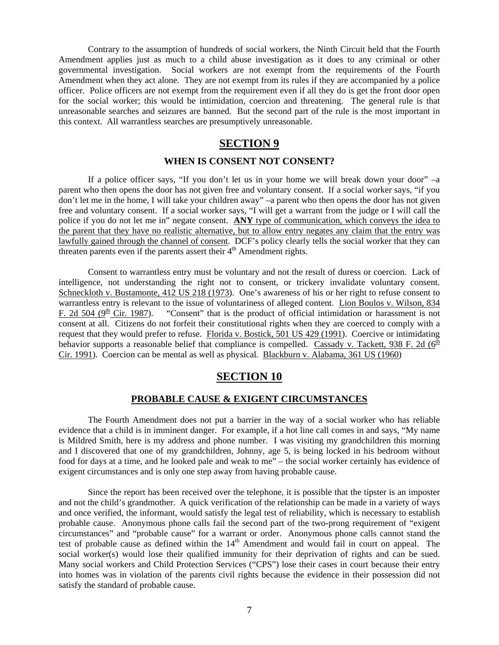<span id="page-21-0"></span> Contrary to the assumption of hundreds of social workers, the Ninth Circuit held that the Fourth Amendment applies just as much to a child abuse investigation as it does to any criminal or other governmental investigation. Social workers are not exempt from the requirements of the Fourth Amendment when they act alone. They are not exempt from its rules if they are accompanied by a police officer. Police officers are not exempt from the requirement even if all they do is get the front door open for the social worker; this would be intimidation, coercion and threatening. The general rule is that unreasonable searches and seizures are banned. But the second part of the rule is the most important in this context. All warrantless searches are presumptively unreasonable.

### **SECTION 9**

#### **WHEN IS CONSENT NOT CONSENT?**

If a police officer says, "If you don't let us in your home we will break down your door" –a parent who then opens the door has not given free and voluntary consent. If a social worker says, "if you don't let me in the home, I will take your children away" –a parent who then opens the door has not given free and voluntary consent. If a social worker says, "I will get a warrant from the judge or I will call the police if you do not let me in" negate consent. **ANY** type of communication, which conveys the idea to the parent that they have no realistic alternative, but to allow entry negates any claim that the entry was lawfully gained through the channel of consent. DCF's policy clearly tells the social worker that they can threaten parents even if the parents assert their  $4<sup>th</sup>$  Amendment rights.

Consent to warrantless entry must be voluntary and not the result of duress or coercion. Lack of intelligence, not understanding the right not to consent, or trickery invalidate voluntary consent. Schneckloth v. Bustamonte, 412 US 218 (1973). One's awareness of his or her right to refuse consent to warrantless entry is relevant to the issue of voluntariness of alleged content. Lion Boulos v. Wilson, 834 F. 2d 504 ( $9<sup>th</sup>$  Cir. 1987). "Consent" that is the product of official intimidation or harassment is not consent at all. Citizens do not forfeit their constitutional rights when they are coerced to comply with a request that they would prefer to refuse. Florida v. Bostick, 501 US 429 (1991). Coercive or intimidating behavior supports a reasonable belief that compliance is compelled. Cassady v. Tackett, 938 F. 2d ( $6\frac{\text{h}}{\text{O}}$ ) Cir. 1991). Coercion can be mental as well as physical. Blackburn v. Alabama, 361 US (1960)

#### **SECTION 10**

#### **PROBABLE CAUSE & EXIGENT CIRCUMSTANCES**

The Fourth Amendment does not put a barrier in the way of a social worker who has reliable evidence that a child is in imminent danger. For example, if a hot line call comes in and says, "My name is Mildred Smith, here is my address and phone number. I was visiting my grandchildren this morning and I discovered that one of my grandchildren, Johnny, age 5, is being locked in his bedroom without food for days at a time, and he looked pale and weak to me" – the social worker certainly has evidence of exigent circumstances and is only one step away from having probable cause.

Since the report has been received over the telephone, it is possible that the tipster is an imposter and not the child's grandmother. A quick verification of the relationship can be made in a variety of ways and once verified, the informant, would satisfy the legal test of reliability, which is necessary to establish probable cause. Anonymous phone calls fail the second part of the two-prong requirement of "exigent circumstances" and "probable cause" for a warrant or order. Anonymous phone calls cannot stand the test of probable cause as defined within the 14<sup>th</sup> Amendment and would fail in court on appeal. The social worker(s) would lose their qualified immunity for their deprivation of rights and can be sued. Many social workers and Child Protection Services ("CPS") lose their cases in court because their entry into homes was in violation of the parents civil rights because the evidence in their possession did not satisfy the standard of probable cause.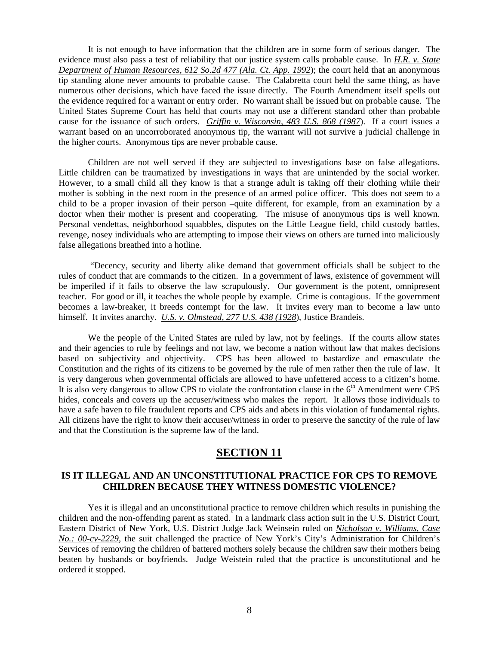It is not enough to have information that the children are in some form of serious danger. The evidence must also pass a test of reliability that our justice system calls probable cause. In *H.R. v. State Department of Human Resources, 612 So.2d 477 (Ala. Ct. App. 1992*); the court held that an anonymous tip standing alone never amounts to probable cause. The Calabretta court held the same thing, as have numerous other decisions, which have faced the issue directly. The Fourth Amendment itself spells out the evidence required for a warrant or entry order. No warrant shall be issued but on probable cause. The United States Supreme Court has held that courts may not use a different standard other than probable cause for the issuance of such orders. *Griffin v. Wisconsin, 483 U.S. 868 (1987*). If a court issues a warrant based on an uncorroborated anonymous tip, the warrant will not survive a judicial challenge in the higher courts. Anonymous tips are never probable cause.

Children are not well served if they are subjected to investigations base on false allegations. Little children can be traumatized by investigations in ways that are unintended by the social worker. However, to a small child all they know is that a strange adult is taking off their clothing while their mother is sobbing in the next room in the presence of an armed police officer. This does not seem to a child to be a proper invasion of their person –quite different, for example, from an examination by a doctor when their mother is present and cooperating. The misuse of anonymous tips is well known. Personal vendettas, neighborhood squabbles, disputes on the Little League field, child custody battles, revenge, nosey individuals who are attempting to impose their views on others are turned into maliciously false allegations breathed into a hotline.

 "Decency, security and liberty alike demand that government officials shall be subject to the rules of conduct that are commands to the citizen. In a government of laws, existence of government will be imperiled if it fails to observe the law scrupulously. Our government is the potent, omnipresent teacher. For good or ill, it teaches the whole people by example. Crime is contagious. If the government becomes a law-breaker, it breeds contempt for the law. It invites every man to become a law unto himself. It invites anarchy. *U.S. v. Olmstead, 277 U.S. 438 (1928*), Justice Brandeis.

We the people of the United States are ruled by law, not by feelings. If the courts allow states and their agencies to rule by feelings and not law, we become a nation without law that makes decisions based on subjectivity and objectivity. CPS has been allowed to bastardize and emasculate the Constitution and the rights of its citizens to be governed by the rule of men rather then the rule of law. It is very dangerous when governmental officials are allowed to have unfettered access to a citizen's home. It is also very dangerous to allow CPS to violate the confrontation clause in the  $6<sup>th</sup>$  Amendment were CPS hides, conceals and covers up the accuser/witness who makes the report. It allows those individuals to have a safe haven to file fraudulent reports and CPS aids and abets in this violation of fundamental rights. All citizens have the right to know their accuser/witness in order to preserve the sanctity of the rule of law and that the Constitution is the supreme law of the land.

### **SECTION 11**

#### **IS IT ILLEGAL AND AN UNCONSTITUTIONAL PRACTICE FOR CPS TO REMOVE CHILDREN BECAUSE THEY WITNESS DOMESTIC VIOLENCE?**

 Yes it is illegal and an unconstitutional practice to remove children which results in punishing the children and the non-offending parent as stated. In a landmark class action suit in the U.S. District Court, Eastern District of New York, U.S. District Judge Jack Weinsein ruled on *Nicholson v. Williams, Case No.: 00-cv-2229*, the suit challenged the practice of New York's City's Administration for Children's Services of removing the children of battered mothers solely because the children saw their mothers being beaten by husbands or boyfriends. Judge Weistein ruled that the practice is unconstitutional and he ordered it stopped.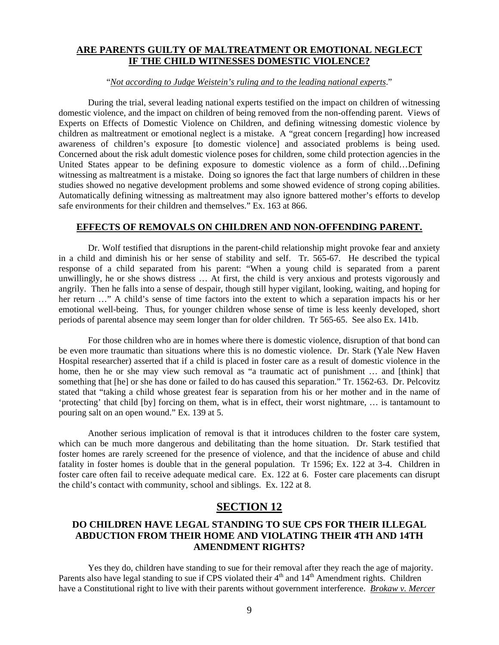#### <span id="page-23-0"></span>**ARE PARENTS GUILTY OF MALTREATMENT OR EMOTIONAL NEGLECT IF THE CHILD WITNESSES DOMESTIC VIOLENCE?**

#### "*Not according to Judge Weistein's ruling and to the leading national experts*."

 During the trial, several leading national experts testified on the impact on children of witnessing domestic violence, and the impact on children of being removed from the non-offending parent. Views of Experts on Effects of Domestic Violence on Children, and defining witnessing domestic violence by children as maltreatment or emotional neglect is a mistake. A "great concern [regarding] how increased awareness of children's exposure [to domestic violence] and associated problems is being used. Concerned about the risk adult domestic violence poses for children, some child protection agencies in the United States appear to be defining exposure to domestic violence as a form of child…Defining witnessing as maltreatment is a mistake. Doing so ignores the fact that large numbers of children in these studies showed no negative development problems and some showed evidence of strong coping abilities. Automatically defining witnessing as maltreatment may also ignore battered mother's efforts to develop safe environments for their children and themselves." Ex. 163 at 866.

#### **EFFECTS OF REMOVALS ON CHILDREN AND NON-OFFENDING PARENT.**

Dr. Wolf testified that disruptions in the parent-child relationship might provoke fear and anxiety in a child and diminish his or her sense of stability and self. Tr. 565-67. He described the typical response of a child separated from his parent: "When a young child is separated from a parent unwillingly, he or she shows distress … At first, the child is very anxious and protests vigorously and angrily. Then he falls into a sense of despair, though still hyper vigilant, looking, waiting, and hoping for her return …" A child's sense of time factors into the extent to which a separation impacts his or her emotional well-being. Thus, for younger children whose sense of time is less keenly developed, short periods of parental absence may seem longer than for older children. Tr 565-65. See also Ex. 141b.

For those children who are in homes where there is domestic violence, disruption of that bond can be even more traumatic than situations where this is no domestic violence. Dr. Stark (Yale New Haven Hospital researcher) asserted that if a child is placed in foster care as a result of domestic violence in the home, then he or she may view such removal as "a traumatic act of punishment ... and [think] that something that [he] or she has done or failed to do has caused this separation." Tr. 1562-63. Dr. Pelcovitz stated that "taking a child whose greatest fear is separation from his or her mother and in the name of 'protecting' that child [by] forcing on them, what is in effect, their worst nightmare, … is tantamount to pouring salt on an open wound." Ex. 139 at 5.

Another serious implication of removal is that it introduces children to the foster care system, which can be much more dangerous and debilitating than the home situation. Dr. Stark testified that foster homes are rarely screened for the presence of violence, and that the incidence of abuse and child fatality in foster homes is double that in the general population. Tr 1596; Ex. 122 at 3-4. Children in foster care often fail to receive adequate medical care. Ex. 122 at 6. Foster care placements can disrupt the child's contact with community, school and siblings. Ex. 122 at 8.

### **SECTION 12**

### **DO CHILDREN HAVE LEGAL STANDING TO SUE CPS FOR THEIR ILLEGAL ABDUCTION FROM THEIR HOME AND VIOLATING THEIR 4TH AND 14TH AMENDMENT RIGHTS?**

Yes they do, children have standing to sue for their removal after they reach the age of majority. Parents also have legal standing to sue if CPS violated their  $4<sup>th</sup>$  and  $14<sup>th</sup>$  Amendment rights. Children have a Constitutional right to live with their parents without government interference. *Brokaw v. Mercer*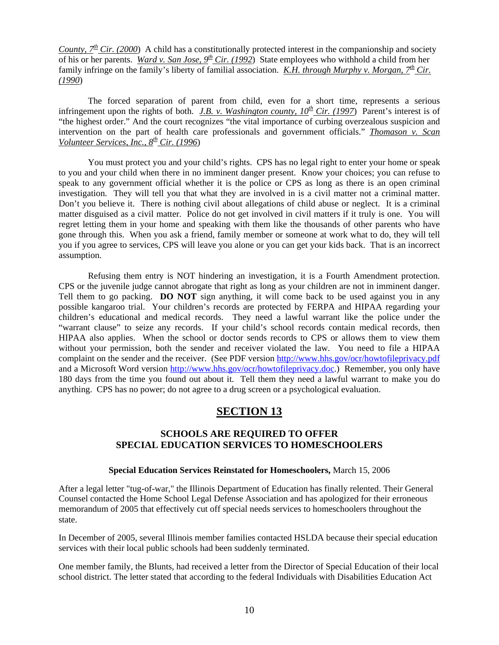*County,*  $7^{\frac{h}{2}}$  *Cir.* (2000) A child has a constitutionally protected interest in the companionship and society of his or her parents. *Ward v. San Jose, 9<sup>th</sup> Cir. (1992)* State employees who withhold a child from her family infringe on the family's liberty of familial association. *K.H. through Murphy v. Morgan,*  $7<sup>th</sup>$  Cir. *(1990*)

The forced separation of parent from child, even for a short time, represents a serious infringement upon the rights of both. *J.B. v. Washington county,*  $10^{th}$  *Cir. (1997)* Parent's interest is of "the highest order." And the court recognizes "the vital importance of curbing overzealous suspicion and intervention on the part of health care professionals and government officials." *Thomason v. Scan Volunteer Services, Inc., 8th Cir. (1996*)

You must protect you and your child's rights. CPS has no legal right to enter your home or speak to you and your child when there in no imminent danger present. Know your choices; you can refuse to speak to any government official whether it is the police or CPS as long as there is an open criminal investigation. They will tell you that what they are involved in is a civil matter not a criminal matter. Don't you believe it. There is nothing civil about allegations of child abuse or neglect. It is a criminal matter disguised as a civil matter. Police do not get involved in civil matters if it truly is one. You will regret letting them in your home and speaking with them like the thousands of other parents who have gone through this. When you ask a friend, family member or someone at work what to do, they will tell you if you agree to services, CPS will leave you alone or you can get your kids back. That is an incorrect assumption.

Refusing them entry is NOT hindering an investigation, it is a Fourth Amendment protection. CPS or the juvenile judge cannot abrogate that right as long as your children are not in imminent danger. Tell them to go packing. **DO NOT** sign anything, it will come back to be used against you in any possible kangaroo trial. Your children's records are protected by FERPA and HIPAA regarding your children's educational and medical records. They need a lawful warrant like the police under the "warrant clause" to seize any records. If your child's school records contain medical records, then HIPAA also applies. When the school or doctor sends records to CPS or allows them to view them without your permission, both the sender and receiver violated the law. You need to file a HIPAA complaint on the sender and the receiver. (See PDF version <http://www.hhs.gov/ocr/howtofileprivacy.pdf> and a Microsoft Word version <http://www.hhs.gov/ocr/howtofileprivacy.doc>.) Remember, you only have 180 days from the time you found out about it. Tell them they need a lawful warrant to make you do anything. CPS has no power; do not agree to a drug screen or a psychological evaluation.

### **SECTION 13**

### **SCHOOLS ARE REQUIRED TO OFFER SPECIAL EDUCATION SERVICES TO HOMESCHOOLERS**

#### **Special Education Services Reinstated for Homeschoolers,** March 15, 2006

After a legal letter "tug-of-war," the Illinois Department of Education has finally relented. Their General Counsel contacted the Home School Legal Defense Association and has apologized for their erroneous memorandum of 2005 that effectively cut off special needs services to homeschoolers throughout the state.

In December of 2005, several Illinois member families contacted HSLDA because their special education services with their local public schools had been suddenly terminated.

One member family, the Blunts, had received a letter from the Director of Special Education of their local school district. The letter stated that according to the federal Individuals with Disabilities Education Act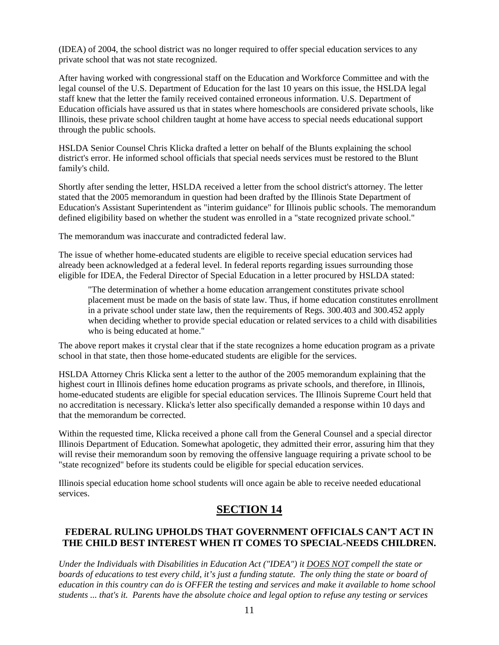(IDEA) of 2004, the school district was no longer required to offer special education services to any private school that was not state recognized.

After having worked with congressional staff on the Education and Workforce Committee and with the legal counsel of the U.S. Department of Education for the last 10 years on this issue, the HSLDA legal staff knew that the letter the family received contained erroneous information. U.S. Department of Education officials have assured us that in states where homeschools are considered private schools, like Illinois, these private school children taught at home have access to special needs educational support through the public schools.

HSLDA Senior Counsel Chris Klicka drafted a letter on behalf of the Blunts explaining the school district's error. He informed school officials that special needs services must be restored to the Blunt family's child.

Shortly after sending the letter, HSLDA received a letter from the school district's attorney. The letter stated that the 2005 memorandum in question had been drafted by the Illinois State Department of Education's Assistant Superintendent as "interim guidance" for Illinois public schools. The memorandum defined eligibility based on whether the student was enrolled in a "state recognized private school."

The memorandum was inaccurate and contradicted federal law.

The issue of whether home-educated students are eligible to receive special education services had already been acknowledged at a federal level. In federal reports regarding issues surrounding those eligible for IDEA, the Federal Director of Special Education in a letter procured by HSLDA stated:

"The determination of whether a home education arrangement constitutes private school placement must be made on the basis of state law. Thus, if home education constitutes enrollment in a private school under state law, then the requirements of Regs. 300.403 and 300.452 apply when deciding whether to provide special education or related services to a child with disabilities who is being educated at home."

The above report makes it crystal clear that if the state recognizes a home education program as a private school in that state, then those home-educated students are eligible for the services.

HSLDA Attorney Chris Klicka sent a letter to the author of the 2005 memorandum explaining that the highest court in Illinois defines home education programs as private schools, and therefore, in Illinois, home-educated students are eligible for special education services. The Illinois Supreme Court held that no accreditation is necessary. Klicka's letter also specifically demanded a response within 10 days and that the memorandum be corrected.

Within the requested time, Klicka received a phone call from the General Counsel and a special director Illinois Department of Education. Somewhat apologetic, they admitted their error, assuring him that they will revise their memorandum soon by removing the offensive language requiring a private school to be "state recognized" before its students could be eligible for special education services.

Illinois special education home school students will once again be able to receive needed educational services.

### **SECTION 14**

### **FEDERAL RULING UPHOLDS THAT GOVERNMENT OFFICIALS CAN'T ACT IN THE CHILD BEST INTEREST WHEN IT COMES TO SPECIAL-NEEDS CHILDREN.**

*Under the Individuals with Disabilities in Education Act ("IDEA") it DOES NOT compell the state or boards of educations to test every child, it's just a funding statute. The only thing the state or board of education in this country can do is OFFER the testing and services and make it available to home school students ... that's it. Parents have the absolute choice and legal option to refuse any testing or services*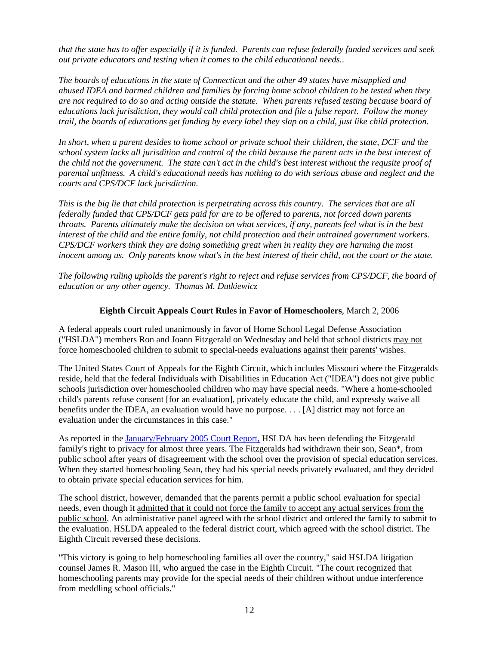*that the state has to offer especially if it is funded. Parents can refuse federally funded services and seek out private educators and testing when it comes to the child educational needs..*

*The boards of educations in the state of Connecticut and the other 49 states have misapplied and abused IDEA and harmed children and families by forcing home school children to be tested when they are not required to do so and acting outside the statute. When parents refused testing because board of educations lack jurisdiction, they would call child protection and file a false report. Follow the money trail, the boards of educations get funding by every label they slap on a child, just like child protection.*

*In short, when a parent desides to home school or private school their children, the state, DCF and the school system lacks all jurisdition and control of the child because the parent acts in the best interest of the child not the government. The state can't act in the child's best interest without the requsite proof of parental unfitness. A child's educational needs has nothing to do with serious abuse and neglect and the courts and CPS/DCF lack jurisdiction.*

*This is the big lie that child protection is perpetrating across this country. The services that are all federally funded that CPS/DCF gets paid for are to be offered to parents, not forced down parents throats. Parents ultimately make the decision on what services, if any, parents feel what is in the best interest of the child and the entire family, not child protection and their untrained government workers. CPS/DCF workers think they are doing something great when in reality they are harming the most inocent among us. Only parents know what's in the best interest of their child, not the court or the state.*

*The following ruling upholds the parent's right to reject and refuse services from CPS/DCF, the board of education or any other agency. Thomas M. Dutkiewicz*

#### **Eighth Circuit Appeals Court Rules in Favor of Homeschoolers**, March 2, 2006

A federal appeals court ruled unanimously in favor of Home School Legal Defense Association ("HSLDA") members Ron and Joann Fitzgerald on Wednesday and held that school districts may not force homeschooled children to submit to special-needs evaluations against their parents' wishes.

The United States Court of Appeals for the Eighth Circuit, which includes Missouri where the Fitzgeralds reside, held that the federal Individuals with Disabilities in Education Act ("IDEA") does not give public schools jurisdiction over homeschooled children who may have special needs. "Where a home-schooled child's parents refuse consent [for an evaluation], privately educate the child, and expressly waive all benefits under the IDEA, an evaluation would have no purpose. . . . [A] district may not force an evaluation under the circumstances in this case."

As reported in the [January/February 2005 Court Report,](http://www.hslda.org/courtreport/V21N1/V21N110.asp) HSLDA has been defending the Fitzgerald family's right to privacy for almost three years. The Fitzgeralds had withdrawn their son, Sean\*, from public school after years of disagreement with the school over the provision of special education services. When they started homeschooling Sean, they had his special needs privately evaluated, and they decided to obtain private special education services for him.

The school district, however, demanded that the parents permit a public school evaluation for special needs, even though it admitted that it could not force the family to accept any actual services from the public school. An administrative panel agreed with the school district and ordered the family to submit to the evaluation. HSLDA appealed to the federal district court, which agreed with the school district. The Eighth Circuit reversed these decisions.

"This victory is going to help homeschooling families all over the country," said HSLDA litigation counsel James R. Mason III, who argued the case in the Eighth Circuit. "The court recognized that homeschooling parents may provide for the special needs of their children without undue interference from meddling school officials."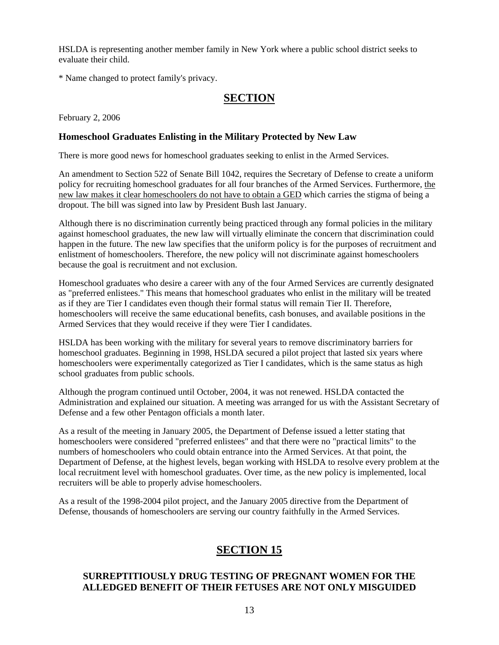HSLDA is representing another member family in New York where a public school district seeks to evaluate their child.

\* Name changed to protect family's privacy.

### **SECTION**

February 2, 2006

#### **Homeschool Graduates Enlisting in the Military Protected by New Law**

There is more good news for homeschool graduates seeking to enlist in the Armed Services.

An amendment to Section 522 of Senate Bill 1042, requires the Secretary of Defense to create a uniform policy for recruiting homeschool graduates for all four branches of the Armed Services. Furthermore, the new law makes it clear homeschoolers do not have to obtain a GED which carries the stigma of being a dropout. The bill was signed into law by President Bush last January.

Although there is no discrimination currently being practiced through any formal policies in the military against homeschool graduates, the new law will virtually eliminate the concern that discrimination could happen in the future. The new law specifies that the uniform policy is for the purposes of recruitment and enlistment of homeschoolers. Therefore, the new policy will not discriminate against homeschoolers because the goal is recruitment and not exclusion.

Homeschool graduates who desire a career with any of the four Armed Services are currently designated as "preferred enlistees." This means that homeschool graduates who enlist in the military will be treated as if they are Tier I candidates even though their formal status will remain Tier II. Therefore, homeschoolers will receive the same educational benefits, cash bonuses, and available positions in the Armed Services that they would receive if they were Tier I candidates.

HSLDA has been working with the military for several years to remove discriminatory barriers for homeschool graduates. Beginning in 1998, HSLDA secured a pilot project that lasted six years where homeschoolers were experimentally categorized as Tier I candidates, which is the same status as high school graduates from public schools.

Although the program continued until October, 2004, it was not renewed. HSLDA contacted the Administration and explained our situation. A meeting was arranged for us with the Assistant Secretary of Defense and a few other Pentagon officials a month later.

As a result of the meeting in January 2005, the Department of Defense issued a letter stating that homeschoolers were considered "preferred enlistees" and that there were no "practical limits" to the numbers of homeschoolers who could obtain entrance into the Armed Services. At that point, the Department of Defense, at the highest levels, began working with HSLDA to resolve every problem at the local recruitment level with homeschool graduates. Over time, as the new policy is implemented, local recruiters will be able to properly advise homeschoolers.

As a result of the 1998-2004 pilot project, and the January 2005 directive from the Department of Defense, thousands of homeschoolers are serving our country faithfully in the Armed Services.

### **SECTION 15**

### **SURREPTITIOUSLY DRUG TESTING OF PREGNANT WOMEN FOR THE ALLEDGED BENEFIT OF THEIR FETUSES ARE NOT ONLY MISGUIDED**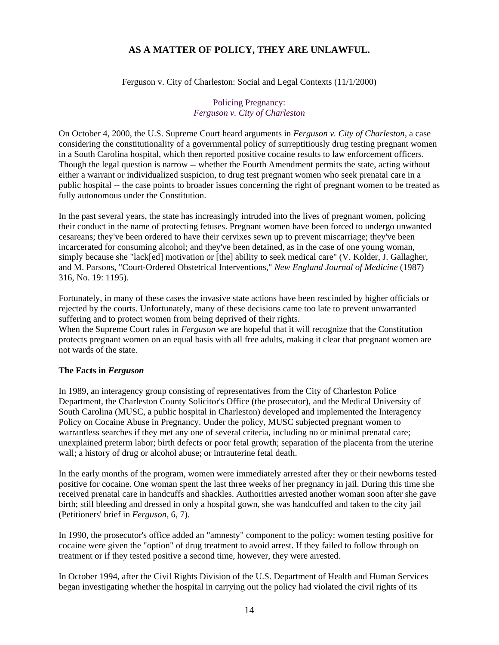### **AS A MATTER OF POLICY, THEY ARE UNLAWFUL.**

Ferguson v. City of Charleston: Social and Legal Contexts (11/1/2000)

Policing Pregnancy: *Ferguson v. City of Charleston* 

On October 4, 2000, the U.S. Supreme Court heard arguments in *Ferguson v. City of Charleston,* a case considering the constitutionality of a governmental policy of surreptitiously drug testing pregnant women in a South Carolina hospital, which then reported positive cocaine results to law enforcement officers. Though the legal question is narrow -- whether the Fourth Amendment permits the state, acting without either a warrant or individualized suspicion, to drug test pregnant women who seek prenatal care in a public hospital -- the case points to broader issues concerning the right of pregnant women to be treated as fully autonomous under the Constitution.

In the past several years, the state has increasingly intruded into the lives of pregnant women, policing their conduct in the name of protecting fetuses. Pregnant women have been forced to undergo unwanted cesareans; they've been ordered to have their cervixes sewn up to prevent miscarriage; they've been incarcerated for consuming alcohol; and they've been detained, as in the case of one young woman, simply because she "lack[ed] motivation or [the] ability to seek medical care" (V. Kolder, J. Gallagher, and M. Parsons, "Court-Ordered Obstetrical Interventions," *New England Journal of Medicine* (1987) 316, No. 19: 1195).

Fortunately, in many of these cases the invasive state actions have been rescinded by higher officials or rejected by the courts. Unfortunately, many of these decisions came too late to prevent unwarranted suffering and to protect women from being deprived of their rights.

When the Supreme Court rules in *Ferguson* we are hopeful that it will recognize that the Constitution protects pregnant women on an equal basis with all free adults, making it clear that pregnant women are not wards of the state.

#### **The Facts in** *Ferguson*

In 1989, an interagency group consisting of representatives from the City of Charleston Police Department, the Charleston County Solicitor's Office (the prosecutor), and the Medical University of South Carolina (MUSC, a public hospital in Charleston) developed and implemented the Interagency Policy on Cocaine Abuse in Pregnancy. Under the policy, MUSC subjected pregnant women to warrantless searches if they met any one of several criteria, including no or minimal prenatal care; unexplained preterm labor; birth defects or poor fetal growth; separation of the placenta from the uterine wall; a history of drug or alcohol abuse; or intrauterine fetal death.

In the early months of the program, women were immediately arrested after they or their newborns tested positive for cocaine. One woman spent the last three weeks of her pregnancy in jail. During this time she received prenatal care in handcuffs and shackles. Authorities arrested another woman soon after she gave birth; still bleeding and dressed in only a hospital gown, she was handcuffed and taken to the city jail (Petitioners' brief in *Ferguson,* 6, 7).

In 1990, the prosecutor's office added an "amnesty" component to the policy: women testing positive for cocaine were given the "option" of drug treatment to avoid arrest. If they failed to follow through on treatment or if they tested positive a second time, however, they were arrested.

In October 1994, after the Civil Rights Division of the U.S. Department of Health and Human Services began investigating whether the hospital in carrying out the policy had violated the civil rights of its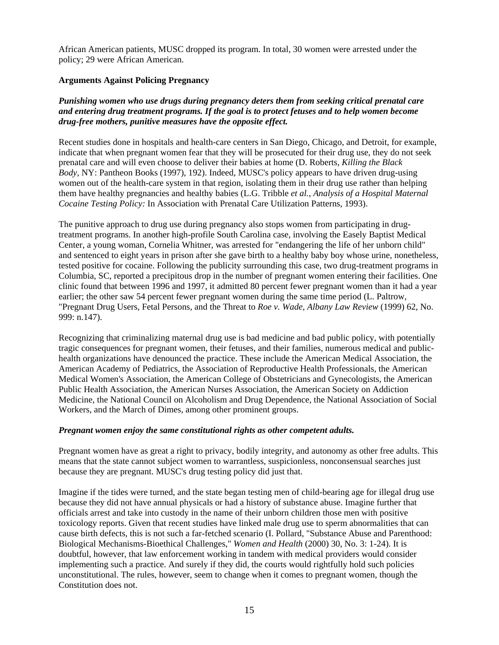African American patients, MUSC dropped its program. In total, 30 women were arrested under the policy; 29 were African American.

#### **Arguments Against Policing Pregnancy**

#### *Punishing women who use drugs during pregnancy deters them from seeking critical prenatal care and entering drug treatment programs. If the goal is to protect fetuses and to help women become drug-free mothers, punitive measures have the opposite effect.*

Recent studies done in hospitals and health-care centers in San Diego, Chicago, and Detroit, for example, indicate that when pregnant women fear that they will be prosecuted for their drug use, they do not seek prenatal care and will even choose to deliver their babies at home (D. Roberts, *Killing the Black Body,* NY: Pantheon Books (1997), 192). Indeed, MUSC's policy appears to have driven drug-using women out of the health-care system in that region, isolating them in their drug use rather than helping them have healthy pregnancies and healthy babies (L.G. Tribble *et al., Analysis of a Hospital Maternal Cocaine Testing Policy:* In Association with Prenatal Care Utilization Patterns, 1993).

The punitive approach to drug use during pregnancy also stops women from participating in drugtreatment programs. In another high-profile South Carolina case, involving the Easely Baptist Medical Center, a young woman, Cornelia Whitner, was arrested for "endangering the life of her unborn child" and sentenced to eight years in prison after she gave birth to a healthy baby boy whose urine, nonetheless, tested positive for cocaine. Following the publicity surrounding this case, two drug-treatment programs in Columbia, SC, reported a precipitous drop in the number of pregnant women entering their facilities. One clinic found that between 1996 and 1997, it admitted 80 percent fewer pregnant women than it had a year earlier; the other saw 54 percent fewer pregnant women during the same time period (L. Paltrow, "Pregnant Drug Users, Fetal Persons, and the Threat to *Roe v. Wade, Albany Law Review* (1999) 62, No. 999: n.147).

Recognizing that criminalizing maternal drug use is bad medicine and bad public policy, with potentially tragic consequences for pregnant women, their fetuses, and their families, numerous medical and publichealth organizations have denounced the practice. These include the American Medical Association, the American Academy of Pediatrics, the Association of Reproductive Health Professionals, the American Medical Women's Association, the American College of Obstetricians and Gynecologists, the American Public Health Association, the American Nurses Association, the American Society on Addiction Medicine, the National Council on Alcoholism and Drug Dependence, the National Association of Social Workers, and the March of Dimes, among other prominent groups.

#### *Pregnant women enjoy the same constitutional rights as other competent adults.*

Pregnant women have as great a right to privacy, bodily integrity, and autonomy as other free adults. This means that the state cannot subject women to warrantless, suspicionless, nonconsensual searches just because they are pregnant. MUSC's drug testing policy did just that.

Imagine if the tides were turned, and the state began testing men of child-bearing age for illegal drug use because they did not have annual physicals or had a history of substance abuse. Imagine further that officials arrest and take into custody in the name of their unborn children those men with positive toxicology reports. Given that recent studies have linked male drug use to sperm abnormalities that can cause birth defects, this is not such a far-fetched scenario (I. Pollard, "Substance Abuse and Parenthood: Biological Mechanisms-Bioethical Challenges," *Women and Health* (2000) 30, No. 3: 1-24). It is doubtful, however, that law enforcement working in tandem with medical providers would consider implementing such a practice. And surely if they did, the courts would rightfully hold such policies unconstitutional. The rules, however, seem to change when it comes to pregnant women, though the Constitution does not.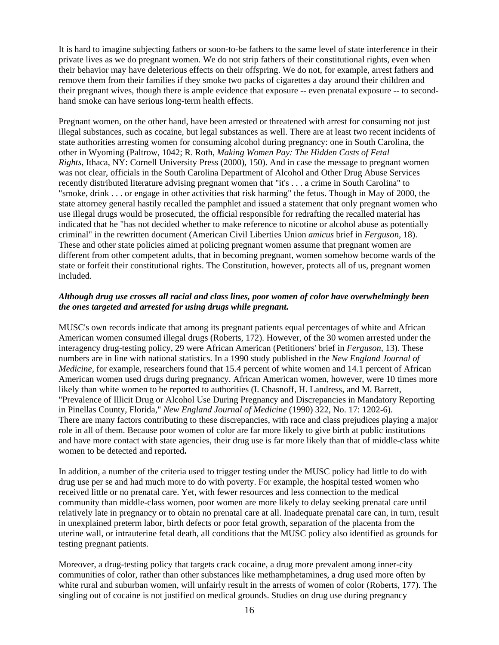It is hard to imagine subjecting fathers or soon-to-be fathers to the same level of state interference in their private lives as we do pregnant women. We do not strip fathers of their constitutional rights, even when their behavior may have deleterious effects on their offspring. We do not, for example, arrest fathers and remove them from their families if they smoke two packs of cigarettes a day around their children and their pregnant wives, though there is ample evidence that exposure -- even prenatal exposure -- to secondhand smoke can have serious long-term health effects.

Pregnant women, on the other hand, have been arrested or threatened with arrest for consuming not just illegal substances, such as cocaine, but legal substances as well. There are at least two recent incidents of state authorities arresting women for consuming alcohol during pregnancy: one in South Carolina, the other in Wyoming (Paltrow, 1042; R. Roth, *Making Women Pay: The Hidden Costs of Fetal Rights,* Ithaca, NY: Cornell University Press (2000), 150). And in case the message to pregnant women was not clear, officials in the South Carolina Department of Alcohol and Other Drug Abuse Services recently distributed literature advising pregnant women that "it's . . . a crime in South Carolina" to "smoke, drink . . . or engage in other activities that risk harming" the fetus. Though in May of 2000, the state attorney general hastily recalled the pamphlet and issued a statement that only pregnant women who use illegal drugs would be prosecuted, the official responsible for redrafting the recalled material has indicated that he "has not decided whether to make reference to nicotine or alcohol abuse as potentially criminal" in the rewritten document (American Civil Liberties Union *amicus* brief in *Ferguson,* 18). These and other state policies aimed at policing pregnant women assume that pregnant women are different from other competent adults, that in becoming pregnant, women somehow become wards of the state or forfeit their constitutional rights. The Constitution, however, protects all of us, pregnant women included.

### *Although drug use crosses all racial and class lines, poor women of color have overwhelmingly been the ones targeted and arrested for using drugs while pregnant.*

MUSC's own records indicate that among its pregnant patients equal percentages of white and African American women consumed illegal drugs (Roberts, 172). However, of the 30 women arrested under the interagency drug-testing policy, 29 were African American (Petitioners' brief in *Ferguson,* 13). These numbers are in line with national statistics. In a 1990 study published in the *New England Journal of Medicine,* for example, researchers found that 15.4 percent of white women and 14.1 percent of African American women used drugs during pregnancy. African American women, however, were 10 times more likely than white women to be reported to authorities (I. Chasnoff, H. Landress, and M. Barrett, "Prevalence of Illicit Drug or Alcohol Use During Pregnancy and Discrepancies in Mandatory Reporting in Pinellas County, Florida," *New England Journal of Medicine* (1990) 322, No. 17: 1202-6). There are many factors contributing to these discrepancies, with race and class prejudices playing a major role in all of them. Because poor women of color are far more likely to give birth at public institutions and have more contact with state agencies, their drug use is far more likely than that of middle-class white women to be detected and reported**.** 

In addition, a number of the criteria used to trigger testing under the MUSC policy had little to do with drug use per se and had much more to do with poverty. For example, the hospital tested women who received little or no prenatal care. Yet, with fewer resources and less connection to the medical community than middle-class women, poor women are more likely to delay seeking prenatal care until relatively late in pregnancy or to obtain no prenatal care at all. Inadequate prenatal care can, in turn, result in unexplained preterm labor, birth defects or poor fetal growth, separation of the placenta from the uterine wall, or intrauterine fetal death, all conditions that the MUSC policy also identified as grounds for testing pregnant patients.

Moreover, a drug-testing policy that targets crack cocaine, a drug more prevalent among inner-city communities of color, rather than other substances like methamphetamines, a drug used more often by white rural and suburban women, will unfairly result in the arrests of women of color (Roberts, 177). The singling out of cocaine is not justified on medical grounds. Studies on drug use during pregnancy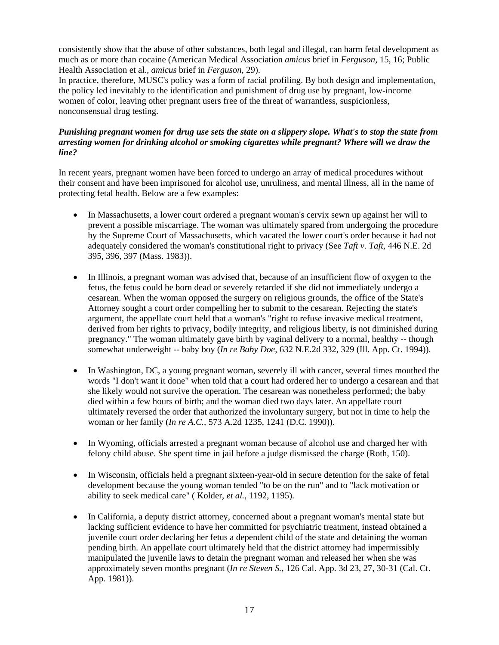consistently show that the abuse of other substances, both legal and illegal, can harm fetal development as much as or more than cocaine (American Medical Association *amicus* brief in *Ferguson,* 15, 16; Public Health Association et al., *amicus* brief in *Ferguson,* 29).

In practice, therefore, MUSC's policy was a form of racial profiling. By both design and implementation, the policy led inevitably to the identification and punishment of drug use by pregnant, low-income women of color, leaving other pregnant users free of the threat of warrantless, suspicionless, nonconsensual drug testing.

#### *Punishing pregnant women for drug use sets the state on a slippery slope. What's to stop the state from arresting women for drinking alcohol or smoking cigarettes while pregnant? Where will we draw the line?*

In recent years, pregnant women have been forced to undergo an array of medical procedures without their consent and have been imprisoned for alcohol use, unruliness, and mental illness, all in the name of protecting fetal health. Below are a few examples:

- In Massachusetts, a lower court ordered a pregnant woman's cervix sewn up against her will to prevent a possible miscarriage. The woman was ultimately spared from undergoing the procedure by the Supreme Court of Massachusetts, which vacated the lower court's order because it had not adequately considered the woman's constitutional right to privacy (See *Taft v. Taft,* 446 N.E. 2d 395, 396, 397 (Mass. 1983)).
- In Illinois, a pregnant woman was advised that, because of an insufficient flow of oxygen to the fetus, the fetus could be born dead or severely retarded if she did not immediately undergo a cesarean. When the woman opposed the surgery on religious grounds, the office of the State's Attorney sought a court order compelling her to submit to the cesarean. Rejecting the state's argument, the appellate court held that a woman's "right to refuse invasive medical treatment, derived from her rights to privacy, bodily integrity, and religious liberty, is not diminished during pregnancy." The woman ultimately gave birth by vaginal delivery to a normal, healthy -- though somewhat underweight -- baby boy (*In re Baby Doe,* 632 N.E.2d 332, 329 (Ill. App. Ct. 1994)).
- In Washington, DC, a young pregnant woman, severely ill with cancer, several times mouthed the words "I don't want it done" when told that a court had ordered her to undergo a cesarean and that she likely would not survive the operation. The cesarean was nonetheless performed; the baby died within a few hours of birth; and the woman died two days later. An appellate court ultimately reversed the order that authorized the involuntary surgery, but not in time to help the woman or her family (*In re A.C.,* 573 A.2d 1235, 1241 (D.C. 1990)).
- In Wyoming, officials arrested a pregnant woman because of alcohol use and charged her with felony child abuse. She spent time in jail before a judge dismissed the charge (Roth, 150).
- In Wisconsin, officials held a pregnant sixteen-year-old in secure detention for the sake of fetal development because the young woman tended "to be on the run" and to "lack motivation or ability to seek medical care" ( Kolder, *et al.,* 1192, 1195).
- In California, a deputy district attorney, concerned about a pregnant woman's mental state but lacking sufficient evidence to have her committed for psychiatric treatment, instead obtained a juvenile court order declaring her fetus a dependent child of the state and detaining the woman pending birth. An appellate court ultimately held that the district attorney had impermissibly manipulated the juvenile laws to detain the pregnant woman and released her when she was approximately seven months pregnant (*In re Steven S.,* 126 Cal. App. 3d 23, 27, 30-31 (Cal. Ct. App. 1981)).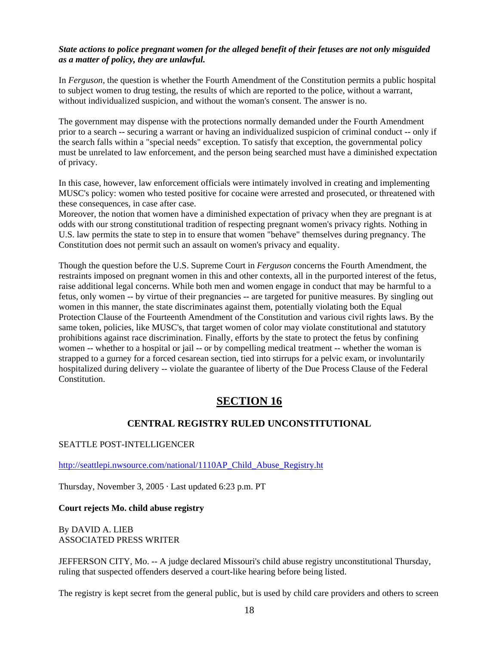#### *State actions to police pregnant women for the alleged benefit of their fetuses are not only misguided as a matter of policy, they are unlawful.*

In *Ferguson,* the question is whether the Fourth Amendment of the Constitution permits a public hospital to subject women to drug testing, the results of which are reported to the police, without a warrant, without individualized suspicion, and without the woman's consent. The answer is no.

The government may dispense with the protections normally demanded under the Fourth Amendment prior to a search -- securing a warrant or having an individualized suspicion of criminal conduct -- only if the search falls within a "special needs" exception. To satisfy that exception, the governmental policy must be unrelated to law enforcement, and the person being searched must have a diminished expectation of privacy.

In this case, however, law enforcement officials were intimately involved in creating and implementing MUSC's policy: women who tested positive for cocaine were arrested and prosecuted, or threatened with these consequences, in case after case.

Moreover, the notion that women have a diminished expectation of privacy when they are pregnant is at odds with our strong constitutional tradition of respecting pregnant women's privacy rights. Nothing in U.S. law permits the state to step in to ensure that women "behave" themselves during pregnancy. The Constitution does not permit such an assault on women's privacy and equality.

Though the question before the U.S. Supreme Court in *Ferguson* concerns the Fourth Amendment, the restraints imposed on pregnant women in this and other contexts, all in the purported interest of the fetus, raise additional legal concerns. While both men and women engage in conduct that may be harmful to a fetus, only women -- by virtue of their pregnancies -- are targeted for punitive measures. By singling out women in this manner, the state discriminates against them, potentially violating both the Equal Protection Clause of the Fourteenth Amendment of the Constitution and various civil rights laws. By the same token, policies, like MUSC's, that target women of color may violate constitutional and statutory prohibitions against race discrimination. Finally, efforts by the state to protect the fetus by confining women -- whether to a hospital or jail -- or by compelling medical treatment -- whether the woman is strapped to a gurney for a forced cesarean section, tied into stirrups for a pelvic exam, or involuntarily hospitalized during delivery -- violate the guarantee of liberty of the Due Process Clause of the Federal Constitution.

### **SECTION 16**

### **CENTRAL REGISTRY RULED UNCONSTITUTIONAL**

#### SEATTLE POST-INTELLIGENCER

[http://seattlepi.nwsource.com/national/1110AP\\_Child\\_Abuse\\_Registry.ht](http://seattlepi.nwsource.com/national/1110AP_Child_Abuse_Registry.ht)

Thursday, November 3, 2005 · Last updated 6:23 p.m. PT

#### **Court rejects Mo. child abuse registry**

By DAVID A. LIEB ASSOCIATED PRESS WRITER

JEFFERSON CITY, Mo. -- A judge declared Missouri's child abuse registry unconstitutional Thursday, ruling that suspected offenders deserved a court-like hearing before being listed.

The registry is kept secret from the general public, but is used by child care providers and others to screen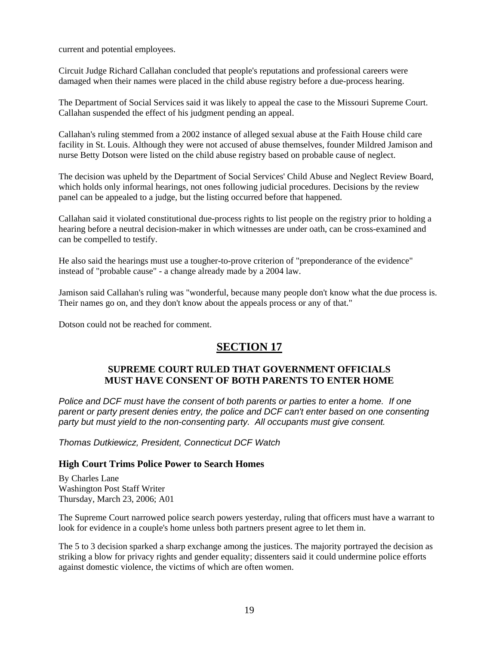current and potential employees.

Circuit Judge Richard Callahan concluded that people's reputations and professional careers were damaged when their names were placed in the child abuse registry before a due-process hearing.

The Department of Social Services said it was likely to appeal the case to the Missouri Supreme Court. Callahan suspended the effect of his judgment pending an appeal.

Callahan's ruling stemmed from a 2002 instance of alleged sexual abuse at the Faith House child care facility in St. Louis. Although they were not accused of abuse themselves, founder Mildred Jamison and nurse Betty Dotson were listed on the child abuse registry based on probable cause of neglect.

The decision was upheld by the Department of Social Services' Child Abuse and Neglect Review Board, which holds only informal hearings, not ones following judicial procedures. Decisions by the review panel can be appealed to a judge, but the listing occurred before that happened.

Callahan said it violated constitutional due-process rights to list people on the registry prior to holding a hearing before a neutral decision-maker in which witnesses are under oath, can be cross-examined and can be compelled to testify.

He also said the hearings must use a tougher-to-prove criterion of "preponderance of the evidence" instead of "probable cause" - a change already made by a 2004 law.

Jamison said Callahan's ruling was "wonderful, because many people don't know what the due process is. Their names go on, and they don't know about the appeals process or any of that."

Dotson could not be reached for comment.

### **SECTION 17**

### **SUPREME COURT RULED THAT GOVERNMENT OFFICIALS MUST HAVE CONSENT OF BOTH PARENTS TO ENTER HOME**

*Police and DCF must have the consent of both parents or parties to enter a home. If one parent or party present denies entry, the police and DCF can't enter based on one consenting party but must yield to the non-consenting party. All occupants must give consent.*

*Thomas Dutkiewicz, President, Connecticut DCF Watch*

### **High Court Trims Police Power to Search Homes**

By Charles Lane Washington Post Staff Writer Thursday, March 23, 2006; A01

The Supreme Court narrowed police search powers yesterday, ruling that officers must have a warrant to look for evidence in a couple's home unless both partners present agree to let them in.

The 5 to 3 decision sparked a sharp exchange among the justices. The majority portrayed the decision as striking a blow for privacy rights and gender equality; dissenters said it could undermine police efforts against domestic violence, the victims of which are often women.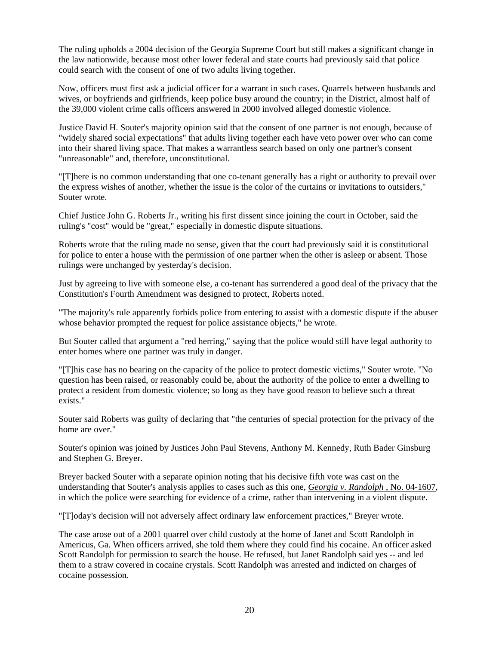The ruling upholds a 2004 decision of the Georgia Supreme Court but still makes a significant change in the law nationwide, because most other lower federal and state courts had previously said that police could search with the consent of one of two adults living together.

Now, officers must first ask a judicial officer for a warrant in such cases. Quarrels between husbands and wives, or boyfriends and girlfriends, keep police busy around the country; in the District, almost half of the 39,000 violent crime calls officers answered in 2000 involved alleged domestic violence.

Justice David H. Souter's majority opinion said that the consent of one partner is not enough, because of "widely shared social expectations" that adults living together each have veto power over who can come into their shared living space. That makes a warrantless search based on only one partner's consent "unreasonable" and, therefore, unconstitutional.

"[T]here is no common understanding that one co-tenant generally has a right or authority to prevail over the express wishes of another, whether the issue is the color of the curtains or invitations to outsiders," Souter wrote.

Chief Justice John G. Roberts Jr., writing his first dissent since joining the court in October, said the ruling's "cost" would be "great," especially in domestic dispute situations.

Roberts wrote that the ruling made no sense, given that the court had previously said it is constitutional for police to enter a house with the permission of one partner when the other is asleep or absent. Those rulings were unchanged by yesterday's decision.

Just by agreeing to live with someone else, a co-tenant has surrendered a good deal of the privacy that the Constitution's Fourth Amendment was designed to protect, Roberts noted.

"The majority's rule apparently forbids police from entering to assist with a domestic dispute if the abuser whose behavior prompted the request for police assistance objects," he wrote.

But Souter called that argument a "red herring," saying that the police would still have legal authority to enter homes where one partner was truly in danger.

"[T]his case has no bearing on the capacity of the police to protect domestic victims," Souter wrote. "No question has been raised, or reasonably could be, about the authority of the police to enter a dwelling to protect a resident from domestic violence; so long as they have good reason to believe such a threat exists."

Souter said Roberts was guilty of declaring that "the centuries of special protection for the privacy of the home are over."

Souter's opinion was joined by Justices John Paul Stevens, Anthony M. Kennedy, Ruth Bader Ginsburg and Stephen G. Breyer.

Breyer backed Souter with a separate opinion noting that his decisive fifth vote was cast on the understanding that Souter's analysis applies to cases such as this one, *Georgia v. Randolph* , No. 04-1607, in which the police were searching for evidence of a crime, rather than intervening in a violent dispute.

"[T]oday's decision will not adversely affect ordinary law enforcement practices," Breyer wrote.

The case arose out of a 2001 quarrel over child custody at the home of Janet and Scott Randolph in Americus, Ga. When officers arrived, she told them where they could find his cocaine. An officer asked Scott Randolph for permission to search the house. He refused, but Janet Randolph said yes -- and led them to a straw covered in cocaine crystals. Scott Randolph was arrested and indicted on charges of cocaine possession.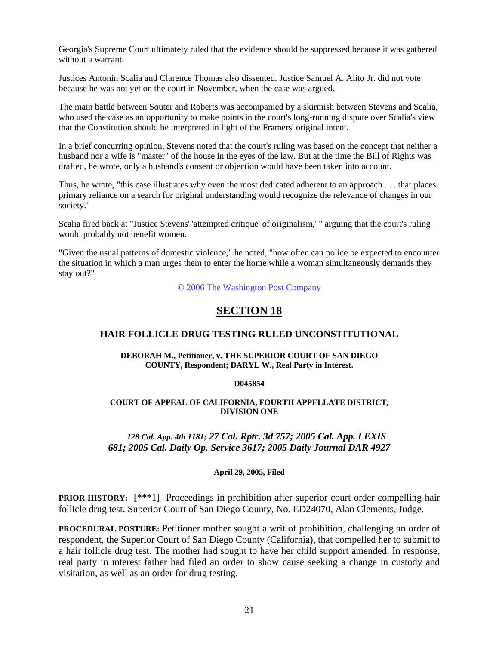Georgia's Supreme Court ultimately ruled that the evidence should be suppressed because it was gathered without a warrant.

Justices Antonin Scalia and Clarence Thomas also dissented. Justice Samuel A. Alito Jr. did not vote because he was not yet on the court in November, when the case was argued.

The main battle between Souter and Roberts was accompanied by a skirmish between Stevens and Scalia, who used the case as an opportunity to make points in the court's long-running dispute over Scalia's view that the Constitution should be interpreted in light of the Framers' original intent.

In a brief concurring opinion, Stevens noted that the court's ruling was based on the concept that neither a husband nor a wife is "master" of the house in the eyes of the law. But at the time the Bill of Rights was drafted, he wrote, only a husband's consent or objection would have been taken into account.

Thus, he wrote, "this case illustrates why even the most dedicated adherent to an approach . . . that places primary reliance on a search for original understanding would recognize the relevance of changes in our society."

Scalia fired back at "Justice Stevens' 'attempted critique' of originalism,' " arguing that the court's ruling would probably not benefit women.

"Given the usual patterns of domestic violence," he noted, "how often can police be expected to encounter the situation in which a man urges them to enter the home while a woman simultaneously demands they stay out?"

© 2006 The Washington Post Company

### **SECTION 18**

#### **HAIR FOLLICLE DRUG TESTING RULED UNCONSTITUTIONAL**

#### **DEBORAH M., Petitioner, v. THE SUPERIOR COURT OF SAN DIEGO COUNTY, Respondent; DARYL W., Real Party in Interest.**

#### **D045854**

#### **COURT OF APPEAL OF CALIFORNIA, FOURTH APPELLATE DISTRICT, DIVISION ONE**

#### *128 Cal. App. 4th 1181; 27 Cal. Rptr. 3d 757; 2005 Cal. App. LEXIS 681; 2005 Cal. Daily Op. Service 3617; 2005 Daily Journal DAR 4927*

#### **April 29, 2005, Filed**

**PRIOR HISTORY:**  $[***1]$  Proceedings in prohibition after superior court order compelling hair follicle drug test. Superior Court of San Diego County, No. ED24070, Alan Clements, Judge.

**PROCEDURAL POSTURE:** Petitioner mother sought a writ of prohibition, challenging an order of respondent, the Superior Court of San Diego County (California), that compelled her to submit to a hair follicle drug test. The mother had sought to have her child support amended. In response, real party in interest father had filed an order to show cause seeking a change in custody and visitation, as well as an order for drug testing.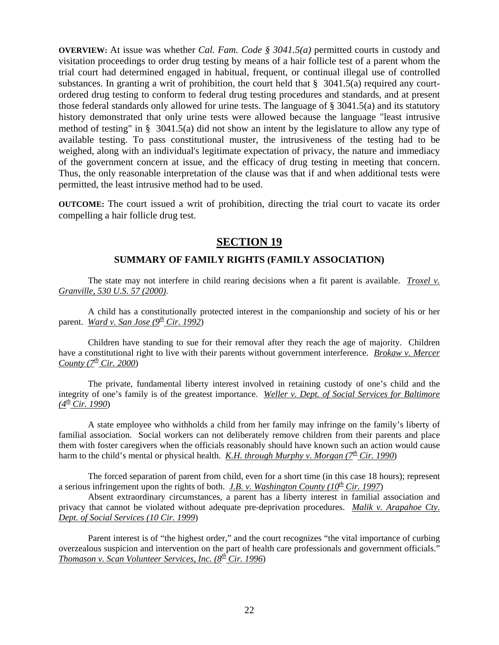<span id="page-36-0"></span>**OVERVIEW:** At issue was whether *Cal. Fam. Code § 3041.5(a)* permitted courts in custody and visitation proceedings to order drug testing by means of a hair follicle test of a parent whom the trial court had determined engaged in habitual, frequent, or continual illegal use of controlled substances. In granting a writ of prohibition, the court held that  $\S$  3041.5(a) required any courtordered drug testing to conform to federal drug testing procedures and standards, and at present those federal standards only allowed for urine tests. The language of § 3041.5(a) and its statutory history demonstrated that only urine tests were allowed because the language "least intrusive method of testing" in § 3041.5(a) did not show an intent by the legislature to allow any type of available testing. To pass constitutional muster, the intrusiveness of the testing had to be weighed, along with an individual's legitimate expectation of privacy, the nature and immediacy of the government concern at issue, and the efficacy of drug testing in meeting that concern. Thus, the only reasonable interpretation of the clause was that if and when additional tests were permitted, the least intrusive method had to be used.

**OUTCOME:** The court issued a writ of prohibition, directing the trial court to vacate its order compelling a hair follicle drug test.

### **SECTION 19**

### **SUMMARY OF FAMILY RIGHTS (FAMILY ASSOCIATION)**

The state may not interfere in child rearing decisions when a fit parent is available. *Troxel v. Granville, 530 U.S. 57 (2000)*.

A child has a constitutionally protected interest in the companionship and society of his or her parent. *Ward v. San Jose (9th Cir. 1992*)

Children have standing to sue for their removal after they reach the age of majority. Children have a constitutional right to live with their parents without government interference. *Brokaw v. Mercer County (* $7<sup>th</sup>$  *Cir. 2000)* 

The private, fundamental liberty interest involved in retaining custody of one's child and the integrity of one's family is of the greatest importance. *Weller v. Dept. of Social Services for Baltimore (4th Cir. 1990*)

A state employee who withholds a child from her family may infringe on the family's liberty of familial association. Social workers can not deliberately remove children from their parents and place them with foster caregivers when the officials reasonably should have known such an action would cause harm to the child's mental or physical health. *K.H. through Murphy v. Morgan (7th Cir. 1990*)

The forced separation of parent from child, even for a short time (in this case 18 hours); represent a serious infringement upon the rights of both. *J.B. v. Washington County (10<sup>th</sup> Cir. 1997)* 

Absent extraordinary circumstances, a parent has a liberty interest in familial association and privacy that cannot be violated without adequate pre-deprivation procedures. *Malik v. Arapahoe Cty. Dept. of Social Services (10 Cir. 1999*)

Parent interest is of "the highest order," and the court recognizes "the vital importance of curbing overzealous suspicion and intervention on the part of health care professionals and government officials." *Thomason v. Scan Volunteer Services, Inc. (8th Cir. 1996*)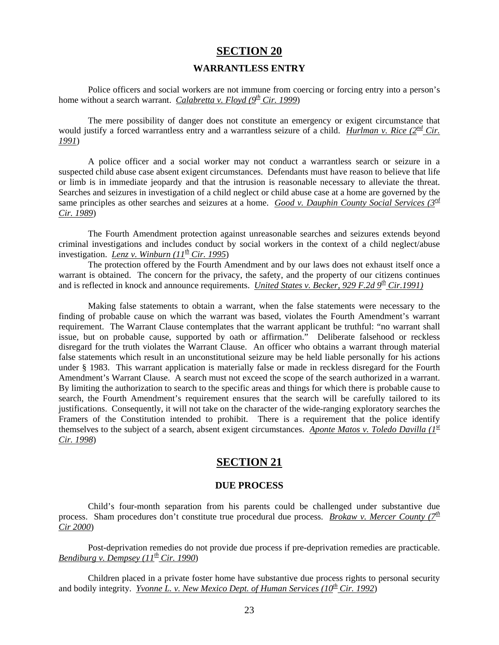### **SECTION 20**

### **WARRANTLESS ENTRY**

<span id="page-37-0"></span>Police officers and social workers are not immune from coercing or forcing entry into a person's home without a search warrant. *Calabretta v. Floyd (9<sup>th</sup> Cir. 1999)* 

The mere possibility of danger does not constitute an emergency or exigent circumstance that would justify a forced warrantless entry and a warrantless seizure of a child. *Hurlman v. Rice (2<sup>nd</sup> Cir. 1991*)

A police officer and a social worker may not conduct a warrantless search or seizure in a suspected child abuse case absent exigent circumstances. Defendants must have reason to believe that life or limb is in immediate jeopardy and that the intrusion is reasonable necessary to alleviate the threat. Searches and seizures in investigation of a child neglect or child abuse case at a home are governed by the same principles as other searches and seizures at a home. *Good v. Dauphin County Social Services (3rd Cir. 1989*)

The Fourth Amendment protection against unreasonable searches and seizures extends beyond criminal investigations and includes conduct by social workers in the context of a child neglect/abuse investigation. *Lenz v. Winburn* ( $11^{th}$  Cir. 1995)

The protection offered by the Fourth Amendment and by our laws does not exhaust itself once a warrant is obtained. The concern for the privacy, the safety, and the property of our citizens continues and is reflected in knock and announce requirements. *United States v. Becker*, 929 F.2d  $9<sup>th</sup>$  Cir.1991)

Making false statements to obtain a warrant, when the false statements were necessary to the finding of probable cause on which the warrant was based, violates the Fourth Amendment's warrant requirement. The Warrant Clause contemplates that the warrant applicant be truthful: "no warrant shall issue, but on probable cause, supported by oath or affirmation." Deliberate falsehood or reckless disregard for the truth violates the Warrant Clause. An officer who obtains a warrant through material false statements which result in an unconstitutional seizure may be held liable personally for his actions under § 1983. This warrant application is materially false or made in reckless disregard for the Fourth Amendment's Warrant Clause. A search must not exceed the scope of the search authorized in a warrant. By limiting the authorization to search to the specific areas and things for which there is probable cause to search, the Fourth Amendment's requirement ensures that the search will be carefully tailored to its justifications. Consequently, it will not take on the character of the wide-ranging exploratory searches the Framers of the Constitution intended to prohibit. There is a requirement that the police identify themselves to the subject of a search, absent exigent circumstances. *Aponte Matos v. Toledo Davilla*  $(I^{\underline{u}})$ *Cir. 1998*)

### **SECTION 21**

#### **DUE PROCESS**

Child's four-month separation from his parents could be challenged under substantive due process. Sham procedures don't constitute true procedural due process. *Brokaw v. Mercer County (7th Cir 2000*)

Post-deprivation remedies do not provide due process if pre-deprivation remedies are practicable. *Bendiburg v. Dempsey (11th Cir. 1990*)

Children placed in a private foster home have substantive due process rights to personal security and bodily integrity. *Yvonne L. v. New Mexico Dept. of Human Services* ( $10^{th}$  Cir. 1992)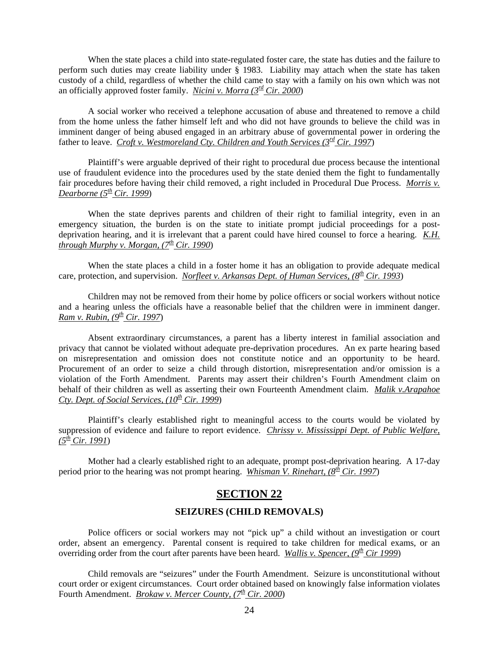<span id="page-38-0"></span>When the state places a child into state-regulated foster care, the state has duties and the failure to perform such duties may create liability under § 1983. Liability may attach when the state has taken custody of a child, regardless of whether the child came to stay with a family on his own which was not an officially approved foster family. *Nicini v. Morra (3rd Cir. 2000*)

A social worker who received a telephone accusation of abuse and threatened to remove a child from the home unless the father himself left and who did not have grounds to believe the child was in imminent danger of being abused engaged in an arbitrary abuse of governmental power in ordering the father to leave. *Croft v. Westmoreland Cty. Children and Youth Services (3<sup>rd</sup> Cir. 1997)* 

Plaintiff's were arguable deprived of their right to procedural due process because the intentional use of fraudulent evidence into the procedures used by the state denied them the fight to fundamentally fair procedures before having their child removed, a right included in Procedural Due Process. *Morris v. Dearborne (5th Cir. 1999*)

When the state deprives parents and children of their right to familial integrity, even in an emergency situation, the burden is on the state to initiate prompt judicial proceedings for a postdeprivation hearing, and it is irrelevant that a parent could have hired counsel to force a hearing. *K.H. through Murphy v. Morgan,*  $(7<sup>th</sup>$  *Cir. 1990*)

When the state places a child in a foster home it has an obligation to provide adequate medical care, protection, and supervision. *Norfleet v. Arkansas Dept. of Human Services,*  $(8^{th}$  Cir. 1993)

Children may not be removed from their home by police officers or social workers without notice and a hearing unless the officials have a reasonable belief that the children were in imminent danger. *Ram v. Rubin, (9<sup>th</sup> Cir. 1997)* 

Absent extraordinary circumstances, a parent has a liberty interest in familial association and privacy that cannot be violated without adequate pre-deprivation procedures. An ex parte hearing based on misrepresentation and omission does not constitute notice and an opportunity to be heard. Procurement of an order to seize a child through distortion, misrepresentation and/or omission is a violation of the Forth Amendment. Parents may assert their children's Fourth Amendment claim on behalf of their children as well as asserting their own Fourteenth Amendment claim. *Malik v.Arapahoe Cty. Dept. of Social Services, (10<sup>th</sup> Cir. 1999)* 

Plaintiff's clearly established right to meaningful access to the courts would be violated by suppression of evidence and failure to report evidence. *Chrissy v. Mississippi Dept. of Public Welfare, (5th Cir. 1991*)

Mother had a clearly established right to an adequate, prompt post-deprivation hearing. A 17-day period prior to the hearing was not prompt hearing. *Whisman V. Rinehart,*  $(8^{t\hbar}$  Cir. 1997)

### **SECTION 22**

#### **SEIZURES (CHILD REMOVALS)**

Police officers or social workers may not "pick up" a child without an investigation or court order, absent an emergency. Parental consent is required to take children for medical exams, or an overriding order from the court after parents have been heard. *Wallis v. Spencer,* ( $9<sup>th</sup>$  Cir 1999)

Child removals are "seizures" under the Fourth Amendment. Seizure is unconstitutional without court order or exigent circumstances. Court order obtained based on knowingly false information violates Fourth Amendment. *Brokaw v. Mercer County,* ( $7<sup>th</sup> Cir. 2000$ )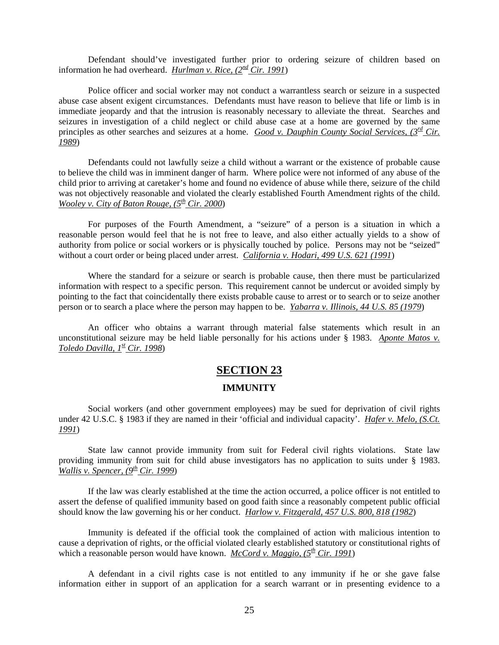<span id="page-39-0"></span>Defendant should've investigated further prior to ordering seizure of children based on information he had overheard. *Hurlman v. Rice, (2nd Cir. 1991*)

Police officer and social worker may not conduct a warrantless search or seizure in a suspected abuse case absent exigent circumstances. Defendants must have reason to believe that life or limb is in immediate jeopardy and that the intrusion is reasonably necessary to alleviate the threat. Searches and seizures in investigation of a child neglect or child abuse case at a home are governed by the same principles as other searches and seizures at a home. *Good v. Dauphin County Social Services, (3rd Cir. 1989*)

Defendants could not lawfully seize a child without a warrant or the existence of probable cause to believe the child was in imminent danger of harm. Where police were not informed of any abuse of the child prior to arriving at caretaker's home and found no evidence of abuse while there, seizure of the child was not objectively reasonable and violated the clearly established Fourth Amendment rights of the child. *<u>Wooley v. City of Baton Rouge, (5<sup>th</sup> Cir. 2000)</u>* 

For purposes of the Fourth Amendment, a "seizure" of a person is a situation in which a reasonable person would feel that he is not free to leave, and also either actually yields to a show of authority from police or social workers or is physically touched by police. Persons may not be "seized" without a court order or being placed under arrest. *California v. Hodari, 499 U.S. 621 (1991*)

Where the standard for a seizure or search is probable cause, then there must be particularized information with respect to a specific person. This requirement cannot be undercut or avoided simply by pointing to the fact that coincidentally there exists probable cause to arrest or to search or to seize another person or to search a place where the person may happen to be. *Yabarra v. Illinois, 44 U.S. 85 (1979*)

An officer who obtains a warrant through material false statements which result in an unconstitutional seizure may be held liable personally for his actions under § 1983. *Aponte Matos v. Toledo Davilla, 1st Cir. 1998*)

### **SECTION 23**

#### **IMMUNITY**

Social workers (and other government employees) may be sued for deprivation of civil rights under 42 U.S.C. § 1983 if they are named in their 'official and individual capacity'. *Hafer v. Melo, (S.Ct. 1991*)

State law cannot provide immunity from suit for Federal civil rights violations. State law providing immunity from suit for child abuse investigators has no application to suits under § 1983. *Wallis v. Spencer, (9th Cir. 1999*)

If the law was clearly established at the time the action occurred, a police officer is not entitled to assert the defense of qualified immunity based on good faith since a reasonably competent public official should know the law governing his or her conduct. *Harlow v. Fitzgerald, 457 U.S. 800, 818 (1982*)

Immunity is defeated if the official took the complained of action with malicious intention to cause a deprivation of rights, or the official violated clearly established statutory or constitutional rights of which a reasonable person would have known. *McCord v. Maggio, (5<sup>th</sup> Cir. 1991)* 

A defendant in a civil rights case is not entitled to any immunity if he or she gave false information either in support of an application for a search warrant or in presenting evidence to a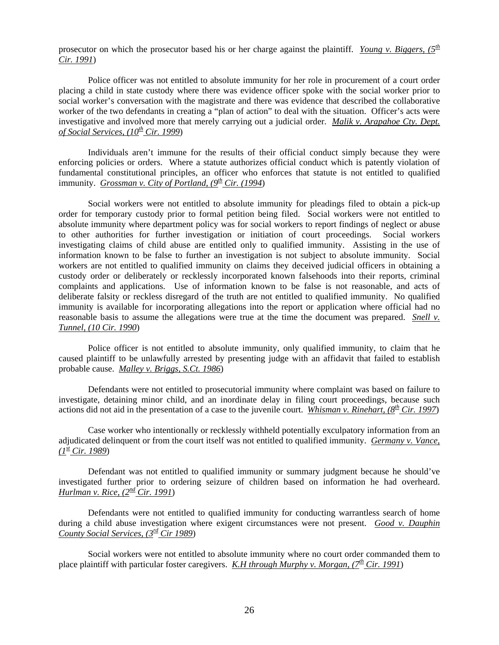prosecutor on which the prosecutor based his or her charge against the plaintiff. *Young v. Biggers, (5th Cir. 1991*)

Police officer was not entitled to absolute immunity for her role in procurement of a court order placing a child in state custody where there was evidence officer spoke with the social worker prior to social worker's conversation with the magistrate and there was evidence that described the collaborative worker of the two defendants in creating a "plan of action" to deal with the situation. Officer's acts were investigative and involved more that merely carrying out a judicial order. *Malik v. Arapahoe Cty. Dept. of Social Services, (10th Cir. 1999*)

Individuals aren't immune for the results of their official conduct simply because they were enforcing policies or orders. Where a statute authorizes official conduct which is patently violation of fundamental constitutional principles, an officer who enforces that statute is not entitled to qualified immunity. *Grossman v. City of Portland,*  $(9<sup>th</sup> Cir. (1994)$ 

Social workers were not entitled to absolute immunity for pleadings filed to obtain a pick-up order for temporary custody prior to formal petition being filed. Social workers were not entitled to absolute immunity where department policy was for social workers to report findings of neglect or abuse to other authorities for further investigation or initiation of court proceedings. Social workers investigating claims of child abuse are entitled only to qualified immunity. Assisting in the use of information known to be false to further an investigation is not subject to absolute immunity. Social workers are not entitled to qualified immunity on claims they deceived judicial officers in obtaining a custody order or deliberately or recklessly incorporated known falsehoods into their reports, criminal complaints and applications. Use of information known to be false is not reasonable, and acts of deliberate falsity or reckless disregard of the truth are not entitled to qualified immunity. No qualified immunity is available for incorporating allegations into the report or application where official had no reasonable basis to assume the allegations were true at the time the document was prepared. *Snell v. Tunnel, (10 Cir. 1990*)

Police officer is not entitled to absolute immunity, only qualified immunity, to claim that he caused plaintiff to be unlawfully arrested by presenting judge with an affidavit that failed to establish probable cause. *Malley v. Briggs, S.Ct. 1986*)

Defendants were not entitled to prosecutorial immunity where complaint was based on failure to investigate, detaining minor child, and an inordinate delay in filing court proceedings, because such actions did not aid in the presentation of a case to the juvenile court. *Whisman v. Rinehart, (* $8<sup>th</sup>$ *Cir. 1997*)

Case worker who intentionally or recklessly withheld potentially exculpatory information from an adjudicated delinquent or from the court itself was not entitled to qualified immunity. *Germany v. Vance, (1st Cir. 1989*)

Defendant was not entitled to qualified immunity or summary judgment because he should've investigated further prior to ordering seizure of children based on information he had overheard. *Hurlman v. Rice, (2nd Cir. 1991*)

Defendants were not entitled to qualified immunity for conducting warrantless search of home during a child abuse investigation where exigent circumstances were not present. *Good v. Dauphin County Social Services, (3rd Cir 1989*)

Social workers were not entitled to absolute immunity where no court order commanded them to place plaintiff with particular foster caregivers. *K.H through Murphy v. Morgan,* ( $7<sup>th</sup>$  Cir. 1991)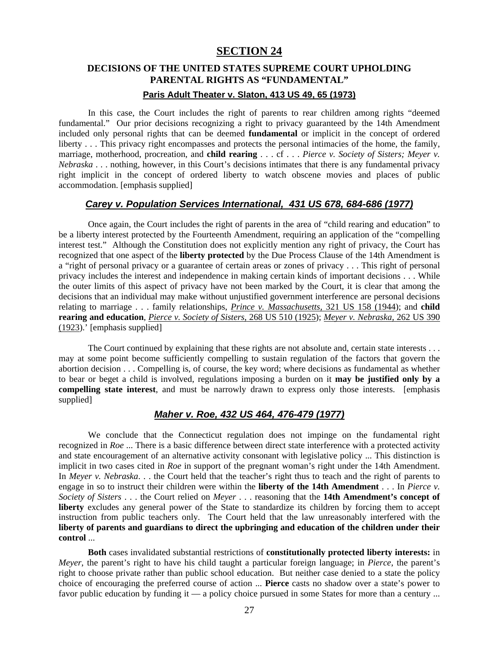### **SECTION 24**

### <span id="page-41-0"></span>**DECISIONS OF THE UNITED STATES SUPREME COURT UPHOLDING PARENTAL RIGHTS AS "FUNDAMENTAL"**

#### **Paris Adult Theater v. Slaton, 413 US 49, 65 (1973)**

In this case, the Court includes the right of parents to rear children among rights "deemed fundamental." Our prior decisions recognizing a right to privacy guaranteed by the 14th Amendment included only personal rights that can be deemed **fundamental** or implicit in the concept of ordered liberty . . . This privacy right encompasses and protects the personal intimacies of the home, the family, marriage, motherhood, procreation, and **child rearing** . . . cf . . . *Pierce v. Society of Sisters; Meyer v. Nebraska* . . . nothing, however, in this Court's decisions intimates that there is any fundamental privacy right implicit in the concept of ordered liberty to watch obscene movies and places of public accommodation. [emphasis supplied]

#### *Carey v. Population Services International, 431 US 678, 684-686 (1977)*

Once again, the Court includes the right of parents in the area of "child rearing and education" to be a liberty interest protected by the Fourteenth Amendment, requiring an application of the "compelling interest test." Although the Constitution does not explicitly mention any right of privacy, the Court has recognized that one aspect of the **liberty protected** by the Due Process Clause of the 14th Amendment is a "right of personal privacy or a guarantee of certain areas or zones of privacy . . . This right of personal privacy includes the interest and independence in making certain kinds of important decisions . . . While the outer limits of this aspect of privacy have not been marked by the Court, it is clear that among the decisions that an individual may make without unjustified government interference are personal decisions relating to marriage . . . family relationships, *Prince v. Massachusetts*, 321 US 158 (1944); and **child rearing and education**, *Pierce v. Society of Sisters*, 268 US 510 (1925); *Meyer v. Nebraska*, 262 US 390 (1923).' [emphasis supplied]

The Court continued by explaining that these rights are not absolute and, certain state interests . . . may at some point become sufficiently compelling to sustain regulation of the factors that govern the abortion decision . . . Compelling is, of course, the key word; where decisions as fundamental as whether to bear or beget a child is involved, regulations imposing a burden on it **may be justified only by a compelling state interest**, and must be narrowly drawn to express only those interests. [emphasis supplied]

#### *Maher v. Roe, 432 US 464, 476-479 (1977)*

We conclude that the Connecticut regulation does not impinge on the fundamental right recognized in *Roe* ... There is a basic difference between direct state interference with a protected activity and state encouragement of an alternative activity consonant with legislative policy ... This distinction is implicit in two cases cited in *Roe* in support of the pregnant woman's right under the 14th Amendment. In *Meyer v. Nebraska*. . . the Court held that the teacher's right thus to teach and the right of parents to engage in so to instruct their children were within the **liberty of the 14th Amendment** . . . In *Pierce v. Society of Sisters* . . . the Court relied on *Meyer* . . . reasoning that the **14th Amendment's concept of liberty** excludes any general power of the State to standardize its children by forcing them to accept instruction from public teachers only. The Court held that the law unreasonably interfered with the **liberty of parents and guardians to direct the upbringing and education of the children under their control** ...

**Both** cases invalidated substantial restrictions of **constitutionally protected liberty interests:** in *Meyer*, the parent's right to have his child taught a particular foreign language; in *Pierce*, the parent's right to choose private rather than public school education. But neither case denied to a state the policy choice of encouraging the preferred course of action ... **Pierce** casts no shadow over a state's power to favor public education by funding it — a policy choice pursued in some States for more than a century ...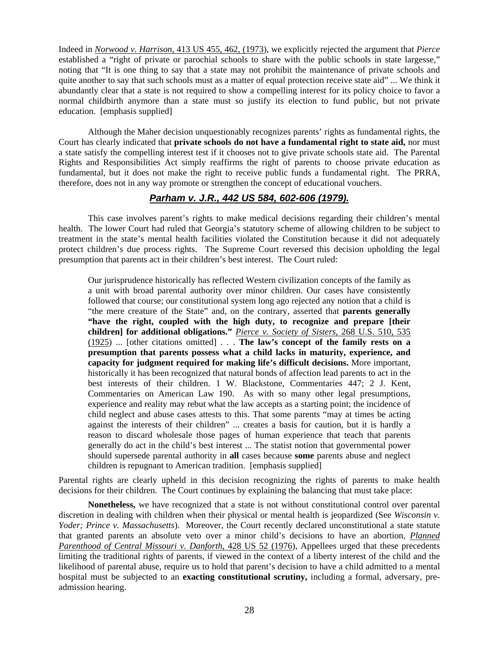Indeed in *Norwood v. Harrison*, 413 US 455, 462, (1973), we explicitly rejected the argument that *Pierce* established a "right of private or parochial schools to share with the public schools in state largesse," noting that "It is one thing to say that a state may not prohibit the maintenance of private schools and quite another to say that such schools must as a matter of equal protection receive state aid" ... We think it abundantly clear that a state is not required to show a compelling interest for its policy choice to favor a normal childbirth anymore than a state must so justify its election to fund public, but not private education. [emphasis supplied]

Although the Maher decision unquestionably recognizes parents' rights as fundamental rights, the Court has clearly indicated that **private schools do not have a fundamental right to state aid,** nor must a state satisfy the compelling interest test if it chooses not to give private schools state aid. The Parental Rights and Responsibilities Act simply reaffirms the right of parents to choose private education as fundamental, but it does not make the right to receive public funds a fundamental right. The PRRA, therefore, does not in any way promote or strengthen the concept of educational vouchers.

### *Parham v. J.R., 442 US 584, 602-606 (1979).*

This case involves parent's rights to make medical decisions regarding their children's mental health. The lower Court had ruled that Georgia's statutory scheme of allowing children to be subject to treatment in the state's mental health facilities violated the Constitution because it did not adequately protect children's due process rights. The Supreme Court reversed this decision upholding the legal presumption that parents act in their children's best interest. The Court ruled:

Our jurisprudence historically has reflected Western civilization concepts of the family as a unit with broad parental authority over minor children. Our cases have consistently followed that course; our constitutional system long ago rejected any notion that a child is "the mere creature of the State" and, on the contrary, asserted that **parents generally "have the right, coupled with the high duty, to recognize and prepare [their children] for additional obligations."** *Pierce v. Society of Sisters*, 268 U.S. 510, 535 (1925) ... [other citations omitted] . . . **The law's concept of the family rests on a presumption that parents possess what a child lacks in maturity, experience, and capacity for judgment required for making life's difficult decisions.** More important, historically it has been recognized that natural bonds of affection lead parents to act in the best interests of their children. 1 W. Blackstone, Commentaries 447; 2 J. Kent, Commentaries on American Law 190. As with so many other legal presumptions, experience and reality may rebut what the law accepts as a starting point; the incidence of child neglect and abuse cases attests to this. That some parents "may at times be acting against the interests of their children" ... creates a basis for caution, but it is hardly a reason to discard wholesale those pages of human experience that teach that parents generally do act in the child's best interest ... The statist notion that governmental power should supersede parental authority in **all** cases because **some** parents abuse and neglect children is repugnant to American tradition. [emphasis supplied]

Parental rights are clearly upheld in this decision recognizing the rights of parents to make health decisions for their children. The Court continues by explaining the balancing that must take place:

**Nonetheless,** we have recognized that a state is not without constitutional control over parental discretion in dealing with children when their physical or mental health is jeopardized (See *Wisconsin v. Yoder; Prince v. Massachusetts*). Moreover, the Court recently declared unconstitutional a state statute that granted parents an absolute veto over a minor child's decisions to have an abortion, *Planned Parenthood of Central Missouri v. Danforth*, 428 US 52 (1976), Appellees urged that these precedents limiting the traditional rights of parents, if viewed in the context of a liberty interest of the child and the likelihood of parental abuse, require us to hold that parent's decision to have a child admitted to a mental hospital must be subjected to an **exacting constitutional scrutiny,** including a formal, adversary, preadmission hearing.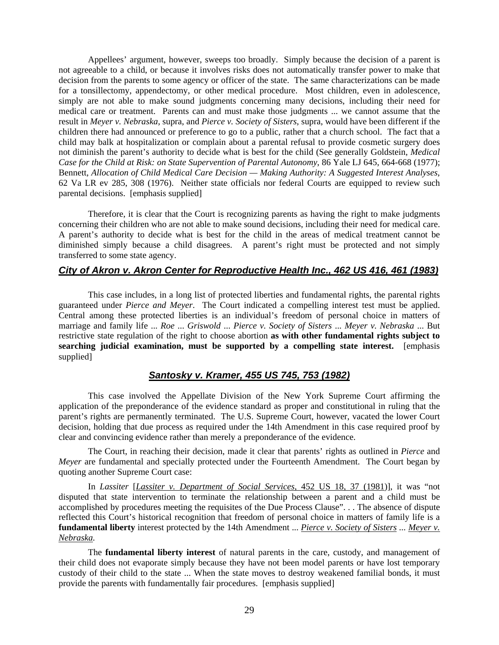Appellees' argument, however, sweeps too broadly. Simply because the decision of a parent is not agreeable to a child, or because it involves risks does not automatically transfer power to make that decision from the parents to some agency or officer of the state. The same characterizations can be made for a tonsillectomy, appendectomy, or other medical procedure. Most children, even in adolescence, simply are not able to make sound judgments concerning many decisions, including their need for medical care or treatment. Parents can and must make those judgments ... we cannot assume that the result in *Meyer v. Nebraska*, supra, and *Pierce v. Society of Sisters*, supra, would have been different if the children there had announced or preference to go to a public, rather that a church school. The fact that a child may balk at hospitalization or complain about a parental refusal to provide cosmetic surgery does not diminish the parent's authority to decide what is best for the child (See generally Goldstein, *Medical Case for the Child at Risk: on State Supervention of Parental Autonomy*, 86 Yale LJ 645, 664-668 (1977); Bennett, *Allocation of Child Medical Care Decision — Making Authority: A Suggested Interest Analyses*, 62 Va LR ev 285, 308 (1976). Neither state officials nor federal Courts are equipped to review such parental decisions. [emphasis supplied]

Therefore, it is clear that the Court is recognizing parents as having the right to make judgments concerning their children who are not able to make sound decisions, including their need for medical care. A parent's authority to decide what is best for the child in the areas of medical treatment cannot be diminished simply because a child disagrees. A parent's right must be protected and not simply transferred to some state agency.

### *City of Akron v. Akron Center for Reproductive Health Inc., 462 US 416, 461 (1983)*

This case includes, in a long list of protected liberties and fundamental rights, the parental rights guaranteed under *Pierce and Meyer*. The Court indicated a compelling interest test must be applied. Central among these protected liberties is an individual's freedom of personal choice in matters of marriage and family life ... *Roe* ... *Griswold* ... *Pierce v. Society of Sisters* ... *Meyer v. Nebraska* ... But restrictive state regulation of the right to choose abortion **as with other fundamental rights subject to searching judicial examination, must be supported by a compelling state interest.** [emphasis supplied]

### *Santosky v. Kramer, 455 US 745, 753 (1982)*

This case involved the Appellate Division of the New York Supreme Court affirming the application of the preponderance of the evidence standard as proper and constitutional in ruling that the parent's rights are permanently terminated. The U.S. Supreme Court, however, vacated the lower Court decision, holding that due process as required under the 14th Amendment in this case required proof by clear and convincing evidence rather than merely a preponderance of the evidence.

The Court, in reaching their decision, made it clear that parents' rights as outlined in *Pierce* and *Meyer* are fundamental and specially protected under the Fourteenth Amendment. The Court began by quoting another Supreme Court case:

In *Lassiter* [*Lassiter v. Department of Social Services*, 452 US 18, 37 (1981)], it was "not disputed that state intervention to terminate the relationship between a parent and a child must be accomplished by procedures meeting the requisites of the Due Process Clause". . . The absence of dispute reflected this Court's historical recognition that freedom of personal choice in matters of family life is a **fundamental liberty** interest protected by the 14th Amendment ... *Pierce v. Society of Sisters ... Meyer v. Nebraska.* 

The **fundamental liberty interest** of natural parents in the care, custody, and management of their child does not evaporate simply because they have not been model parents or have lost temporary custody of their child to the state ... When the state moves to destroy weakened familial bonds, it must provide the parents with fundamentally fair procedures. [emphasis supplied]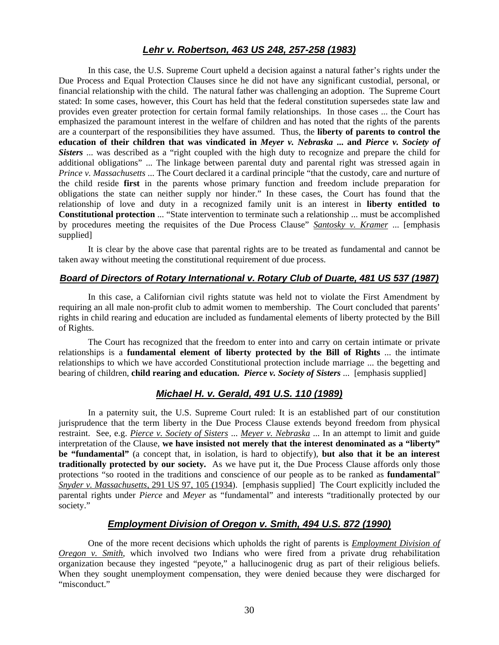### *Lehr v. Robertson, 463 US 248, 257-258 (1983)*

In this case, the U.S. Supreme Court upheld a decision against a natural father's rights under the Due Process and Equal Protection Clauses since he did not have any significant custodial, personal, or financial relationship with the child. The natural father was challenging an adoption. The Supreme Court stated: In some cases, however, this Court has held that the federal constitution supersedes state law and provides even greater protection for certain formal family relationships. In those cases ... the Court has emphasized the paramount interest in the welfare of children and has noted that the rights of the parents are a counterpart of the responsibilities they have assumed. Thus, the **liberty of parents to control the education of their children that was vindicated in** *Meyer v. Nebraska* **... and** *Pierce v. Society of Sisters* ... was described as a "right coupled with the high duty to recognize and prepare the child for additional obligations" ... The linkage between parental duty and parental right was stressed again in *Prince v. Massachusetts* ... The Court declared it a cardinal principle "that the custody, care and nurture of the child reside **first** in the parents whose primary function and freedom include preparation for obligations the state can neither supply nor hinder." In these cases, the Court has found that the relationship of love and duty in a recognized family unit is an interest in **liberty entitled to Constitutional protection** ... "State intervention to terminate such a relationship ... must be accomplished by procedures meeting the requisites of the Due Process Clause" *Santosky v. Kramer* ... [emphasis supplied]

It is clear by the above case that parental rights are to be treated as fundamental and cannot be taken away without meeting the constitutional requirement of due process.

### *Board of Directors of Rotary International v. Rotary Club of Duarte, 481 US 537 (1987)*

In this case, a Californian civil rights statute was held not to violate the First Amendment by requiring an all male non-profit club to admit women to membership. The Court concluded that parents' rights in child rearing and education are included as fundamental elements of liberty protected by the Bill of Rights.

The Court has recognized that the freedom to enter into and carry on certain intimate or private relationships is a **fundamental element of liberty protected by the Bill of Rights** ... the intimate relationships to which we have accorded Constitutional protection include marriage ... the begetting and bearing of children, **child rearing and education.** *Pierce v. Society of Sisters* ... [emphasis supplied]

### *Michael H. v. Gerald, 491 U.S. 110 (1989)*

In a paternity suit, the U.S. Supreme Court ruled: It is an established part of our constitution jurisprudence that the term liberty in the Due Process Clause extends beyond freedom from physical restraint. See, e.g. *Pierce v. Society of Sisters* ... *Meyer v. Nebraska* ... In an attempt to limit and guide interpretation of the Clause, **we have insisted not merely that the interest denominated as a "liberty" be "fundamental"** (a concept that, in isolation, is hard to objectify), **but also that it be an interest traditionally protected by our society.** As we have put it, the Due Process Clause affords only those protections "so rooted in the traditions and conscience of our people as to be ranked as **fundamental**" *Snyder v. Massachusetts*, 291 US 97, 105 (1934). [emphasis supplied] The Court explicitly included the parental rights under *Pierce* and *Meyer* as "fundamental" and interests "traditionally protected by our society."

### *Employment Division of Oregon v. Smith, 494 U.S. 872 (1990)*

One of the more recent decisions which upholds the right of parents is *Employment Division of Oregon v. Smith*, which involved two Indians who were fired from a private drug rehabilitation organization because they ingested "peyote," a hallucinogenic drug as part of their religious beliefs. When they sought unemployment compensation, they were denied because they were discharged for "misconduct."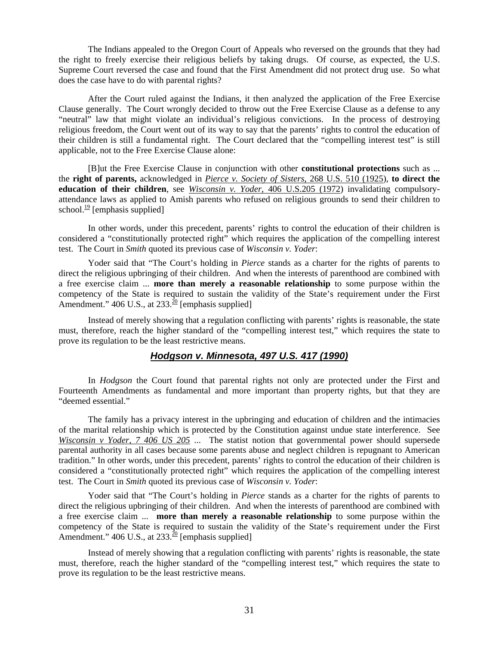The Indians appealed to the Oregon Court of Appeals who reversed on the grounds that they had the right to freely exercise their religious beliefs by taking drugs. Of course, as expected, the U.S. Supreme Court reversed the case and found that the First Amendment did not protect drug use. So what does the case have to do with parental rights?

After the Court ruled against the Indians, it then analyzed the application of the Free Exercise Clause generally. The Court wrongly decided to throw out the Free Exercise Clause as a defense to any "neutral" law that might violate an individual's religious convictions. In the process of destroying religious freedom, the Court went out of its way to say that the parents' rights to control the education of their children is still a fundamental right. The Court declared that the "compelling interest test" is still applicable, not to the Free Exercise Clause alone:

[B]ut the Free Exercise Clause in conjunction with other **constitutional protections** such as ... the **right of parents,** acknowledged in *Pierce v. Society of Sisters*, 268 U.S. 510 (1925), **to direct the education of their children**, see *Wisconsin v. Yoder*, 406 U.S.205 (1972) invalidating compulsoryattendance laws as applied to Amish parents who refused on religious grounds to send their children to school. $\frac{19}{2}$  [emphasis supplied]

In other words, under this precedent, parents' rights to control the education of their children is considered a "constitutionally protected right" which requires the application of the compelling interest test. The Court in *Smith* quoted its previous case of *Wisconsin v. Yoder*:

Yoder said that "The Court's holding in *Pierce* stands as a charter for the rights of parents to direct the religious upbringing of their children. And when the interests of parenthood are combined with a free exercise claim ... **more than merely a reasonable relationship** to some purpose within the competency of the State is required to sustain the validity of the State's requirement under the First Amendment." 406 U.S., at  $233.\overline{20}$  [emphasis supplied]

Instead of merely showing that a regulation conflicting with parents' rights is reasonable, the state must, therefore, reach the higher standard of the "compelling interest test," which requires the state to prove its regulation to be the least restrictive means.

### *Hodgson v. Minnesota, 497 U.S. 417 (1990)*

In *Hodgson* the Court found that parental rights not only are protected under the First and Fourteenth Amendments as fundamental and more important than property rights, but that they are "deemed essential."

The family has a privacy interest in the upbringing and education of children and the intimacies of the marital relationship which is protected by the Constitution against undue state interference. See *Wisconsin v Yoder, 7 406 US 205* ... The statist notion that governmental power should supersede parental authority in all cases because some parents abuse and neglect children is repugnant to American tradition." In other words, under this precedent, parents' rights to control the education of their children is considered a "constitutionally protected right" which requires the application of the compelling interest test. The Court in *Smith* quoted its previous case of *Wisconsin v. Yoder*:

Yoder said that "The Court's holding in *Pierce* stands as a charter for the rights of parents to direct the religious upbringing of their children. And when the interests of parenthood are combined with a free exercise claim ... **more than merely a reasonable relationship** to some purpose within the competency of the State is required to sustain the validity of the State's requirement under the First Amendment." 406 U.S., at  $233.\overline{20}$  [emphasis supplied]

Instead of merely showing that a regulation conflicting with parents' rights is reasonable, the state must, therefore, reach the higher standard of the "compelling interest test," which requires the state to prove its regulation to be the least restrictive means.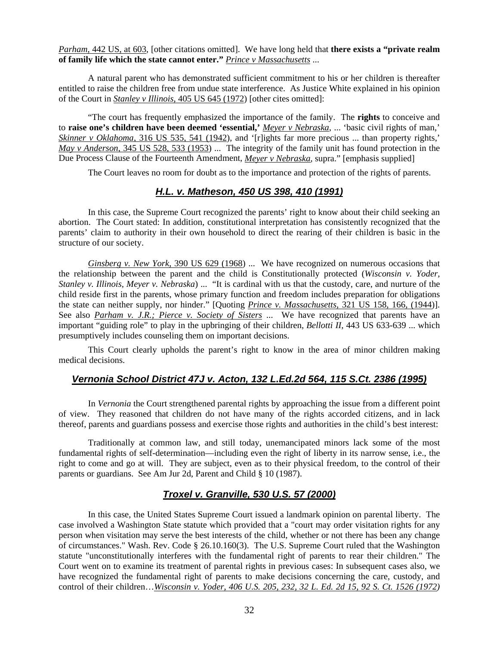*Parham*, 442 US, at 603, [other citations omitted]. We have long held that **there exists a "private realm of family life which the state cannot enter."** *Prince v Massachusetts* ...

A natural parent who has demonstrated sufficient commitment to his or her children is thereafter entitled to raise the children free from undue state interference. As Justice White explained in his opinion of the Court in *Stanley v Illinois*, 405 US 645 (1972) [other cites omitted]:

"The court has frequently emphasized the importance of the family. The **rights** to conceive and to **raise one's children have been deemed 'essential,'** *Meyer v Nebraska*, ... 'basic civil rights of man,' *Skinner v Oklahoma*, 316 US 535, 541 (1942), and '[r]ights far more precious ... than property rights,' *May v Anderson*, 345 US 528, 533 (1953) ... The integrity of the family unit has found protection in the Due Process Clause of the Fourteenth Amendment, *Meyer v Nebraska*, supra." [emphasis supplied]

The Court leaves no room for doubt as to the importance and protection of the rights of parents.

#### *H.L. v. Matheson, 450 US 398, 410 (1991)*

In this case, the Supreme Court recognized the parents' right to know about their child seeking an abortion. The Court stated: In addition, constitutional interpretation has consistently recognized that the parents' claim to authority in their own household to direct the rearing of their children is basic in the structure of our society.

*Ginsberg v. New York*, 390 US 629 (1968) ... We have recognized on numerous occasions that the relationship between the parent and the child is Constitutionally protected (*Wisconsin v. Yoder, Stanley v. Illinois, Meyer v. Nebraska*) ... "It is cardinal with us that the custody, care, and nurture of the child reside first in the parents, whose primary function and freedom includes preparation for obligations the state can neither supply, nor hinder." [Quoting *Prince v. Massachusetts*, 321 US 158, 166, (1944)]. See also *Parham v. J.R.; Pierce v. Society of Sisters* ... We have recognized that parents have an important "guiding role" to play in the upbringing of their children, *Bellotti II*, 443 US 633-639 ... which presumptively includes counseling them on important decisions.

This Court clearly upholds the parent's right to know in the area of minor children making medical decisions.

### *Vernonia School District 47J v. Acton, 132 L.Ed.2d 564, 115 S.Ct. 2386 (1995)*

In *Vernonia* the Court strengthened parental rights by approaching the issue from a different point of view. They reasoned that children do not have many of the rights accorded citizens, and in lack thereof, parents and guardians possess and exercise those rights and authorities in the child's best interest:

Traditionally at common law, and still today, unemancipated minors lack some of the most fundamental rights of self-determination—including even the right of liberty in its narrow sense, i.e., the right to come and go at will. They are subject, even as to their physical freedom, to the control of their parents or guardians. See Am Jur 2d, Parent and Child § 10 (1987).

### *Troxel v. Granville, 530 U.S. 57 (2000)*

In this case, the United States Supreme Court issued a landmark opinion on parental liberty. The case involved a Washington State statute which provided that a "court may order visitation rights for any person when visitation may serve the best interests of the child, whether or not there has been any change of circumstances." Wash. Rev. Code § 26.10.160(3). The U.S. Supreme Court ruled that the Washington statute "unconstitutionally interferes with the fundamental right of parents to rear their children." The Court went on to examine its treatment of parental rights in previous cases: In subsequent cases also, we have recognized the fundamental right of parents to make decisions concerning the care, custody, and control of their children…*Wisconsin v. Yoder, 406 U.S. 205, 232, 32 L. Ed. 2d 15, 92 S. Ct. 1526 (1972)*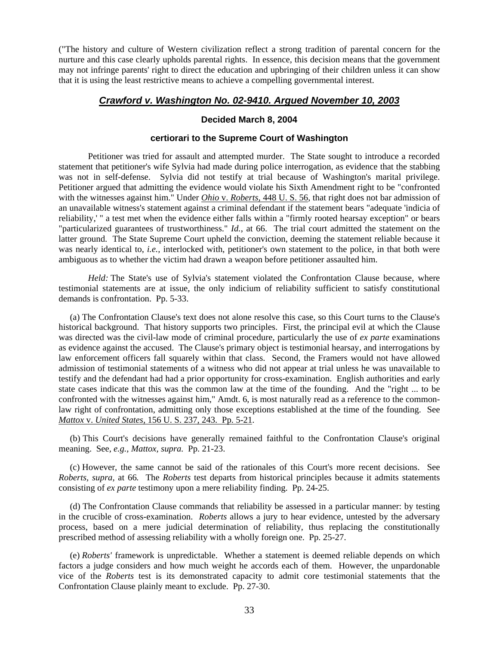("The history and culture of Western civilization reflect a strong tradition of parental concern for the nurture and this case clearly upholds parental rights. In essence, this decision means that the government may not infringe parents' right to direct the education and upbringing of their children unless it can show that it is using the least restrictive means to achieve a compelling governmental interest.

### *Crawford v. Washington No. 02-9410. Argued November 10, 2003*

#### **Decided March 8, 2004**

#### **certiorari to the Supreme Court of Washington**

Petitioner was tried for assault and attempted murder. The State sought to introduce a recorded statement that petitioner's wife Sylvia had made during police interrogation, as evidence that the stabbing was not in self-defense. Sylvia did not testify at trial because of Washington's marital privilege. Petitioner argued that admitting the evidence would violate his Sixth Amendment right to be "confronted with the witnesses against him." Under *Ohio* v. *Roberts,* [448 U. S. 56](http://caselaw.lp.findlaw.com/cgi-bin/getcase.pl?friend=usatoday&navby=case&court=US&vol=448&invol=56), that right does not bar admission of an unavailable witness's statement against a criminal defendant if the statement bears "adequate 'indicia of reliability,' " a test met when the evidence either falls within a "firmly rooted hearsay exception" or bears "particularized guarantees of trustworthiness." *Id.*, at 66. The trial court admitted the statement on the latter ground. The State Supreme Court upheld the conviction, deeming the statement reliable because it was nearly identical to, *i.e.*, interlocked with, petitioner's own statement to the police, in that both were ambiguous as to whether the victim had drawn a weapon before petitioner assaulted him.

*Held:* The State's use of Sylvia's statement violated the Confrontation Clause because, where testimonial statements are at issue, the only indicium of reliability sufficient to satisfy constitutional demands is confrontation. Pp. 5-33.

 (a) The Confrontation Clause's text does not alone resolve this case, so this Court turns to the Clause's historical background. That history supports two principles. First, the principal evil at which the Clause was directed was the civil-law mode of criminal procedure, particularly the use of *ex parte* examinations as evidence against the accused. The Clause's primary object is testimonial hearsay, and interrogations by law enforcement officers fall squarely within that class. Second, the Framers would not have allowed admission of testimonial statements of a witness who did not appear at trial unless he was unavailable to testify and the defendant had had a prior opportunity for cross-examination. English authorities and early state cases indicate that this was the common law at the time of the founding. And the "right ... to be confronted with the witnesses against him," Amdt. 6, is most naturally read as a reference to the commonlaw right of confrontation, admitting only those exceptions established at the time of the founding. See *Mattox* v. *United States,* [156 U. S. 237, 243](http://caselaw.lp.findlaw.com/cgi-bin/getcase.pl?friend=usatoday&navby=case&court=US&vol=156&invol=237&pageno=243). Pp. 5-21.

 (b) This Court's decisions have generally remained faithful to the Confrontation Clause's original meaning. See, *e.g., Mattox, supra.* Pp. 21-23.

 (c) However, the same cannot be said of the rationales of this Court's more recent decisions. See *Roberts, supra,* at 66*.* The *Roberts* test departs from historical principles because it admits statements consisting of *ex parte* testimony upon a mere reliability finding. Pp. 24-25.

 (d) The Confrontation Clause commands that reliability be assessed in a particular manner: by testing in the crucible of cross-examination. *Roberts* allows a jury to hear evidence, untested by the adversary process, based on a mere judicial determination of reliability, thus replacing the constitutionally prescribed method of assessing reliability with a wholly foreign one. Pp. 25-27.

 (e) *Roberts'* framework is unpredictable. Whether a statement is deemed reliable depends on which factors a judge considers and how much weight he accords each of them. However, the unpardonable vice of the *Roberts* test is its demonstrated capacity to admit core testimonial statements that the Confrontation Clause plainly meant to exclude. Pp. 27-30.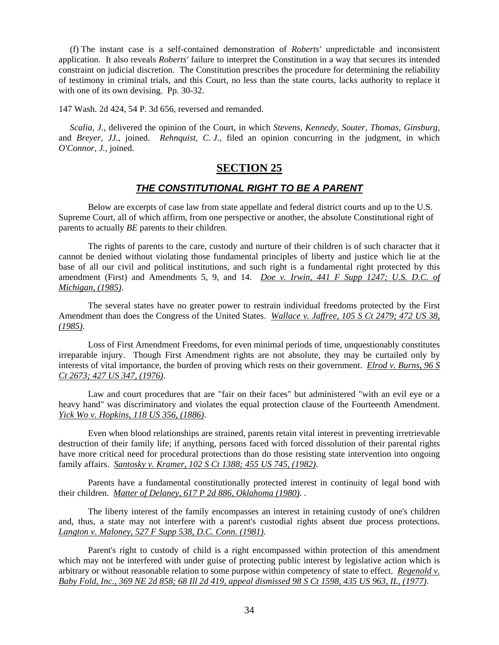(f) The instant case is a self-contained demonstration of *Roberts'* unpredictable and inconsistent application. It also reveals *Roberts'* failure to interpret the Constitution in a way that secures its intended constraint on judicial discretion. The Constitution prescribes the procedure for determining the reliability of testimony in criminal trials, and this Court, no less than the state courts, lacks authority to replace it with one of its own devising. Pp. 30-32.

147 Wash. 2d 424, 54 P. 3d 656, reversed and remanded.

 *Scalia, J.,* delivered the opinion of the Court, in which *Stevens, Kennedy, Souter, Thomas, Ginsburg,* and *Breyer, JJ.,* joined. *Rehnquist, C. J.,* filed an opinion concurring in the judgment, in which *O'Connor, J.,* joined.

### **SECTION 25**

### *THE CONSTITUTIONAL RIGHT TO BE A PARENT*

Below are excerpts of case law from state appellate and federal district courts and up to the U.S. Supreme Court, all of which affirm, from one perspective or another, the absolute Constitutional right of parents to actually *BE* parents to their children.

The rights of parents to the care, custody and nurture of their children is of such character that it cannot be denied without violating those fundamental principles of liberty and justice which lie at the base of all our civil and political institutions, and such right is a fundamental right protected by this amendment (First) and Amendments 5, 9, and 14. *Doe v. Irwin, 441 F Supp 1247; U.S. D.C. of Michigan, (1985)*.

 The several states have no greater power to restrain individual freedoms protected by the First Amendment than does the Congress of the United States. *Wallace v. Jaffree, 105 S Ct 2479; 472 US 38, (1985)*.

 Loss of First Amendment Freedoms, for even minimal periods of time, unquestionably constitutes irreparable injury. Though First Amendment rights are not absolute, they may be curtailed only by interests of vital importance, the burden of proving which rests on their government. *Elrod v. Burns, 96 S Ct 2673; 427 US 347, (1976)*.

 Law and court procedures that are "fair on their faces" but administered "with an evil eye or a heavy hand" was discriminatory and violates the equal protection clause of the Fourteenth Amendment. *Yick Wo v. Hopkins, 118 US 356, (1886)*.

 Even when blood relationships are strained, parents retain vital interest in preventing irretrievable destruction of their family life; if anything, persons faced with forced dissolution of their parental rights have more critical need for procedural protections than do those resisting state intervention into ongoing family affairs. *Santosky v. Kramer, 102 S Ct 1388; 455 US 745, (1982)*.

 Parents have a fundamental constitutionally protected interest in continuity of legal bond with their children. *Matter of Delaney, 617 P 2d 886, Oklahoma (1980)*. .

 The liberty interest of the family encompasses an interest in retaining custody of one's children and, thus, a state may not interfere with a parent's custodial rights absent due process protections. *Langton v. Maloney, 527 F Supp 538, D.C. Conn. (1981)*.

 Parent's right to custody of child is a right encompassed within protection of this amendment which may not be interfered with under guise of protecting public interest by legislative action which is arbitrary or without reasonable relation to some purpose within competency of state to effect. *Regenold v. Baby Fold, Inc., 369 NE 2d 858; 68 Ill 2d 419, appeal dismissed 98 S Ct 1598, 435 US 963, IL, (1977)*.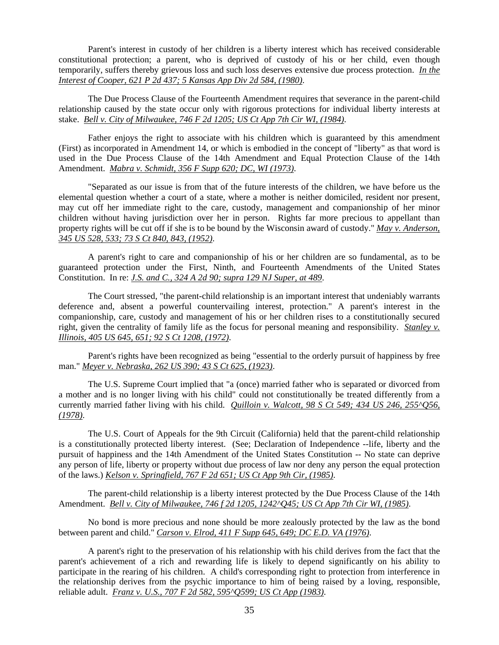Parent's interest in custody of her children is a liberty interest which has received considerable constitutional protection; a parent, who is deprived of custody of his or her child, even though temporarily, suffers thereby grievous loss and such loss deserves extensive due process protection. *In the Interest of Cooper, 621 P 2d 437; 5 Kansas App Div 2d 584, (1980)*.

 The Due Process Clause of the Fourteenth Amendment requires that severance in the parent-child relationship caused by the state occur only with rigorous protections for individual liberty interests at stake. *Bell v. City of Milwaukee, 746 F 2d 1205; US Ct App 7th Cir WI, (1984)*.

 Father enjoys the right to associate with his children which is guaranteed by this amendment (First) as incorporated in Amendment 14, or which is embodied in the concept of "liberty" as that word is used in the Due Process Clause of the 14th Amendment and Equal Protection Clause of the 14th Amendment. *Mabra v. Schmidt, 356 F Supp 620; DC, WI (1973)*.

 "Separated as our issue is from that of the future interests of the children, we have before us the elemental question whether a court of a state, where a mother is neither domiciled, resident nor present, may cut off her immediate right to the care, custody, management and companionship of her minor children without having jurisdiction over her in person. Rights far more precious to appellant than property rights will be cut off if she is to be bound by the Wisconsin award of custody." *May v. Anderson, 345 US 528, 533; 73 S Ct 840, 843, (1952)*.

 A parent's right to care and companionship of his or her children are so fundamental, as to be guaranteed protection under the First, Ninth, and Fourteenth Amendments of the United States Constitution. In re: *J.S. and C., 324 A 2d 90; supra 129 NJ Super, at 489*.

 The Court stressed, "the parent-child relationship is an important interest that undeniably warrants deference and, absent a powerful countervailing interest, protection." A parent's interest in the companionship, care, custody and management of his or her children rises to a constitutionally secured right, given the centrality of family life as the focus for personal meaning and responsibility. *Stanley v. Illinois, 405 US 645, 651; 92 S Ct 1208, (1972)*.

 Parent's rights have been recognized as being "essential to the orderly pursuit of happiness by free man." *Meyer v. Nebraska, 262 US 390; 43 S Ct 625, (1923)*.

 The U.S. Supreme Court implied that "a (once) married father who is separated or divorced from a mother and is no longer living with his child" could not constitutionally be treated differently from a currently married father living with his child. *Quilloin v. Walcott, 98 S Ct 549; 434 US 246, 255^Q56, (1978)*.

 The U.S. Court of Appeals for the 9th Circuit (California) held that the parent-child relationship is a constitutionally protected liberty interest. (See; Declaration of Independence --life, liberty and the pursuit of happiness and the 14th Amendment of the United States Constitution -- No state can deprive any person of life, liberty or property without due process of law nor deny any person the equal protection of the laws.) *Kelson v. Springfield, 767 F 2d 651; US Ct App 9th Cir, (1985)*.

 The parent-child relationship is a liberty interest protected by the Due Process Clause of the 14th Amendment. *Bell v. City of Milwaukee, 746 f 2d 1205, 1242^Q45; US Ct App 7th Cir WI, (1985)*.

 No bond is more precious and none should be more zealously protected by the law as the bond between parent and child." *Carson v. Elrod, 411 F Supp 645, 649; DC E.D. VA (1976)*.

 A parent's right to the preservation of his relationship with his child derives from the fact that the parent's achievement of a rich and rewarding life is likely to depend significantly on his ability to participate in the rearing of his children. A child's corresponding right to protection from interference in the relationship derives from the psychic importance to him of being raised by a loving, responsible, reliable adult. *Franz v. U.S., 707 F 2d 582, 595^Q599; US Ct App (1983)*.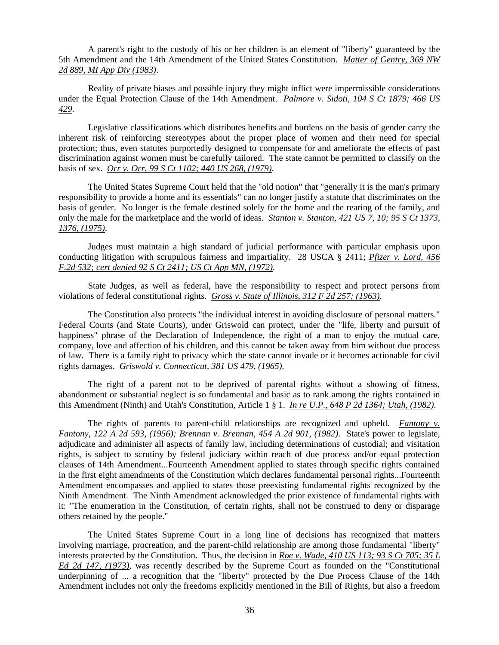A parent's right to the custody of his or her children is an element of "liberty" guaranteed by the 5th Amendment and the 14th Amendment of the United States Constitution. *Matter of Gentry, 369 NW 2d 889, MI App Div (1983)*.

 Reality of private biases and possible injury they might inflict were impermissible considerations under the Equal Protection Clause of the 14th Amendment. *Palmore v. Sidoti, 104 S Ct 1879; 466 US 429*.

 Legislative classifications which distributes benefits and burdens on the basis of gender carry the inherent risk of reinforcing stereotypes about the proper place of women and their need for special protection; thus, even statutes purportedly designed to compensate for and ameliorate the effects of past discrimination against women must be carefully tailored. The state cannot be permitted to classify on the basis of sex. *Orr v. Orr, 99 S Ct 1102; 440 US 268, (1979)*.

 The United States Supreme Court held that the "old notion" that "generally it is the man's primary responsibility to provide a home and its essentials" can no longer justify a statute that discriminates on the basis of gender. No longer is the female destined solely for the home and the rearing of the family, and only the male for the marketplace and the world of ideas. *Stanton v. Stanton, 421 US 7, 10; 95 S Ct 1373, 1376, (1975)*.

 Judges must maintain a high standard of judicial performance with particular emphasis upon conducting litigation with scrupulous fairness and impartiality. 28 USCA § 2411; *Pfizer v. Lord, 456 F.2d 532; cert denied 92 S Ct 2411; US Ct App MN, (1972)*.

 State Judges, as well as federal, have the responsibility to respect and protect persons from violations of federal constitutional rights. *Gross v. State of Illinois, 312 F 2d 257; (1963)*.

 The Constitution also protects "the individual interest in avoiding disclosure of personal matters." Federal Courts (and State Courts), under Griswold can protect, under the "life, liberty and pursuit of happiness" phrase of the Declaration of Independence, the right of a man to enjoy the mutual care, company, love and affection of his children, and this cannot be taken away from him without due process of law. There is a family right to privacy which the state cannot invade or it becomes actionable for civil rights damages. *Griswold v. Connecticut, 381 US 479, (1965)*.

 The right of a parent not to be deprived of parental rights without a showing of fitness, abandonment or substantial neglect is so fundamental and basic as to rank among the rights contained in this Amendment (Ninth) and Utah's Constitution, Article 1 § 1. *In re U.P., 648 P 2d 1364; Utah, (1982)*.

The rights of parents to parent-child relationships are recognized and upheld. *Fantony v. Fantony, 122 A 2d 593, (1956); Brennan v. Brennan, 454 A 2d 901, (1982)*. State's power to legislate, adjudicate and administer all aspects of family law, including determinations of custodial; and visitation rights, is subject to scrutiny by federal judiciary within reach of due process and/or equal protection clauses of 14th Amendment...Fourteenth Amendment applied to states through specific rights contained in the first eight amendments of the Constitution which declares fundamental personal rights...Fourteenth Amendment encompasses and applied to states those preexisting fundamental rights recognized by the Ninth Amendment. The Ninth Amendment acknowledged the prior existence of fundamental rights with it: "The enumeration in the Constitution, of certain rights, shall not be construed to deny or disparage others retained by the people."

The United States Supreme Court in a long line of decisions has recognized that matters involving marriage, procreation, and the parent-child relationship are among those fundamental "liberty" interests protected by the Constitution. Thus, the decision in *Roe v. Wade, 410 US 113; 93 S Ct 705; 35 L Ed 2d 147, (1973)*, was recently described by the Supreme Court as founded on the "Constitutional underpinning of ... a recognition that the "liberty" protected by the Due Process Clause of the 14th Amendment includes not only the freedoms explicitly mentioned in the Bill of Rights, but also a freedom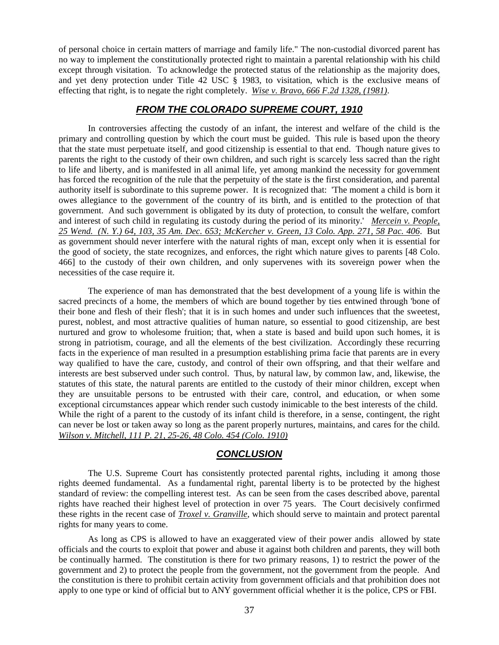of personal choice in certain matters of marriage and family life." The non-custodial divorced parent has no way to implement the constitutionally protected right to maintain a parental relationship with his child except through visitation. To acknowledge the protected status of the relationship as the majority does, and yet deny protection under Title 42 USC § 1983, to visitation, which is the exclusive means of effecting that right, is to negate the right completely. *Wise v. Bravo, 666 F.2d 1328, (1981)*.

### *FROM THE COLORADO SUPREME COURT, 1910*

In controversies affecting the custody of an infant, the interest and welfare of the child is the primary and controlling question by which the court must be guided. This rule is based upon the theory that the state must perpetuate itself, and good citizenship is essential to that end. Though nature gives to parents the right to the custody of their own children, and such right is scarcely less sacred than the right to life and liberty, and is manifested in all animal life, yet among mankind the necessity for government has forced the recognition of the rule that the perpetuity of the state is the first consideration, and parental authority itself is subordinate to this supreme power. It is recognized that: 'The moment a child is born it owes allegiance to the government of the country of its birth, and is entitled to the protection of that government. And such government is obligated by its duty of protection, to consult the welfare, comfort and interest of such child in regulating its custody during the period of its minority.' *Mercein v. People, 25 Wend. (N. Y.) 64, 103, 35 Am. Dec. 653; McKercher v. Green, 13 Colo. App. 271, 58 Pac. 406*. But as government should never interfere with the natural rights of man, except only when it is essential for the good of society, the state recognizes, and enforces, the right which nature gives to parents [48 Colo. 466] to the custody of their own children, and only supervenes with its sovereign power when the necessities of the case require it.

The experience of man has demonstrated that the best development of a young life is within the sacred precincts of a home, the members of which are bound together by ties entwined through 'bone of their bone and flesh of their flesh'; that it is in such homes and under such influences that the sweetest, purest, noblest, and most attractive qualities of human nature, so essential to good citizenship, are best nurtured and grow to wholesome fruition; that, when a state is based and build upon such homes, it is strong in patriotism, courage, and all the elements of the best civilization. Accordingly these recurring facts in the experience of man resulted in a presumption establishing prima facie that parents are in every way qualified to have the care, custody, and control of their own offspring, and that their welfare and interests are best subserved under such control. Thus, by natural law, by common law, and, likewise, the statutes of this state, the natural parents are entitled to the custody of their minor children, except when they are unsuitable persons to be entrusted with their care, control, and education, or when some exceptional circumstances appear which render such custody inimicable to the best interests of the child. While the right of a parent to the custody of its infant child is therefore, in a sense, contingent, the right can never be lost or taken away so long as the parent properly nurtures, maintains, and cares for the child. *Wilson v. Mitchell, 111 P. 21, 25-26, 48 Colo. 454 (Colo. 1910)*

### *CONCLUSION*

The U.S. Supreme Court has consistently protected parental rights, including it among those rights deemed fundamental. As a fundamental right, parental liberty is to be protected by the highest standard of review: the compelling interest test. As can be seen from the cases described above, parental rights have reached their highest level of protection in over 75 years. The Court decisively confirmed these rights in the recent case of *Troxel v. Granville*, which should serve to maintain and protect parental rights for many years to come.

As long as CPS is allowed to have an exaggerated view of their power andis allowed by state officials and the courts to exploit that power and abuse it against both children and parents, they will both be continually harmed. The constitution is there for two primary reasons, 1) to restrict the power of the government and 2) to protect the people from the government, not the government from the people. And the constitution is there to prohibit certain activity from government officials and that prohibition does not apply to one type or kind of official but to ANY government official whether it is the police, CPS or FBI.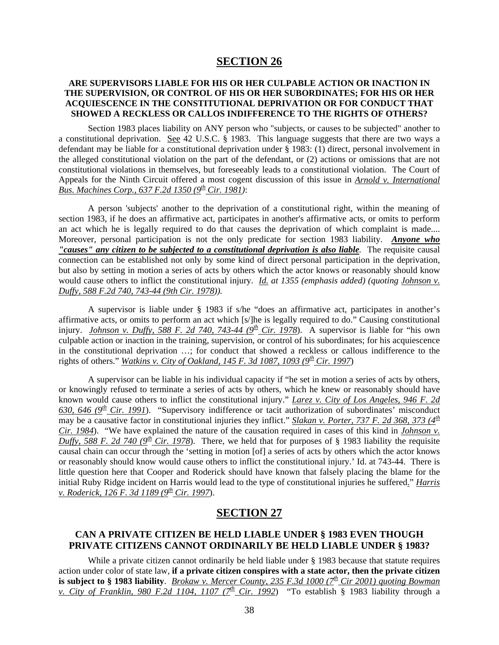### **SECTION 26**

#### **ARE SUPERVISORS LIABLE FOR HIS OR HER CULPABLE ACTION OR INACTION IN THE SUPERVISION, OR CONTROL OF HIS OR HER SUBORDINATES; FOR HIS OR HER ACQUIESCENCE IN THE CONSTITUTIONAL DEPRIVATION OR FOR CONDUCT THAT SHOWED A RECKLESS OR CALLOS INDIFFERENCE TO THE RIGHTS OF OTHERS?**

Section 1983 places liability on ANY person who "subjects, or causes to be subjected" another to a constitutional deprivation. See 42 U.S.C. § 1983. This language suggests that there are two ways a defendant may be liable for a constitutional deprivation under § 1983: (1) direct, personal involvement in the alleged constitutional violation on the part of the defendant, or (2) actions or omissions that are not constitutional violations in themselves, but foreseeably leads to a constitutional violation. The Court of Appeals for the Ninth Circuit offered a most cogent discussion of this issue in *Arnold v. International Bus. Machines Corp., 637 F.2d 1350 (9th Cir. 1981)*:

A person 'subjects' another to the deprivation of a constitutional right, within the meaning of section 1983, if he does an affirmative act, participates in another's affirmative acts, or omits to perform an act which he is legally required to do that causes the deprivation of which complaint is made.... Moreover, personal participation is not the only predicate for section 1983 liability. *Anyone who "causes" any citizen to be subjected to a constitutional deprivation is also liable.* The requisite causal connection can be established not only by some kind of direct personal participation in the deprivation, but also by setting in motion a series of acts by others which the actor knows or reasonably should know would cause others to inflict the constitutional injury. *Id. at 1355 (emphasis added) (quoting Johnson v. Duffy, 588 F.2d 740, 743-44 (9th Cir. 1978)).* 

A supervisor is liable under § 1983 if s/he "does an affirmative act, participates in another's affirmative acts, or omits to perform an act which [s/]he is legally required to do." Causing constitutional injury. *Johnson v. Duffy, 588 F. 2d 740, 743-44 (9<sup>th</sup> Cir. 1978)*. A supervisor is liable for "his own culpable action or inaction in the training, supervision, or control of his subordinates; for his acquiescence in the constitutional deprivation …; for conduct that showed a reckless or callous indifference to the rights of others." *Watkins v. City of Oakland, 145 F. 3d 1087, 1093 (9th Cir. 1997*)

A supervisor can be liable in his individual capacity if "he set in motion a series of acts by others, or knowingly refused to terminate a series of acts by others, which he knew or reasonably should have known would cause others to inflict the constitutional injury." *Larez v. City of Los Angeles, 946 F. 2d*  630, 646 ( $9<sup>th</sup>$  Cir. 1991). "Supervisory indifference or tacit authorization of subordinates' misconduct may be a causative factor in constitutional injuries they inflict." *Slakan v. Porter, 737 F. 2d 368, 373 (4th Cir. 1984*). "We have explained the nature of the causation required in cases of this kind in *Johnson v. Duffy, 588 F. 2d 740 (9<sup>th</sup> Cir. 1978)*. There, we held that for purposes of § 1983 liability the requisite causal chain can occur through the 'setting in motion [of] a series of acts by others which the actor knows or reasonably should know would cause others to inflict the constitutional injury.' Id. at 743-44. There is little question here that Cooper and Roderick should have known that falsely placing the blame for the initial Ruby Ridge incident on Harris would lead to the type of constitutional injuries he suffered." *Harris v. Roderick, 126 F. 3d 1189 (9<sup>th</sup> Cir. 1997).* 

### **SECTION 27**

### **CAN A PRIVATE CITIZEN BE HELD LIABLE UNDER § 1983 EVEN THOUGH PRIVATE CITIZENS CANNOT ORDINARILY BE HELD LIABLE UNDER § 1983?**

While a private citizen cannot ordinarily be held liable under § 1983 because that statute requires action under color of state law, **if a private citizen conspires with a state actor, then the private citizen is subject to § 1983 liability**. *Brokaw v. Mercer County, 235 F.3d 1000 (7<sup>th</sup> Cir 2001) quoting Bowman v. City of Franklin, 980 F.2d 1104, 1107 (* $7<sup>th</sup>$  *Cir. 1992)* "To establish § 1983 liability through a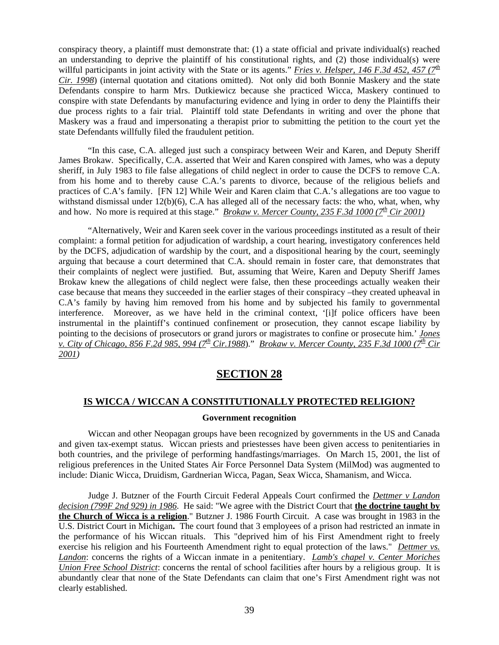conspiracy theory, a plaintiff must demonstrate that: (1) a state official and private individual(s) reached an understanding to deprive the plaintiff of his constitutional rights, and (2) those individual(s) were willful participants in joint activity with the State or its agents." *Fries v. Helsper, 146 F.3d 452, 457 (7<sup>th</sup> Cir. 1998*) (internal quotation and citations omitted). Not only did both Bonnie Maskery and the state Defendants conspire to harm Mrs. Dutkiewicz because she practiced Wicca, Maskery continued to conspire with state Defendants by manufacturing evidence and lying in order to deny the Plaintiffs their due process rights to a fair trial. Plaintiff told state Defendants in writing and over the phone that Maskery was a fraud and impersonating a therapist prior to submitting the petition to the court yet the state Defendants willfully filed the fraudulent petition.

"In this case, C.A. alleged just such a conspiracy between Weir and Karen, and Deputy Sheriff James Brokaw. Specifically, C.A. asserted that Weir and Karen conspired with James, who was a deputy sheriff, in July 1983 to file false allegations of child neglect in order to cause the DCFS to remove C.A. from his home and to thereby cause C.A.'s parents to divorce, because of the religious beliefs and practices of C.A's family. [FN 12] While Weir and Karen claim that C.A.'s allegations are too vague to withstand dismissal under 12(b)(6), C.A has alleged all of the necessary facts: the who, what, when, why and how. No more is required at this stage." *Brokaw v. Mercer County, 235 F.3d 1000 (7<sup>th</sup> Cir 2001)* 

"Alternatively, Weir and Karen seek cover in the various proceedings instituted as a result of their complaint: a formal petition for adjudication of wardship, a court hearing, investigatory conferences held by the DCFS, adjudication of wardship by the court, and a dispositional hearing by the court, seemingly arguing that because a court determined that C.A. should remain in foster care, that demonstrates that their complaints of neglect were justified. But, assuming that Weire, Karen and Deputy Sheriff James Brokaw knew the allegations of child neglect were false, then these proceedings actually weaken their case because that means they succeeded in the earlier stages of their conspiracy –they created upheaval in C.A's family by having him removed from his home and by subjected his family to governmental interference. Moreover, as we have held in the criminal context, '[i]f police officers have been instrumental in the plaintiff's continued confinement or prosecution, they cannot escape liability by pointing to the decisions of prosecutors or grand jurors or magistrates to confine or prosecute him.' *Jones v. City of Chicago, 856 F.2d 985, 994 (7<sup>th</sup> Cir.1988).*" *Brokaw v. Mercer County, 235 F.3d 1000 (7<sup>th</sup> Cir) 2001)* 

### **SECTION 28**

### **IS WICCA / WICCAN A CONSTITUTIONALLY PROTECTED RELIGION?**

#### **Government recognition**

Wiccan and other Neopagan groups have been recognized by governments in the US and Canada and given tax-exempt status. Wiccan priests and priestesses have been given access to penitentiaries in both countries, and the privilege of performing handfastings/marriages. On March 15, 2001, the list of religious preferences in the United States Air Force Personnel Data System (MilMod) was augmented to include: Dianic Wicca, Druidism, Gardnerian Wicca, Pagan, Seax Wicca, Shamanism, and Wicca.

Judge J. Butzner of the Fourth Circuit Federal Appeals Court confirmed the *Dettmer v Landon decision (799F 2nd 929) in 1986*. He said: "We agree with the District Court that **the doctrine taught by the Church of Wicca is a religion**." Butzner J. 1986 Fourth Circuit. A case was brought in 1983 in the U.S. District Court in Michigan**.** The court found that 3 employees of a prison had restricted an inmate in the performance of his Wiccan rituals. This "deprived him of his First Amendment right to freely exercise his religion and his Fourteenth Amendment right to equal protection of the laws." *Dettmer vs. Landon*: concerns the rights of a Wiccan inmate in a penitentiary. *Lamb's chapel v. Center Moriches Union Free School District*: concerns the rental of school facilities after hours by a religious group. It is abundantly clear that none of the State Defendants can claim that one's First Amendment right was not clearly established.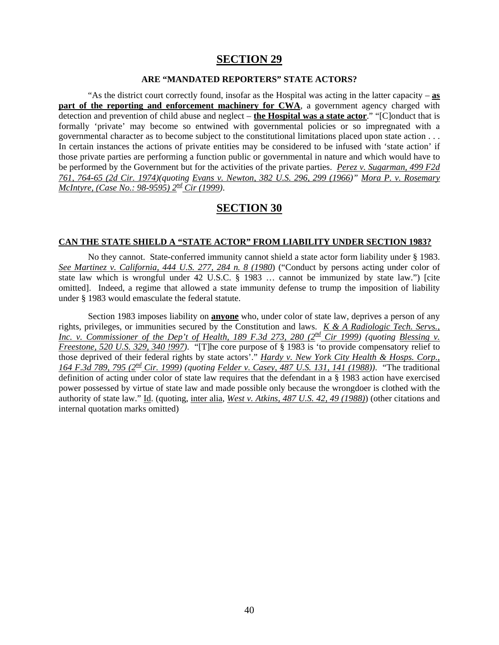### **SECTION 29**

#### **ARE "MANDATED REPORTERS" STATE ACTORS?**

"As the district court correctly found, insofar as the Hospital was acting in the latter capacity – **as part of the reporting and enforcement machinery for CWA**, a government agency charged with detection and prevention of child abuse and neglect – **the Hospital was a state actor**." "[C]onduct that is formally 'private' may become so entwined with governmental policies or so impregnated with a governmental character as to become subject to the constitutional limitations placed upon state action . . . In certain instances the actions of private entities may be considered to be infused with 'state action' if those private parties are performing a function public or governmental in nature and which would have to be performed by the Government but for the activities of the private parties. *Perez v. Sugarman, 499 F2d 761, 764-65 (2d Cir. 1974)(quoting Evans v. Newton, 382 U.S. 296, 299 (1966)" Mora P. v. Rosemary McIntyre, (Case No.: 98-9595)*  $2^{\frac{nd}{c}}$  *Cir (1999)*.

### **SECTION 30**

#### **CAN THE STATE SHIELD A "STATE ACTOR" FROM LIABILITY UNDER SECTION 1983?**

No they cannot. State-conferred immunity cannot shield a state actor form liability under § 1983. *See Martinez v. California, 444 U.S. 277, 284 n. 8 (1980*) ("Conduct by persons acting under color of state law which is wrongful under 42 U.S.C. § 1983 … cannot be immunized by state law.") [cite omitted]. Indeed, a regime that allowed a state immunity defense to trump the imposition of liability under § 1983 would emasculate the federal statute.

Section 1983 imposes liability on **anyone** who, under color of state law, deprives a person of any rights, privileges, or immunities secured by the Constitution and laws. *K & A Radiologic Tech. Servs., Inc. v. Commissioner of the Dep't of Health, 189 F.3d 273, 280 (2<sup>nd</sup> Cir 1999) (quoting Blessing v. Freestone, 520 U.S. 329, 340 !997)*. "[T]he core purpose of § 1983 is 'to provide compensatory relief to those deprived of their federal rights by state actors'." *Hardy v. New York City Health & Hosps. Corp., 164 F.3d 789, 795 (2nd Cir. 1999) (quoting Felder v. Casey, 487 U.S. 131, 141 (1988))*. "The traditional definition of acting under color of state law requires that the defendant in a § 1983 action have exercised power possessed by virtue of state law and made possible only because the wrongdoer is clothed with the authority of state law." Id. (quoting, inter alia, *West v. Atkins, 487 U.S. 42, 49 (1988)*) (other citations and internal quotation marks omitted)